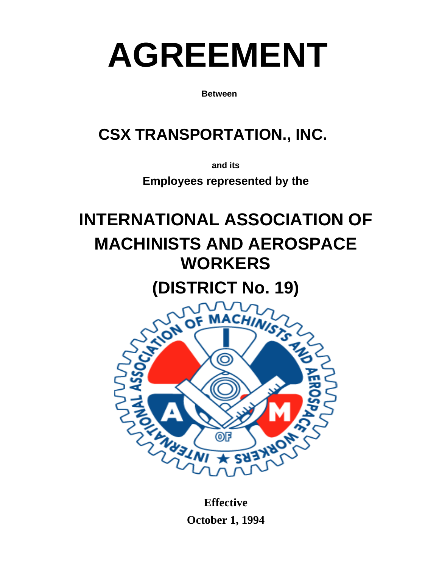# **AGREEMENT**

**Between** 

# **CSX TRANSPORTATION., INC.**

**and its** 

**Employees represented by the** 

# **INTERNATIONAL ASSOCIATION OF MACHINISTS AND AEROSPACE WORKERS**

**(DISTRICT No. 19)** 



**Effective October 1, 1994**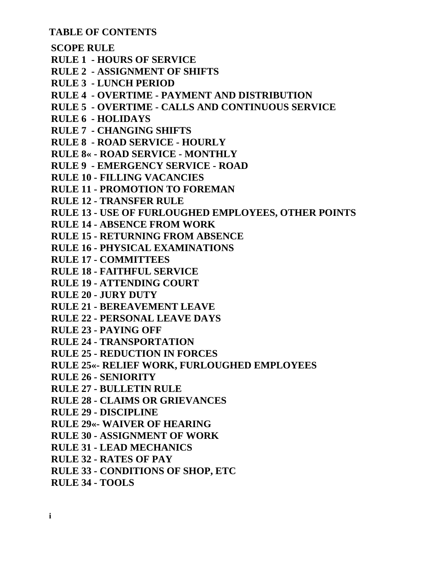**TABLE OF CONTENTS** 

 **SCOPE RULE RULE 1 - HOURS OF SERVICE RULE 2 - ASSIGNMENT OF SHIFTS RULE 3 - LUNCH PERIOD RULE 4 - OVERTIME - PAYMENT AND DISTRIBUTION RULE 5 - OVERTIME - CALLS AND CONTINUOUS SERVICE RULE 6 - HOLIDAYS RULE 7 - CHANGING SHIFTS RULE 8 - ROAD SERVICE - HOURLY RULE 8« - ROAD SERVICE - MONTHLY RULE 9 - EMERGENCY SERVICE - ROAD RULE 10 - FILLING VACANCIES RULE 11 - PROMOTION TO FOREMAN RULE 12 - TRANSFER RULE RULE 13 - USE OF FURLOUGHED EMPLOYEES, OTHER POINTS RULE 14 - ABSENCE FROM WORK RULE 15 - RETURNING FROM ABSENCE RULE 16 - PHYSICAL EXAMINATIONS RULE 17 - COMMITTEES RULE 18 - FAITHFUL SERVICE RULE 19 - ATTENDING COURT RULE 20 - JURY DUTY RULE 21 - BEREAVEMENT LEAVE RULE 22 - PERSONAL LEAVE DAYS RULE 23 - PAYING OFF RULE 24 - TRANSPORTATION RULE 25 - REDUCTION IN FORCES RULE 25«- RELIEF WORK, FURLOUGHED EMPLOYEES RULE 26 - SENIORITY RULE 27 - BULLETIN RULE RULE 28 - CLAIMS OR GRIEVANCES RULE 29 - DISCIPLINE RULE 29«- WAIVER OF HEARING RULE 30 - ASSIGNMENT OF WORK RULE 31 - LEAD MECHANICS RULE 32 - RATES OF PAY RULE 33 - CONDITIONS OF SHOP, ETC RULE 34 - TOOLS**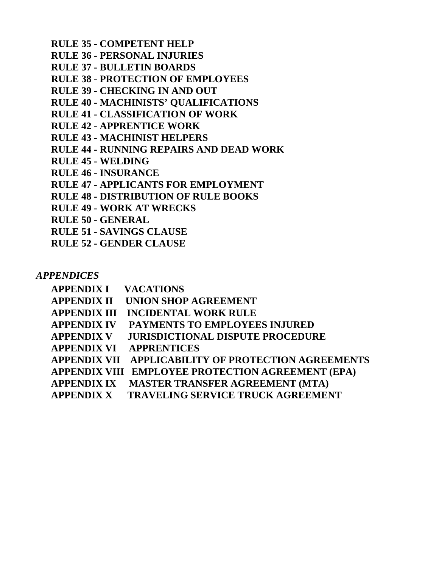**RULE 35 - COMPETENT HELP RULE 36 - PERSONAL INJURIES RULE 37 - BULLETIN BOARDS RULE 38 - PROTECTION OF EMPLOYEES RULE 39 - CHECKING IN AND OUT RULE 40 - MACHINISTS' QUALIFICATIONS RULE 41 - CLASSIFICATION OF WORK RULE 42 - APPRENTICE WORK RULE 43 - MACHINIST HELPERS RULE 44 - RUNNING REPAIRS AND DEAD WORK RULE 45 - WELDING RULE 46 - INSURANCE RULE 47 - APPLICANTS FOR EMPLOYMENT RULE 48 - DISTRIBUTION OF RULE BOOKS RULE 49 - WORK AT WRECKS RULE 50 - GENERAL RULE 51 - SAVINGS CLAUSE RULE 52 - GENDER CLAUSE** 

*APPENDICES* 

| <b>APPENDIX I VACATIONS</b> |                                                     |
|-----------------------------|-----------------------------------------------------|
| <b>APPENDIX II</b>          | UNION SHOP AGREEMENT                                |
| <b>APPENDIX III</b>         | <b>INCIDENTAL WORK RULE</b>                         |
| <b>APPENDIX IV</b>          | PAYMENTS TO EMPLOYEES INJURED                       |
| <b>APPENDIX V</b>           | <b>JURISDICTIONAL DISPUTE PROCEDURE</b>             |
| <b>APPENDIX VI</b>          | <b>APPRENTICES</b>                                  |
|                             | APPENDIX VII APPLICABILITY OF PROTECTION AGREEMENTS |
|                             | APPENDIX VIII EMPLOYEE PROTECTION AGREEMENT (EPA)   |
| <b>APPENDIX IX</b>          | <b>MASTER TRANSFER AGREEMENT (MTA)</b>              |
| <b>APPENDIX X</b>           | <b>TRAVELING SERVICE TRUCK AGREEMENT</b>            |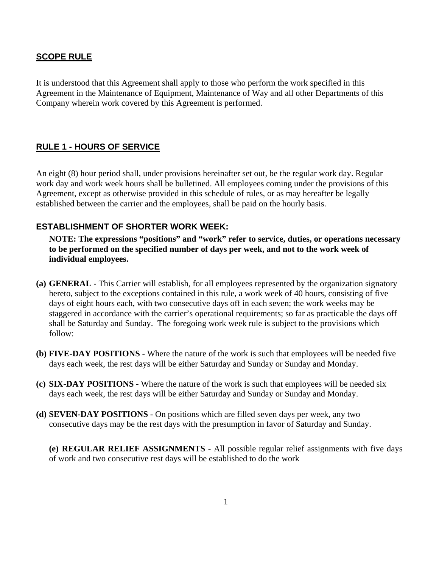#### **SCOPE RULE**

It is understood that this Agreement shall apply to those who perform the work specified in this Agreement in the Maintenance of Equipment, Maintenance of Way and all other Departments of this Company wherein work covered by this Agreement is performed.

# **RULE 1 - HOURS OF SERVICE**

An eight (8) hour period shall, under provisions hereinafter set out, be the regular work day. Regular work day and work week hours shall be bulletined. All employees coming under the provisions of this Agreement, except as otherwise provided in this schedule of rules, or as may hereafter be legally established between the carrier and the employees, shall be paid on the hourly basis.

#### **ESTABLISHMENT OF SHORTER WORK WEEK:**

**NOTE: The expressions "positions" and "work" refer to service, duties, or operations necessary to be performed on the specified number of days per week, and not to the work week of individual employees.** 

- **(a) GENERAL**  This Carrier will establish, for all employees represented by the organization signatory hereto, subject to the exceptions contained in this rule, a work week of 40 hours, consisting of five days of eight hours each, with two consecutive days off in each seven; the work weeks may be staggered in accordance with the carrier's operational requirements; so far as practicable the days off shall be Saturday and Sunday. The foregoing work week rule is subject to the provisions which follow:
- **(b) FIVE-DAY POSITIONS** Where the nature of the work is such that employees will be needed five days each week, the rest days will be either Saturday and Sunday or Sunday and Monday.
- **(c) SIX-DAY POSITIONS**  Where the nature of the work is such that employees will be needed six days each week, the rest days will be either Saturday and Sunday or Sunday and Monday.
- **(d) SEVEN-DAY POSITIONS**  On positions which are filled seven days per week, any two consecutive days may be the rest days with the presumption in favor of Saturday and Sunday.

**(e) REGULAR RELIEF ASSIGNMENTS** - All possible regular relief assignments with five days of work and two consecutive rest days will be established to do the work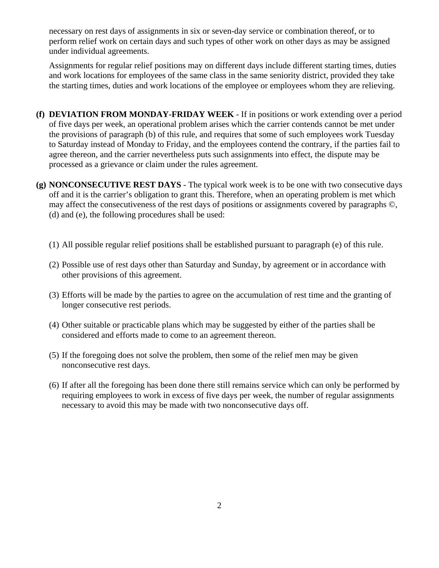necessary on rest days of assignments in six or seven-day service or combination thereof, or to perform relief work on certain days and such types of other work on other days as may be assigned under individual agreements.

Assignments for regular relief positions may on different days include different starting times, duties and work locations for employees of the same class in the same seniority district, provided they take the starting times, duties and work locations of the employee or employees whom they are relieving.

- **(f) DEVIATION FROM MONDAY-FRIDAY WEEK**  If in positions or work extending over a period of five days per week, an operational problem arises which the carrier contends cannot be met under the provisions of paragraph (b) of this rule, and requires that some of such employees work Tuesday to Saturday instead of Monday to Friday, and the employees contend the contrary, if the parties fail to agree thereon, and the carrier nevertheless puts such assignments into effect, the dispute may be processed as a grievance or claim under the rules agreement.
- **(g) NONCONSECUTIVE REST DAYS**  The typical work week is to be one with two consecutive days off and it is the carrier's obligation to grant this. Therefore, when an operating problem is met which may affect the consecutiveness of the rest days of positions or assignments covered by paragraphs ©, (d) and (e), the following procedures shall be used:
	- (1) All possible regular relief positions shall be established pursuant to paragraph (e) of this rule.
	- (2) Possible use of rest days other than Saturday and Sunday, by agreement or in accordance with other provisions of this agreement.
	- (3) Efforts will be made by the parties to agree on the accumulation of rest time and the granting of longer consecutive rest periods.
	- (4) Other suitable or practicable plans which may be suggested by either of the parties shall be considered and efforts made to come to an agreement thereon.
	- (5) If the foregoing does not solve the problem, then some of the relief men may be given nonconsecutive rest days.
	- (6) If after all the foregoing has been done there still remains service which can only be performed by requiring employees to work in excess of five days per week, the number of regular assignments necessary to avoid this may be made with two nonconsecutive days off.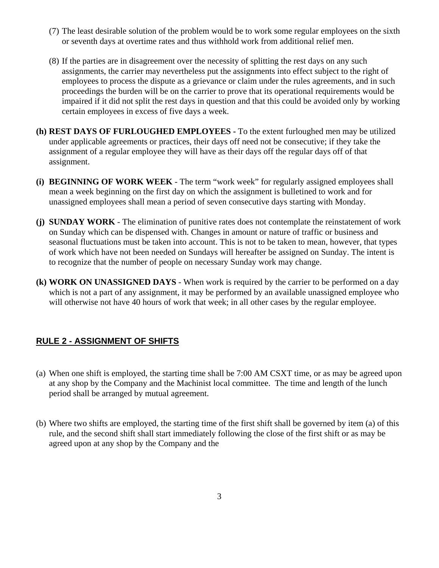- (7) The least desirable solution of the problem would be to work some regular employees on the sixth or seventh days at overtime rates and thus withhold work from additional relief men.
- (8) If the parties are in disagreement over the necessity of splitting the rest days on any such assignments, the carrier may nevertheless put the assignments into effect subject to the right of employees to process the dispute as a grievance or claim under the rules agreements, and in such proceedings the burden will be on the carrier to prove that its operational requirements would be impaired if it did not split the rest days in question and that this could be avoided only by working certain employees in excess of five days a week.
- **(h) REST DAYS OF FURLOUGHED EMPLOYEES -** To the extent furloughed men may be utilized under applicable agreements or practices, their days off need not be consecutive; if they take the assignment of a regular employee they will have as their days off the regular days off of that assignment.
- **(i) BEGINNING OF WORK WEEK** The term "work week" for regularly assigned employees shall mean a week beginning on the first day on which the assignment is bulletined to work and for unassigned employees shall mean a period of seven consecutive days starting with Monday.
- **(j) SUNDAY WORK**  The elimination of punitive rates does not contemplate the reinstatement of work on Sunday which can be dispensed with. Changes in amount or nature of traffic or business and seasonal fluctuations must be taken into account. This is not to be taken to mean, however, that types of work which have not been needed on Sundays will hereafter be assigned on Sunday. The intent is to recognize that the number of people on necessary Sunday work may change.
- **(k) WORK ON UNASSIGNED DAYS** When work is required by the carrier to be performed on a day which is not a part of any assignment, it may be performed by an available unassigned employee who will otherwise not have 40 hours of work that week; in all other cases by the regular employee.

#### **RULE 2 - ASSIGNMENT OF SHIFTS**

- (a) When one shift is employed, the starting time shall be 7:00 AM CSXT time, or as may be agreed upon at any shop by the Company and the Machinist local committee. The time and length of the lunch period shall be arranged by mutual agreement.
- (b) Where two shifts are employed, the starting time of the first shift shall be governed by item (a) of this rule, and the second shift shall start immediately following the close of the first shift or as may be agreed upon at any shop by the Company and the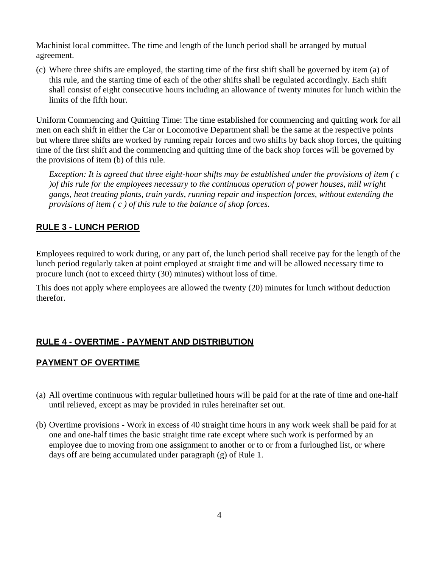Machinist local committee. The time and length of the lunch period shall be arranged by mutual agreement.

(c) Where three shifts are employed, the starting time of the first shift shall be governed by item (a) of this rule, and the starting time of each of the other shifts shall be regulated accordingly. Each shift shall consist of eight consecutive hours including an allowance of twenty minutes for lunch within the limits of the fifth hour.

Uniform Commencing and Quitting Time: The time established for commencing and quitting work for all men on each shift in either the Car or Locomotive Department shall be the same at the respective points but where three shifts are worked by running repair forces and two shifts by back shop forces, the quitting time of the first shift and the commencing and quitting time of the back shop forces will be governed by the provisions of item (b) of this rule.

*Exception: It is agreed that three eight-hour shifts may be established under the provisions of item ( c )of this rule for the employees necessary to the continuous operation of power houses, mill wright gangs, heat treating plants, train yards, running repair and inspection forces, without extending the provisions of item ( c ) of this rule to the balance of shop forces.* 

#### **RULE 3 - LUNCH PERIOD**

Employees required to work during, or any part of, the lunch period shall receive pay for the length of the lunch period regularly taken at point employed at straight time and will be allowed necessary time to procure lunch (not to exceed thirty (30) minutes) without loss of time.

This does not apply where employees are allowed the twenty (20) minutes for lunch without deduction therefor.

#### **RULE 4 - OVERTIME - PAYMENT AND DISTRIBUTION**

#### **PAYMENT OF OVERTIME**

- (a) All overtime continuous with regular bulletined hours will be paid for at the rate of time and one-half until relieved, except as may be provided in rules hereinafter set out.
- (b) Overtime provisions Work in excess of 40 straight time hours in any work week shall be paid for at one and one-half times the basic straight time rate except where such work is performed by an employee due to moving from one assignment to another or to or from a furloughed list, or where days off are being accumulated under paragraph (g) of Rule 1.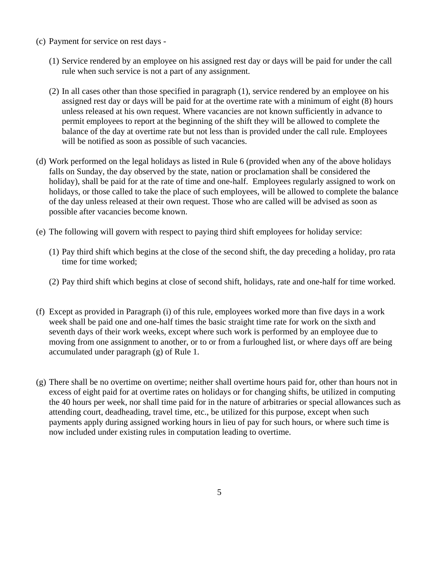- (c) Payment for service on rest days
	- (1) Service rendered by an employee on his assigned rest day or days will be paid for under the call rule when such service is not a part of any assignment.
	- (2) In all cases other than those specified in paragraph (1), service rendered by an employee on his assigned rest day or days will be paid for at the overtime rate with a minimum of eight (8) hours unless released at his own request. Where vacancies are not known sufficiently in advance to permit employees to report at the beginning of the shift they will be allowed to complete the balance of the day at overtime rate but not less than is provided under the call rule. Employees will be notified as soon as possible of such vacancies.
- (d) Work performed on the legal holidays as listed in Rule 6 (provided when any of the above holidays falls on Sunday, the day observed by the state, nation or proclamation shall be considered the holiday), shall be paid for at the rate of time and one-half. Employees regularly assigned to work on holidays, or those called to take the place of such employees, will be allowed to complete the balance of the day unless released at their own request. Those who are called will be advised as soon as possible after vacancies become known.
- (e) The following will govern with respect to paying third shift employees for holiday service:
	- (1) Pay third shift which begins at the close of the second shift, the day preceding a holiday, pro rata time for time worked;
	- (2) Pay third shift which begins at close of second shift, holidays, rate and one-half for time worked.
- (f) Except as provided in Paragraph (i) of this rule, employees worked more than five days in a work week shall be paid one and one-half times the basic straight time rate for work on the sixth and seventh days of their work weeks, except where such work is performed by an employee due to moving from one assignment to another, or to or from a furloughed list, or where days off are being accumulated under paragraph (g) of Rule 1.
- (g) There shall be no overtime on overtime; neither shall overtime hours paid for, other than hours not in excess of eight paid for at overtime rates on holidays or for changing shifts, be utilized in computing the 40 hours per week, nor shall time paid for in the nature of arbitraries or special allowances such as attending court, deadheading, travel time, etc., be utilized for this purpose, except when such payments apply during assigned working hours in lieu of pay for such hours, or where such time is now included under existing rules in computation leading to overtime.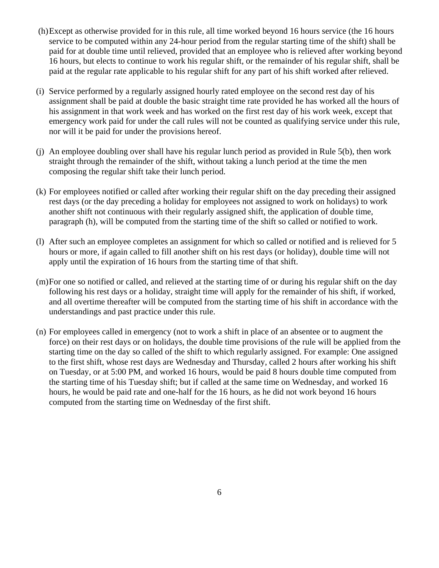- (h) Except as otherwise provided for in this rule, all time worked beyond 16 hours service (the 16 hours service to be computed within any 24-hour period from the regular starting time of the shift) shall be paid for at double time until relieved, provided that an employee who is relieved after working beyond 16 hours, but elects to continue to work his regular shift, or the remainder of his regular shift, shall be paid at the regular rate applicable to his regular shift for any part of his shift worked after relieved.
- (i) Service performed by a regularly assigned hourly rated employee on the second rest day of his assignment shall be paid at double the basic straight time rate provided he has worked all the hours of his assignment in that work week and has worked on the first rest day of his work week, except that emergency work paid for under the call rules will not be counted as qualifying service under this rule, nor will it be paid for under the provisions hereof.
- (j) An employee doubling over shall have his regular lunch period as provided in Rule 5(b), then work straight through the remainder of the shift, without taking a lunch period at the time the men composing the regular shift take their lunch period.
- (k) For employees notified or called after working their regular shift on the day preceding their assigned rest days (or the day preceding a holiday for employees not assigned to work on holidays) to work another shift not continuous with their regularly assigned shift, the application of double time, paragraph (h), will be computed from the starting time of the shift so called or notified to work.
- (l) After such an employee completes an assignment for which so called or notified and is relieved for 5 hours or more, if again called to fill another shift on his rest days (or holiday), double time will not apply until the expiration of 16 hours from the starting time of that shift.
- (m) For one so notified or called, and relieved at the starting time of or during his regular shift on the day following his rest days or a holiday, straight time will apply for the remainder of his shift, if worked, and all overtime thereafter will be computed from the starting time of his shift in accordance with the understandings and past practice under this rule.
- (n) For employees called in emergency (not to work a shift in place of an absentee or to augment the force) on their rest days or on holidays, the double time provisions of the rule will be applied from the starting time on the day so called of the shift to which regularly assigned. For example: One assigned to the first shift, whose rest days are Wednesday and Thursday, called 2 hours after working his shift on Tuesday, or at 5:00 PM, and worked 16 hours, would be paid 8 hours double time computed from the starting time of his Tuesday shift; but if called at the same time on Wednesday, and worked 16 hours, he would be paid rate and one-half for the 16 hours, as he did not work beyond 16 hours computed from the starting time on Wednesday of the first shift.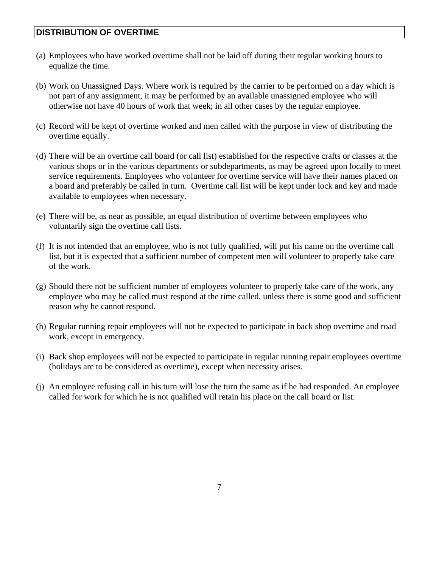#### **DISTRIBUTION OF OVERTIME**

- (a) Employees who have worked overtime shall not be laid off during their regular working hours to equalize the time.
- (b) Work on Unassigned Days. Where work is required by the carrier to be performed on a day which is not part of any assignment, it may be performed by an available unassigned employee who will otherwise not have 40 hours of work that week; in all other cases by the regular employee.
- (c) Record will be kept of overtime worked and men called with the purpose in view of distributing the overtime equally.
- (d) There will be an overtime call board (or call list) established for the respective crafts or classes at the various shops or in the various departments or subdepartments, as may be agreed upon locally to meet service requirements. Employees who volunteer for overtime service will have their names placed on a board and preferably be called in turn. Overtime call list will be kept under lock and key and made available to employees when necessary.
- (e) There will be, as near as possible, an equal distribution of overtime between employees who voluntarily sign the overtime call lists.
- (f) It is not intended that an employee, who is not fully qualified, will put his name on the overtime call list, but it is expected that a sufficient number of competent men will volunteer to properly take care of the work.
- (g) Should there not be sufficient number of employees volunteer to properly take care of the work, any employee who may be called must respond at the time called, unless there is some good and sufficient reason why he cannot respond.
- (h) Regular running repair employees will not be expected to participate in back shop overtime and road work, except in emergency.
- (i) Back shop employees will not be expected to participate in regular running repair employees overtime (holidays are to be considered as overtime), except when necessity arises.
- (j) An employee refusing call in his turn will lose the turn the same as if he had responded. An employee called for work for which he is not qualified will retain his place on the call board or list.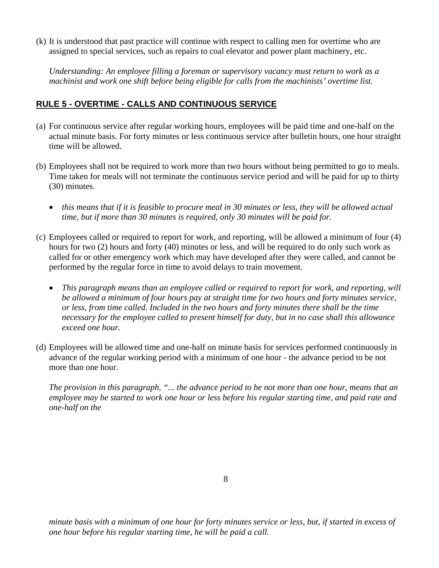(k) It is understood that past practice will continue with respect to calling men for overtime who are assigned to special services, such as repairs to coal elevator and power plant machinery, etc.

*Understanding: An employee filling a foreman or supervisory vacancy must return to work as a machinist and work one shift before being eligible for calls from the machinists' overtime list.* 

#### **RULE 5 - OVERTIME - CALLS AND CONTINUOUS SERVICE**

- (a) For continuous service after regular working hours, employees will be paid time and one-half on the actual minute basis. For forty minutes or less continuous service after bulletin hours, one hour straight time will be allowed.
- (b) Employees shall not be required to work more than two hours without being permitted to go to meals. Time taken for meals will not terminate the continuous service period and will be paid for up to thirty (30) minutes.
	- *this means that if it is feasible to procure meal in 30 minutes or less, they will be allowed actual time, but if more than 30 minutes is required, only 30 minutes will be paid for.*
- (c) Employees called or required to report for work, and reporting, will be allowed a minimum of four (4) hours for two (2) hours and forty (40) minutes or less, and will be required to do only such work as called for or other emergency work which may have developed after they were called, and cannot be performed by the regular force in time to avoid delays to train movement.
	- *This paragraph means than an employee called or required to report for work, and reporting, will be allowed a minimum of four hours pay at straight time for two hours and forty minutes service, or less, from time called. Included in the two hours and forty minutes there shall be the time necessary for the employee called to present himself for duty, but in no case shall this allowance exceed one hour.*
- (d) Employees will be allowed time and one-half on minute basis for services performed continuously in advance of the regular working period with a minimum of one hour - the advance period to be not more than one hour.

*The provision in this paragraph, "... the advance period to be not more than one hour, means that an employee may be started to work one hour or less before his regular starting time, and paid rate and one-half on the* 

8

*minute basis with a minimum of one hour for forty minutes service or less, but, if started in excess of one hour before his regular starting time, he will be paid a call.*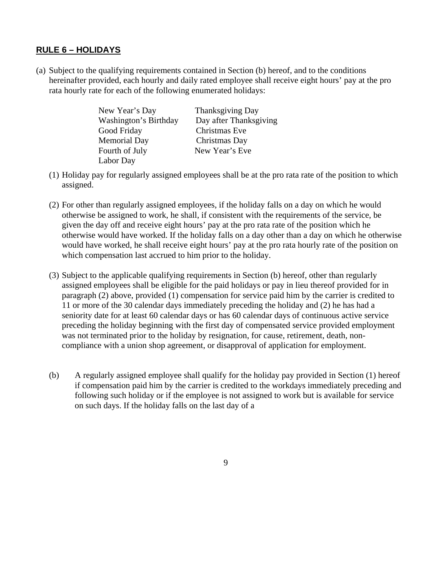#### **RULE 6 – HOLIDAYS**

(a) Subject to the qualifying requirements contained in Section (b) hereof, and to the conditions hereinafter provided, each hourly and daily rated employee shall receive eight hours' pay at the pro rata hourly rate for each of the following enumerated holidays:

| New Year's Day        | <b>Thanksgiving Day</b> |
|-----------------------|-------------------------|
| Washington's Birthday | Day after Thanksgiving  |
| Good Friday           | Christmas Eve           |
| <b>Memorial Day</b>   | Christmas Day           |
| Fourth of July        | New Year's Eve          |
| Labor Day             |                         |

- (1) Holiday pay for regularly assigned employees shall be at the pro rata rate of the position to which assigned.
- (2) For other than regularly assigned employees, if the holiday falls on a day on which he would otherwise be assigned to work, he shall, if consistent with the requirements of the service, be given the day off and receive eight hours' pay at the pro rata rate of the position which he otherwise would have worked. If the holiday falls on a day other than a day on which he otherwise would have worked, he shall receive eight hours' pay at the pro rata hourly rate of the position on which compensation last accrued to him prior to the holiday.
- (3) Subject to the applicable qualifying requirements in Section (b) hereof, other than regularly assigned employees shall be eligible for the paid holidays or pay in lieu thereof provided for in paragraph (2) above, provided (1) compensation for service paid him by the carrier is credited to 11 or more of the 30 calendar days immediately preceding the holiday and (2) he has had a seniority date for at least 60 calendar days or has 60 calendar days of continuous active service preceding the holiday beginning with the first day of compensated service provided employment was not terminated prior to the holiday by resignation, for cause, retirement, death, noncompliance with a union shop agreement, or disapproval of application for employment.
- (b) A regularly assigned employee shall qualify for the holiday pay provided in Section (1) hereof if compensation paid him by the carrier is credited to the workdays immediately preceding and following such holiday or if the employee is not assigned to work but is available for service on such days. If the holiday falls on the last day of a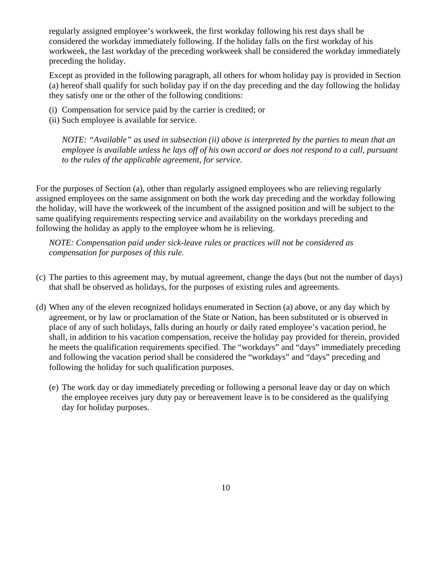regularly assigned employee's workweek, the first workday following his rest days shall be considered the workday immediately following. If the holiday falls on the first workday of his workweek, the last workday of the preceding workweek shall be considered the workday immediately preceding the holiday.

Except as provided in the following paragraph, all others for whom holiday pay is provided in Section (a) hereof shall qualify for such holiday pay if on the day preceding and the day following the holiday they satisfy one or the other of the following conditions:

- (i) Compensation for service paid by the carrier is credited; or
- (ii) Such employee is available for service.

*NOTE: "Available" as used in subsection (ii) above is interpreted by the parties to mean that an employee is available unless he lays off of his own accord or does not respond to a call, pursuant to the rules of the applicable agreement, for service.* 

For the purposes of Section (a), other than regularly assigned employees who are relieving regularly assigned employees on the same assignment on both the work day preceding and the workday following the holiday, will have the workweek of the incumbent of the assigned position and will be subject to the same qualifying requirements respecting service and availability on the workdays preceding and following the holiday as apply to the employee whom he is relieving.

*NOTE: Compensation paid under sick-leave rules or practices will not be considered as compensation for purposes of this rule.* 

- (c) The parties to this agreement may, by mutual agreement, change the days (but not the number of days) that shall be observed as holidays, for the purposes of existing rules and agreements.
- (d) When any of the eleven recognized holidays enumerated in Section (a) above, or any day which by agreement, or by law or proclamation of the State or Nation, has been substituted or is observed in place of any of such holidays, falls during an hourly or daily rated employee's vacation period, he shall, in addition to his vacation compensation, receive the holiday pay provided for therein, provided he meets the qualification requirements specified. The "workdays" and "days" immediately preceding and following the vacation period shall be considered the "workdays" and "days" preceding and following the holiday for such qualification purposes.
	- (e) The work day or day immediately preceding or following a personal leave day or day on which the employee receives jury duty pay or bereavement leave is to be considered as the qualifying day for holiday purposes.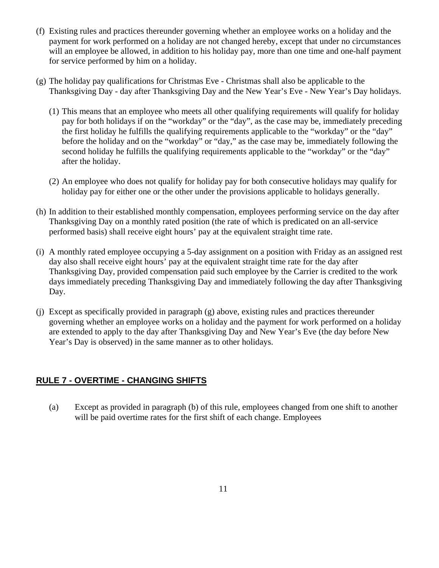- (f) Existing rules and practices thereunder governing whether an employee works on a holiday and the payment for work performed on a holiday are not changed hereby, except that under no circumstances will an employee be allowed, in addition to his holiday pay, more than one time and one-half payment for service performed by him on a holiday.
- (g) The holiday pay qualifications for Christmas Eve Christmas shall also be applicable to the Thanksgiving Day - day after Thanksgiving Day and the New Year's Eve - New Year's Day holidays.
	- (1) This means that an employee who meets all other qualifying requirements will qualify for holiday pay for both holidays if on the "workday" or the "day", as the case may be, immediately preceding the first holiday he fulfills the qualifying requirements applicable to the "workday" or the "day" before the holiday and on the "workday" or "day," as the case may be, immediately following the second holiday he fulfills the qualifying requirements applicable to the "workday" or the "day" after the holiday.
	- (2) An employee who does not qualify for holiday pay for both consecutive holidays may qualify for holiday pay for either one or the other under the provisions applicable to holidays generally.
- (h) In addition to their established monthly compensation, employees performing service on the day after Thanksgiving Day on a monthly rated position (the rate of which is predicated on an all-service performed basis) shall receive eight hours' pay at the equivalent straight time rate.
- (i) A monthly rated employee occupying a 5-day assignment on a position with Friday as an assigned rest day also shall receive eight hours' pay at the equivalent straight time rate for the day after Thanksgiving Day, provided compensation paid such employee by the Carrier is credited to the work days immediately preceding Thanksgiving Day and immediately following the day after Thanksgiving Day.
- (j) Except as specifically provided in paragraph (g) above, existing rules and practices thereunder governing whether an employee works on a holiday and the payment for work performed on a holiday are extended to apply to the day after Thanksgiving Day and New Year's Eve (the day before New Year's Day is observed) in the same manner as to other holidays.

#### **RULE 7 - OVERTIME - CHANGING SHIFTS**

(a) Except as provided in paragraph (b) of this rule, employees changed from one shift to another will be paid overtime rates for the first shift of each change. Employees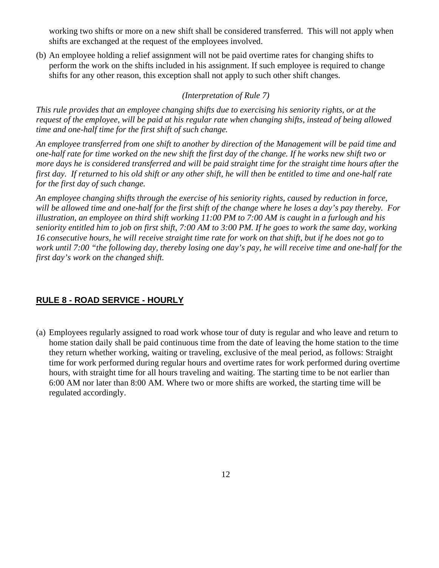working two shifts or more on a new shift shall be considered transferred. This will not apply when shifts are exchanged at the request of the employees involved.

(b) An employee holding a relief assignment will not be paid overtime rates for changing shifts to perform the work on the shifts included in his assignment. If such employee is required to change shifts for any other reason, this exception shall not apply to such other shift changes.

#### *(Interpretation of Rule 7)*

*This rule provides that an employee changing shifts due to exercising his seniority rights, or at the request of the employee, will be paid at his regular rate when changing shifts, instead of being allowed time and one-half time for the first shift of such change.* 

*An employee transferred from one shift to another by direction of the Management will be paid time and one-half rate for time worked on the new shift the first day of the change. If he works new shift two or more days he is considered transferred and will be paid straight time for the straight time hours after the first day. If returned to his old shift or any other shift, he will then be entitled to time and one-half rate for the first day of such change.* 

*An employee changing shifts through the exercise of his seniority rights, caused by reduction in force, will be allowed time and one-half for the first shift of the change where he loses a day's pay thereby. For illustration, an employee on third shift working 11:00 PM to 7:00 AM is caught in a furlough and his seniority entitled him to job on first shift, 7:00 AM to 3:00 PM. If he goes to work the same day, working 16 consecutive hours, he will receive straight time rate for work on that shift, but if he does not go to work until 7:00 "the following day, thereby losing one day's pay, he will receive time and one-half for the first day's work on the changed shift.* 

#### **RULE 8 - ROAD SERVICE - HOURLY**

(a) Employees regularly assigned to road work whose tour of duty is regular and who leave and return to home station daily shall be paid continuous time from the date of leaving the home station to the time they return whether working, waiting or traveling, exclusive of the meal period, as follows: Straight time for work performed during regular hours and overtime rates for work performed during overtime hours, with straight time for all hours traveling and waiting. The starting time to be not earlier than 6:00 AM nor later than 8:00 AM. Where two or more shifts are worked, the starting time will be regulated accordingly.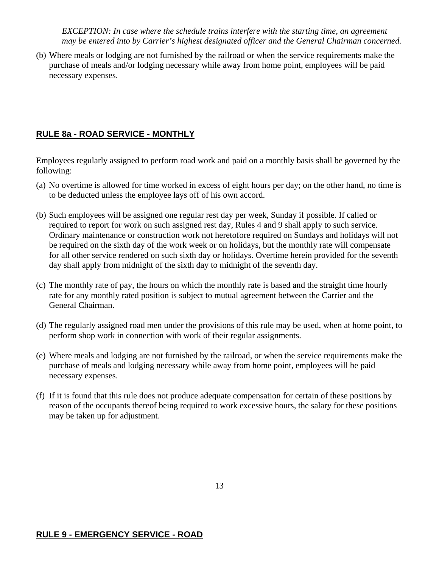*EXCEPTION: In case where the schedule trains interfere with the starting time, an agreement may be entered into by Carrier's highest designated officer and the General Chairman concerned.* 

(b) Where meals or lodging are not furnished by the railroad or when the service requirements make the purchase of meals and/or lodging necessary while away from home point, employees will be paid necessary expenses.

#### **RULE 8a - ROAD SERVICE - MONTHLY**

Employees regularly assigned to perform road work and paid on a monthly basis shall be governed by the following:

- (a) No overtime is allowed for time worked in excess of eight hours per day; on the other hand, no time is to be deducted unless the employee lays off of his own accord.
- (b) Such employees will be assigned one regular rest day per week, Sunday if possible. If called or required to report for work on such assigned rest day, Rules 4 and 9 shall apply to such service. Ordinary maintenance or construction work not heretofore required on Sundays and holidays will not be required on the sixth day of the work week or on holidays, but the monthly rate will compensate for all other service rendered on such sixth day or holidays. Overtime herein provided for the seventh day shall apply from midnight of the sixth day to midnight of the seventh day.
- (c) The monthly rate of pay, the hours on which the monthly rate is based and the straight time hourly rate for any monthly rated position is subject to mutual agreement between the Carrier and the General Chairman.
- (d) The regularly assigned road men under the provisions of this rule may be used, when at home point, to perform shop work in connection with work of their regular assignments.
- (e) Where meals and lodging are not furnished by the railroad, or when the service requirements make the purchase of meals and lodging necessary while away from home point, employees will be paid necessary expenses.
- (f) If it is found that this rule does not produce adequate compensation for certain of these positions by reason of the occupants thereof being required to work excessive hours, the salary for these positions may be taken up for adjustment.

# **RULE 9 - EMERGENCY SERVICE - ROAD**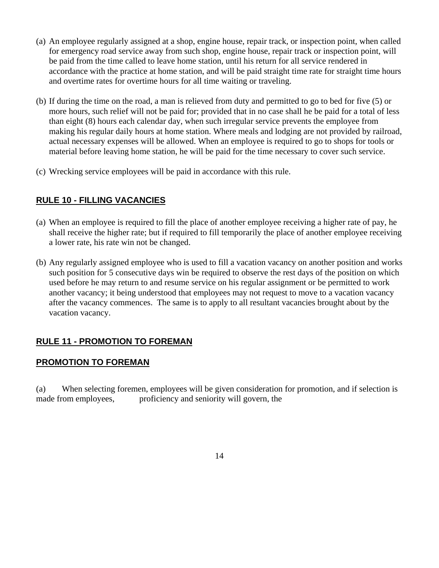- (a) An employee regularly assigned at a shop, engine house, repair track, or inspection point, when called for emergency road service away from such shop, engine house, repair track or inspection point, will be paid from the time called to leave home station, until his return for all service rendered in accordance with the practice at home station, and will be paid straight time rate for straight time hours and overtime rates for overtime hours for all time waiting or traveling.
- (b) If during the time on the road, a man is relieved from duty and permitted to go to bed for five (5) or more hours, such relief will not be paid for; provided that in no case shall he be paid for a total of less than eight (8) hours each calendar day, when such irregular service prevents the employee from making his regular daily hours at home station. Where meals and lodging are not provided by railroad, actual necessary expenses will be allowed. When an employee is required to go to shops for tools or material before leaving home station, he will be paid for the time necessary to cover such service.
- (c) Wrecking service employees will be paid in accordance with this rule.

# **RULE 10 - FILLING VACANCIES**

- (a) When an employee is required to fill the place of another employee receiving a higher rate of pay, he shall receive the higher rate; but if required to fill temporarily the place of another employee receiving a lower rate, his rate win not be changed.
- (b) Any regularly assigned employee who is used to fill a vacation vacancy on another position and works such position for 5 consecutive days win be required to observe the rest days of the position on which used before he may return to and resume service on his regular assignment or be permitted to work another vacancy; it being understood that employees may not request to move to a vacation vacancy after the vacancy commences. The same is to apply to all resultant vacancies brought about by the vacation vacancy.

#### **RULE 11 - PROMOTION TO FOREMAN**

#### **PROMOTION TO FOREMAN**

(a) When selecting foremen, employees will be given consideration for promotion, and if selection is made from employees, proficiency and seniority will govern, the

14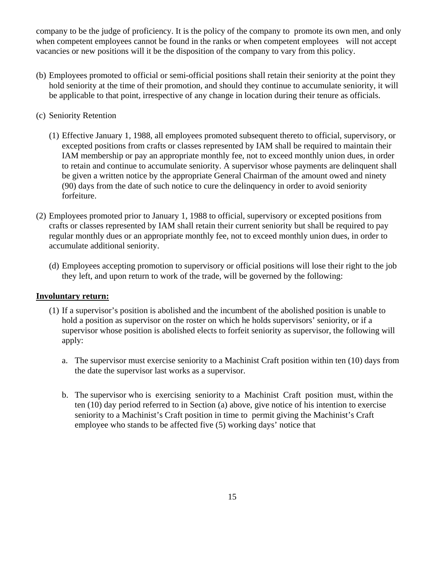company to be the judge of proficiency. It is the policy of the company to promote its own men, and only when competent employees cannot be found in the ranks or when competent employees will not accept vacancies or new positions will it be the disposition of the company to vary from this policy.

- (b) Employees promoted to official or semi-official positions shall retain their seniority at the point they hold seniority at the time of their promotion, and should they continue to accumulate seniority, it will be applicable to that point, irrespective of any change in location during their tenure as officials.
- (c) Seniority Retention
	- (1) Effective January 1, 1988, all employees promoted subsequent thereto to official, supervisory, or excepted positions from crafts or classes represented by IAM shall be required to maintain their IAM membership or pay an appropriate monthly fee, not to exceed monthly union dues, in order to retain and continue to accumulate seniority. A supervisor whose payments are delinquent shall be given a written notice by the appropriate General Chairman of the amount owed and ninety (90) days from the date of such notice to cure the delinquency in order to avoid seniority forfeiture.
- (2) Employees promoted prior to January 1, 1988 to official, supervisory or excepted positions from crafts or classes represented by IAM shall retain their current seniority but shall be required to pay regular monthly dues or an appropriate monthly fee, not to exceed monthly union dues, in order to accumulate additional seniority.
	- (d) Employees accepting promotion to supervisory or official positions will lose their right to the job they left, and upon return to work of the trade, will be governed by the following:

#### **Involuntary return:**

- (1) If a supervisor's position is abolished and the incumbent of the abolished position is unable to hold a position as supervisor on the roster on which he holds supervisors' seniority, or if a supervisor whose position is abolished elects to forfeit seniority as supervisor, the following will apply:
	- a. The supervisor must exercise seniority to a Machinist Craft position within ten (10) days from the date the supervisor last works as a supervisor.
	- b. The supervisor who is exercising seniority to a Machinist Craft position must, within the ten (10) day period referred to in Section (a) above, give notice of his intention to exercise seniority to a Machinist's Craft position in time to permit giving the Machinist's Craft employee who stands to be affected five (5) working days' notice that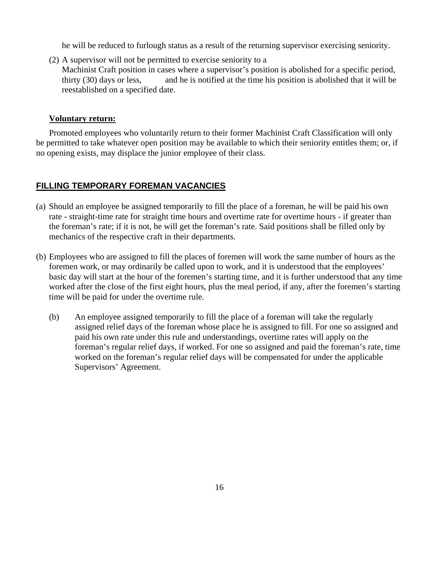he will be reduced to furlough status as a result of the returning supervisor exercising seniority.

(2) A supervisor will not be permitted to exercise seniority to a Machinist Craft position in cases where a supervisor's position is abolished for a specific period, thirty (30) days or less, and he is notified at the time his position is abolished that it will be reestablished on a specified date.

#### **Voluntary return:**

Promoted employees who voluntarily return to their former Machinist Craft Classification will only be permitted to take whatever open position may be available to which their seniority entitles them; or, if no opening exists, may displace the junior employee of their class.

#### **FILLING TEMPORARY FOREMAN VACANCIES**

- (a) Should an employee be assigned temporarily to fill the place of a foreman, he will be paid his own rate - straight-time rate for straight time hours and overtime rate for overtime hours - if greater than the foreman's rate; if it is not, he will get the foreman's rate. Said positions shall be filled only by mechanics of the respective craft in their departments.
- (b) Employees who are assigned to fill the places of foremen will work the same number of hours as the foremen work, or may ordinarily be called upon to work, and it is understood that the employees' basic day will start at the hour of the foremen's starting time, and it is further understood that any time worked after the close of the first eight hours, plus the meal period, if any, after the foremen's starting time will be paid for under the overtime rule.
	- (b) An employee assigned temporarily to fill the place of a foreman will take the regularly assigned relief days of the foreman whose place he is assigned to fill. For one so assigned and paid his own rate under this rule and understandings, overtime rates will apply on the foreman's regular relief days, if worked. For one so assigned and paid the foreman's rate, time worked on the foreman's regular relief days will be compensated for under the applicable Supervisors' Agreement.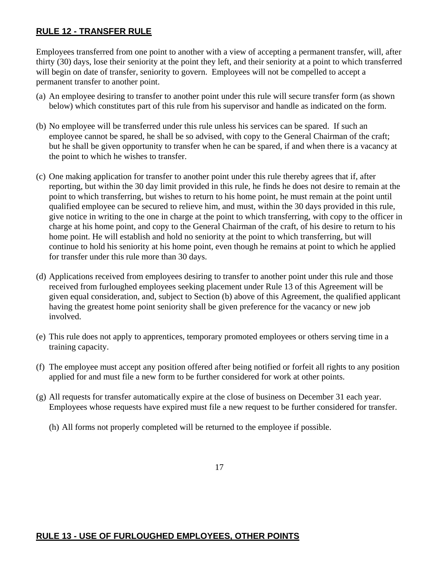# **RULE 12 - TRANSFER RULE**

Employees transferred from one point to another with a view of accepting a permanent transfer, will, after thirty (30) days, lose their seniority at the point they left, and their seniority at a point to which transferred will begin on date of transfer, seniority to govern. Employees will not be compelled to accept a permanent transfer to another point.

- (a) An employee desiring to transfer to another point under this rule will secure transfer form (as shown below) which constitutes part of this rule from his supervisor and handle as indicated on the form.
- (b) No employee will be transferred under this rule unless his services can be spared. If such an employee cannot be spared, he shall be so advised, with copy to the General Chairman of the craft; but he shall be given opportunity to transfer when he can be spared, if and when there is a vacancy at the point to which he wishes to transfer.
- (c) One making application for transfer to another point under this rule thereby agrees that if, after reporting, but within the 30 day limit provided in this rule, he finds he does not desire to remain at the point to which transferring, but wishes to return to his home point, he must remain at the point until qualified employee can be secured to relieve him, and must, within the 30 days provided in this rule, give notice in writing to the one in charge at the point to which transferring, with copy to the officer in charge at his home point, and copy to the General Chairman of the craft, of his desire to return to his home point. He will establish and hold no seniority at the point to which transferring, but will continue to hold his seniority at his home point, even though he remains at point to which he applied for transfer under this rule more than 30 days.
- (d) Applications received from employees desiring to transfer to another point under this rule and those received from furloughed employees seeking placement under Rule 13 of this Agreement will be given equal consideration, and, subject to Section (b) above of this Agreement, the qualified applicant having the greatest home point seniority shall be given preference for the vacancy or new job involved.
- (e) This rule does not apply to apprentices, temporary promoted employees or others serving time in a training capacity.
- (f) The employee must accept any position offered after being notified or forfeit all rights to any position applied for and must file a new form to be further considered for work at other points.
- (g) All requests for transfer automatically expire at the close of business on December 31 each year. Employees whose requests have expired must file a new request to be further considered for transfer.
	- (h) All forms not properly completed will be returned to the employee if possible.

#### **RULE 13 - USE OF FURLOUGHED EMPLOYEES, OTHER POINTS**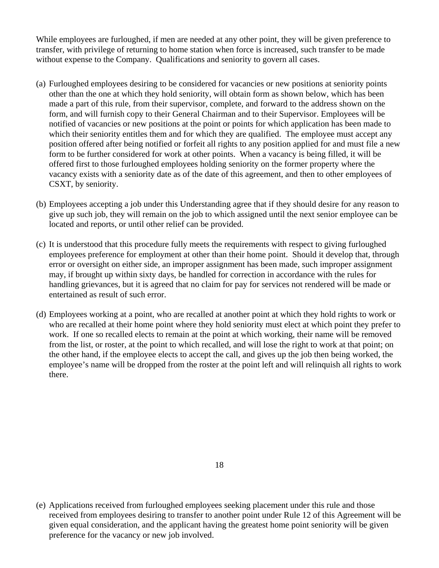While employees are furloughed, if men are needed at any other point, they will be given preference to transfer, with privilege of returning to home station when force is increased, such transfer to be made without expense to the Company. Qualifications and seniority to govern all cases.

- (a) Furloughed employees desiring to be considered for vacancies or new positions at seniority points other than the one at which they hold seniority, will obtain form as shown below, which has been made a part of this rule, from their supervisor, complete, and forward to the address shown on the form, and will furnish copy to their General Chairman and to their Supervisor. Employees will be notified of vacancies or new positions at the point or points for which application has been made to which their seniority entitles them and for which they are qualified. The employee must accept any position offered after being notified or forfeit all rights to any position applied for and must file a new form to be further considered for work at other points. When a vacancy is being filled, it will be offered first to those furloughed employees holding seniority on the former property where the vacancy exists with a seniority date as of the date of this agreement, and then to other employees of CSXT, by seniority.
- (b) Employees accepting a job under this Understanding agree that if they should desire for any reason to give up such job, they will remain on the job to which assigned until the next senior employee can be located and reports, or until other relief can be provided.
- (c) It is understood that this procedure fully meets the requirements with respect to giving furloughed employees preference for employment at other than their home point. Should it develop that, through error or oversight on either side, an improper assignment has been made, such improper assignment may, if brought up within sixty days, be handled for correction in accordance with the rules for handling grievances, but it is agreed that no claim for pay for services not rendered will be made or entertained as result of such error.
- (d) Employees working at a point, who are recalled at another point at which they hold rights to work or who are recalled at their home point where they hold seniority must elect at which point they prefer to work. If one so recalled elects to remain at the point at which working, their name will be removed from the list, or roster, at the point to which recalled, and will lose the right to work at that point; on the other hand, if the employee elects to accept the call, and gives up the job then being worked, the employee's name will be dropped from the roster at the point left and will relinquish all rights to work there.

- 18
- (e) Applications received from furloughed employees seeking placement under this rule and those received from employees desiring to transfer to another point under Rule 12 of this Agreement will be given equal consideration, and the applicant having the greatest home point seniority will be given preference for the vacancy or new job involved.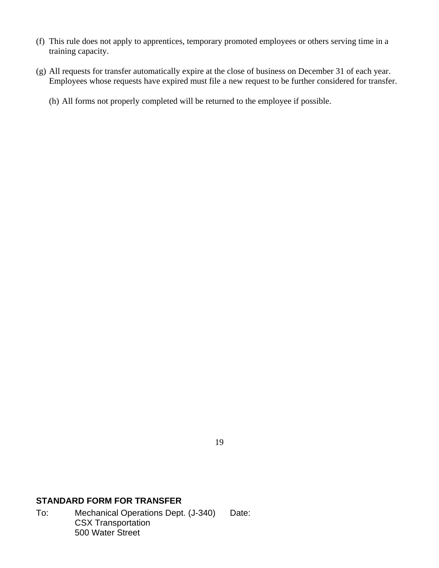- (f) This rule does not apply to apprentices, temporary promoted employees or others serving time in a training capacity.
- (g) All requests for transfer automatically expire at the close of business on December 31 of each year. Employees whose requests have expired must file a new request to be further considered for transfer.
	- (h) All forms not properly completed will be returned to the employee if possible.

19

#### **STANDARD FORM FOR TRANSFER**

To: Mechanical Operations Dept. (J-340) Date: CSX Transportation 500 Water Street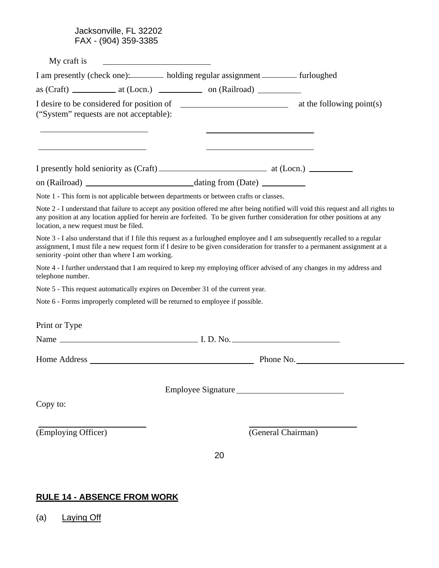Jacksonville, FL 32202 FAX - (904) 359-3385

| My craft is<br><u> 1989 - Johann Stein, fransk politik (f. 1989)</u>                   |                    |                                                                                                                                                                                                                                                                   |
|----------------------------------------------------------------------------------------|--------------------|-------------------------------------------------------------------------------------------------------------------------------------------------------------------------------------------------------------------------------------------------------------------|
| I am presently (check one): holding regular assignment _______ furloughed              |                    |                                                                                                                                                                                                                                                                   |
|                                                                                        |                    |                                                                                                                                                                                                                                                                   |
| ("System" requests are not acceptable):                                                |                    |                                                                                                                                                                                                                                                                   |
|                                                                                        |                    |                                                                                                                                                                                                                                                                   |
|                                                                                        |                    |                                                                                                                                                                                                                                                                   |
| Note 1 - This form is not applicable between departments or between crafts or classes. |                    |                                                                                                                                                                                                                                                                   |
| location, a new request must be filed.                                                 |                    | Note 2 - I understand that failure to accept any position offered me after being notified will void this request and all rights to<br>any position at any location applied for herein are forfeited. To be given further consideration for other positions at any |
| seniority -point other than where I am working.                                        |                    | Note 3 - I also understand that if I file this request as a furloughed employee and I am subsequently recalled to a regular<br>assignment, I must file a new request form if I desire to be given consideration for transfer to a permanent assignment at a       |
| telephone number.                                                                      |                    | Note 4 - I further understand that I am required to keep my employing officer advised of any changes in my address and                                                                                                                                            |
| Note 5 - This request automatically expires on December 31 of the current year.        |                    |                                                                                                                                                                                                                                                                   |
| Note 6 - Forms improperly completed will be returned to employee if possible.          |                    |                                                                                                                                                                                                                                                                   |
| Print or Type                                                                          |                    |                                                                                                                                                                                                                                                                   |
|                                                                                        |                    |                                                                                                                                                                                                                                                                   |
| Home Address Phone No.                                                                 |                    |                                                                                                                                                                                                                                                                   |
|                                                                                        | Employee Signature |                                                                                                                                                                                                                                                                   |
| Copy to:                                                                               |                    |                                                                                                                                                                                                                                                                   |
| (Employing Officer)                                                                    |                    | (General Chairman)                                                                                                                                                                                                                                                |
|                                                                                        | 20                 |                                                                                                                                                                                                                                                                   |
|                                                                                        |                    |                                                                                                                                                                                                                                                                   |
|                                                                                        |                    |                                                                                                                                                                                                                                                                   |

# **RULE 14 - ABSENCE FROM WORK**

(a) Laying Off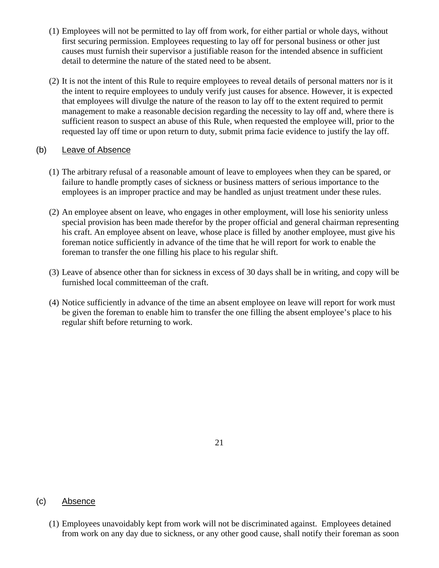- (1) Employees will not be permitted to lay off from work, for either partial or whole days, without first securing permission. Employees requesting to lay off for personal business or other just causes must furnish their supervisor a justifiable reason for the intended absence in sufficient detail to determine the nature of the stated need to be absent.
- (2) It is not the intent of this Rule to require employees to reveal details of personal matters nor is it the intent to require employees to unduly verify just causes for absence. However, it is expected that employees will divulge the nature of the reason to lay off to the extent required to permit management to make a reasonable decision regarding the necessity to lay off and, where there is sufficient reason to suspect an abuse of this Rule, when requested the employee will, prior to the requested lay off time or upon return to duty, submit prima facie evidence to justify the lay off.

#### (b) Leave of Absence

- (1) The arbitrary refusal of a reasonable amount of leave to employees when they can be spared, or failure to handle promptly cases of sickness or business matters of serious importance to the employees is an improper practice and may be handled as unjust treatment under these rules.
- (2) An employee absent on leave, who engages in other employment, will lose his seniority unless special provision has been made therefor by the proper official and general chairman representing his craft. An employee absent on leave, whose place is filled by another employee, must give his foreman notice sufficiently in advance of the time that he will report for work to enable the foreman to transfer the one filling his place to his regular shift.
- (3) Leave of absence other than for sickness in excess of 30 days shall be in writing, and copy will be furnished local committeeman of the craft.
- (4) Notice sufficiently in advance of the time an absent employee on leave will report for work must be given the foreman to enable him to transfer the one filling the absent employee's place to his regular shift before returning to work.

21

#### (c) Absence

(1) Employees unavoidably kept from work will not be discriminated against. Employees detained from work on any day due to sickness, or any other good cause, shall notify their foreman as soon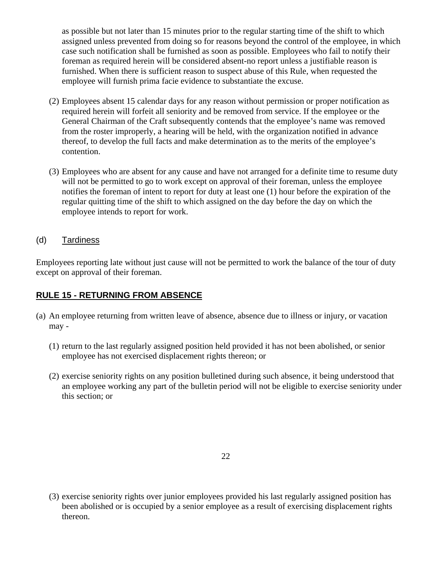as possible but not later than 15 minutes prior to the regular starting time of the shift to which assigned unless prevented from doing so for reasons beyond the control of the employee, in which case such notification shall be furnished as soon as possible. Employees who fail to notify their foreman as required herein will be considered absent-no report unless a justifiable reason is furnished. When there is sufficient reason to suspect abuse of this Rule, when requested the employee will furnish prima facie evidence to substantiate the excuse.

- (2) Employees absent 15 calendar days for any reason without permission or proper notification as required herein will forfeit all seniority and be removed from service. If the employee or the General Chairman of the Craft subsequently contends that the employee's name was removed from the roster improperly, a hearing will be held, with the organization notified in advance thereof, to develop the full facts and make determination as to the merits of the employee's contention.
- (3) Employees who are absent for any cause and have not arranged for a definite time to resume duty will not be permitted to go to work except on approval of their foreman, unless the employee notifies the foreman of intent to report for duty at least one (1) hour before the expiration of the regular quitting time of the shift to which assigned on the day before the day on which the employee intends to report for work.

# (d) Tardiness

Employees reporting late without just cause will not be permitted to work the balance of the tour of duty except on approval of their foreman.

#### **RULE 15 - RETURNING FROM ABSENCE**

- (a) An employee returning from written leave of absence, absence due to illness or injury, or vacation may -
	- (1) return to the last regularly assigned position held provided it has not been abolished, or senior employee has not exercised displacement rights thereon; or
	- (2) exercise seniority rights on any position bulletined during such absence, it being understood that an employee working any part of the bulletin period will not be eligible to exercise seniority under this section; or

22

(3) exercise seniority rights over junior employees provided his last regularly assigned position has been abolished or is occupied by a senior employee as a result of exercising displacement rights thereon.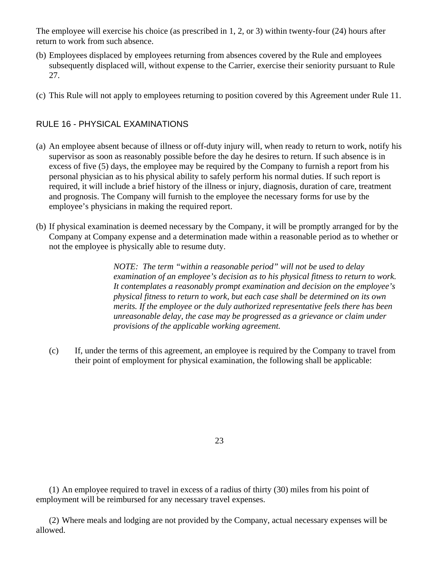The employee will exercise his choice (as prescribed in 1, 2, or 3) within twenty-four (24) hours after return to work from such absence.

- (b) Employees displaced by employees returning from absences covered by the Rule and employees subsequently displaced will, without expense to the Carrier, exercise their seniority pursuant to Rule 27.
- (c) This Rule will not apply to employees returning to position covered by this Agreement under Rule 11.

# RULE 16 - PHYSICAL EXAMINATIONS

- (a) An employee absent because of illness or off-duty injury will, when ready to return to work, notify his supervisor as soon as reasonably possible before the day he desires to return. If such absence is in excess of five (5) days, the employee may be required by the Company to furnish a report from his personal physician as to his physical ability to safely perform his normal duties. If such report is required, it will include a brief history of the illness or injury, diagnosis, duration of care, treatment and prognosis. The Company will furnish to the employee the necessary forms for use by the employee's physicians in making the required report.
- (b) If physical examination is deemed necessary by the Company, it will be promptly arranged for by the Company at Company expense and a determination made within a reasonable period as to whether or not the employee is physically able to resume duty.

*NOTE: The term "within a reasonable period" will not be used to delay examination of an employee's decision as to his physical fitness to return to work. It contemplates a reasonably prompt examination and decision on the employee's physical fitness to return to work, but each case shall be determined on its own merits. If the employee or the duly authorized representative feels there has been unreasonable delay, the case may be progressed as a grievance or claim under provisions of the applicable working agreement.* 

(c) If, under the terms of this agreement, an employee is required by the Company to travel from their point of employment for physical examination, the following shall be applicable:

23

(1) An employee required to travel in excess of a radius of thirty (30) miles from his point of employment will be reimbursed for any necessary travel expenses.

(2) Where meals and lodging are not provided by the Company, actual necessary expenses will be allowed.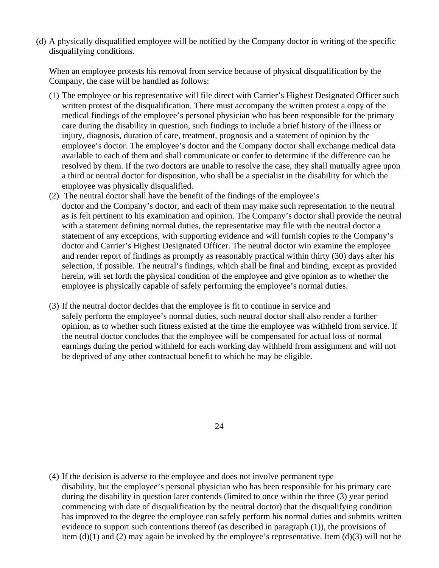(d) A physically disqualified employee will be notified by the Company doctor in writing of the specific disqualifying conditions.

When an employee protests his removal from service because of physical disqualification by the Company, the case will be handled as follows:

- (1) The employee or his representative will file direct with Carrier's Highest Designated Officer such written protest of the disqualification. There must accompany the written protest a copy of the medical findings of the employee's personal physician who has been responsible for the primary care during the disability in question, such findings to include a brief history of the illness or injury, diagnosis, duration of care, treatment, prognosis and a statement of opinion by the employee's doctor. The employee's doctor and the Company doctor shall exchange medical data available to each of them and shall communicate or confer to determine if the difference can be resolved by them. If the two doctors are unable to resolve the case, they shall mutually agree upon a third or neutral doctor for disposition, who shall be a specialist in the disability for which the employee was physically disqualified.
- (2) The neutral doctor shall have the benefit of the findings of the employee's doctor and the Company's doctor, and each of them may make such representation to the neutral as is felt pertinent to his examination and opinion. The Company's doctor shall provide the neutral with a statement defining normal duties, the representative may file with the neutral doctor a statement of any exceptions, with supporting evidence and will furnish copies to the Company's doctor and Carrier's Highest Designated Officer. The neutral doctor win examine the employee and render report of findings as promptly as reasonably practical within thirty (30) days after his selection, if possible. The neutral's findings, which shall be final and binding, except as provided herein, will set forth the physical condition of the employee and give opinion as to whether the employee is physically capable of safely performing the employee's normal duties.
- (3) If the neutral doctor decides that the employee is fit to continue in service and safely perform the employee's normal duties, such neutral doctor shall also render a further opinion, as to whether such fitness existed at the time the employee was withheld from service. If the neutral doctor concludes that the employee will be compensated for actual loss of normal earnings during the period withheld for each working day withheld from assignment and will not be deprived of any other contractual benefit to which he may be eligible.

24

(4) If the decision is adverse to the employee and does not involve permanent type disability, but the employee's personal physician who has been responsible for his primary care during the disability in question later contends (limited to once within the three (3) year period commencing with date of disqualification by the neutral doctor) that the disqualifying condition has improved to the degree the employee can safely perform his normal duties and submits written evidence to support such contentions thereof (as described in paragraph (1)), the provisions of item (d)(1) and (2) may again be invoked by the employee's representative. Item (d)(3) will not be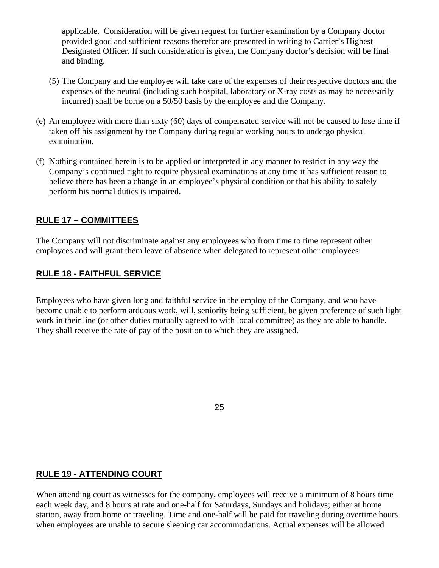applicable. Consideration will be given request for further examination by a Company doctor provided good and sufficient reasons therefor are presented in writing to Carrier's Highest Designated Officer. If such consideration is given, the Company doctor's decision will be final and binding.

- (5) The Company and the employee will take care of the expenses of their respective doctors and the expenses of the neutral (including such hospital, laboratory or X-ray costs as may be necessarily incurred) shall be borne on a 50/50 basis by the employee and the Company.
- (e) An employee with more than sixty (60) days of compensated service will not be caused to lose time if taken off his assignment by the Company during regular working hours to undergo physical examination.
- (f) Nothing contained herein is to be applied or interpreted in any manner to restrict in any way the Company's continued right to require physical examinations at any time it has sufficient reason to believe there has been a change in an employee's physical condition or that his ability to safely perform his normal duties is impaired.

#### **RULE 17 – COMMITTEES**

The Company will not discriminate against any employees who from time to time represent other employees and will grant them leave of absence when delegated to represent other employees.

#### **RULE 18 - FAITHFUL SERVICE**

Employees who have given long and faithful service in the employ of the Company, and who have become unable to perform arduous work, will, seniority being sufficient, be given preference of such light work in their line (or other duties mutually agreed to with local committee) as they are able to handle. They shall receive the rate of pay of the position to which they are assigned.

25

#### **RULE 19 - ATTENDING COURT**

When attending court as witnesses for the company, employees will receive a minimum of 8 hours time each week day, and 8 hours at rate and one-half for Saturdays, Sundays and holidays; either at home station, away from home or traveling. Time and one-half will be paid for traveling during overtime hours when employees are unable to secure sleeping car accommodations. Actual expenses will be allowed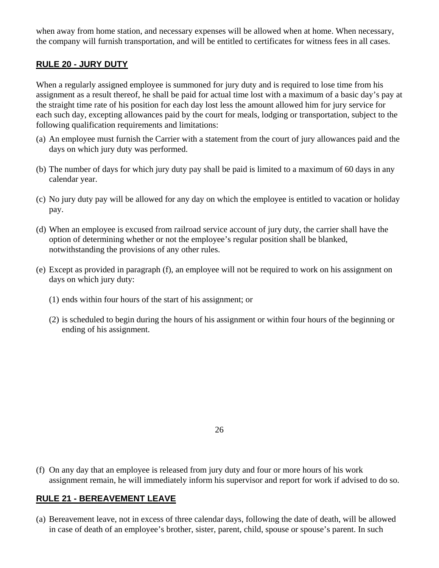when away from home station, and necessary expenses will be allowed when at home. When necessary, the company will furnish transportation, and will be entitled to certificates for witness fees in all cases.

#### **RULE 20 - JURY DUTY**

When a regularly assigned employee is summoned for jury duty and is required to lose time from his assignment as a result thereof, he shall be paid for actual time lost with a maximum of a basic day's pay at the straight time rate of his position for each day lost less the amount allowed him for jury service for each such day, excepting allowances paid by the court for meals, lodging or transportation, subject to the following qualification requirements and limitations:

- (a) An employee must furnish the Carrier with a statement from the court of jury allowances paid and the days on which jury duty was performed.
- (b) The number of days for which jury duty pay shall be paid is limited to a maximum of 60 days in any calendar year.
- (c) No jury duty pay will be allowed for any day on which the employee is entitled to vacation or holiday pay.
- (d) When an employee is excused from railroad service account of jury duty, the carrier shall have the option of determining whether or not the employee's regular position shall be blanked, notwithstanding the provisions of any other rules.
- (e) Except as provided in paragraph (f), an employee will not be required to work on his assignment on days on which jury duty:
	- (1) ends within four hours of the start of his assignment; or
	- (2) is scheduled to begin during the hours of his assignment or within four hours of the beginning or ending of his assignment.

26

(f) On any day that an employee is released from jury duty and four or more hours of his work assignment remain, he will immediately inform his supervisor and report for work if advised to do so.

#### **RULE 21 - BEREAVEMENT LEAVE**

(a) Bereavement leave, not in excess of three calendar days, following the date of death, will be allowed in case of death of an employee's brother, sister, parent, child, spouse or spouse's parent. In such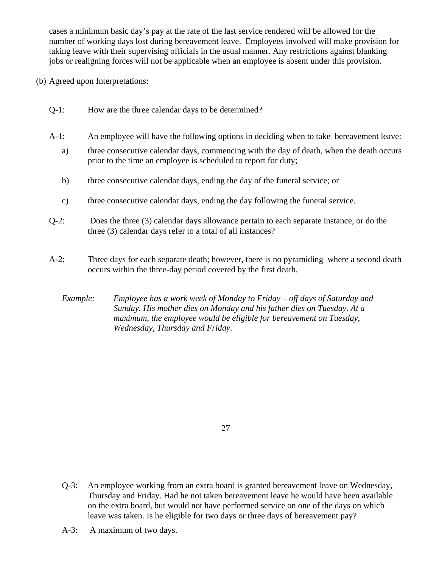cases a minimum basic day's pay at the rate of the last service rendered will be allowed for the number of working days lost during bereavement leave. Employees involved will make provision for taking leave with their supervising officials in the usual manner. Any restrictions against blanking jobs or realigning forces will not be applicable when an employee is absent under this provision.

- (b) Agreed upon Interpretations:
	- Q-1: How are the three calendar days to be determined?
	- A-1: An employee will have the following options in deciding when to take bereavement leave:
		- a) three consecutive calendar days, commencing with the day of death, when the death occurs prior to the time an employee is scheduled to report for duty;
		- b) three consecutive calendar days, ending the day of the funeral service; or
		- c) three consecutive calendar days, ending the day following the funeral service.
	- Q-2: Does the three (3) calendar days allowance pertain to each separate instance, or do the three (3) calendar days refer to a total of all instances?
	- A-2: Three days for each separate death; however, there is no pyramiding where a second death occurs within the three-day period covered by the first death.

*Example: Employee has a work week of Monday to Friday – off days of Saturday and Sunday. His mother dies on Monday and his father dies on Tuesday. At a maximum, the employee would be eligible for bereavement on Tuesday, Wednesday, Thursday and Friday.* 

27

- Q-3: An employee working from an extra board is granted bereavement leave on Wednesday, Thursday and Friday. Had he not taken bereavement leave he would have been available on the extra board, but would not have performed service on one of the days on which leave was taken. Is he eligible for two days or three days of bereavement pay?
- A-3: A maximum of two days.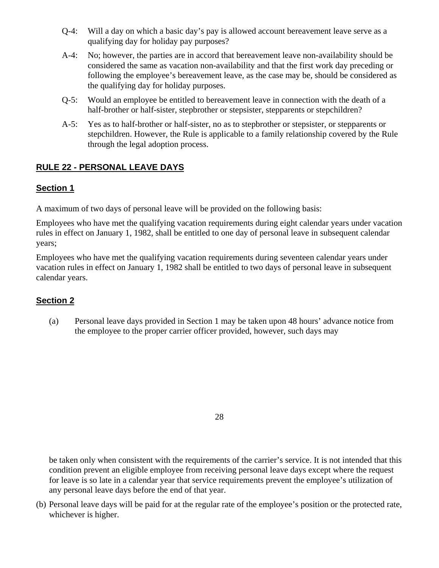- Q-4: Will a day on which a basic day's pay is allowed account bereavement leave serve as a qualifying day for holiday pay purposes?
- A-4: No; however, the parties are in accord that bereavement leave non-availability should be considered the same as vacation non-availability and that the first work day preceding or following the employee's bereavement leave, as the case may be, should be considered as the qualifying day for holiday purposes.
- Q-5: Would an employee be entitled to bereavement leave in connection with the death of a half-brother or half-sister, stepbrother or stepsister, stepparents or stepchildren?
- A-5: Yes as to half-brother or half-sister, no as to stepbrother or stepsister, or stepparents or stepchildren. However, the Rule is applicable to a family relationship covered by the Rule through the legal adoption process.

# **RULE 22 - PERSONAL LEAVE DAYS**

# **Section 1**

A maximum of two days of personal leave will be provided on the following basis:

Employees who have met the qualifying vacation requirements during eight calendar years under vacation rules in effect on January 1, 1982, shall be entitled to one day of personal leave in subsequent calendar years;

Employees who have met the qualifying vacation requirements during seventeen calendar years under vacation rules in effect on January 1, 1982 shall be entitled to two days of personal leave in subsequent calendar years.

# **Section 2**

(a) Personal leave days provided in Section 1 may be taken upon 48 hours' advance notice from the employee to the proper carrier officer provided, however, such days may

28

be taken only when consistent with the requirements of the carrier's service. It is not intended that this condition prevent an eligible employee from receiving personal leave days except where the request for leave is so late in a calendar year that service requirements prevent the employee's utilization of any personal leave days before the end of that year.

(b) Personal leave days will be paid for at the regular rate of the employee's position or the protected rate, whichever is higher.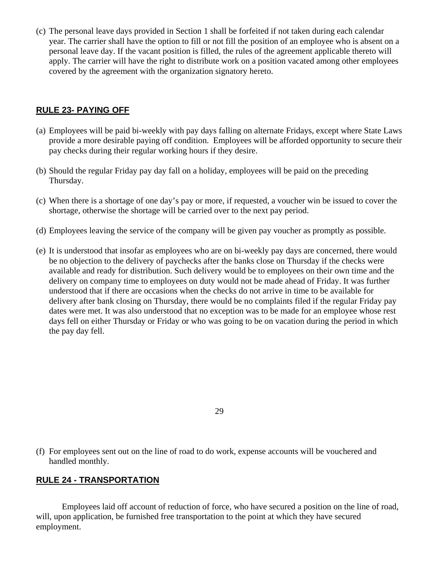(c) The personal leave days provided in Section 1 shall be forfeited if not taken during each calendar year. The carrier shall have the option to fill or not fill the position of an employee who is absent on a personal leave day. If the vacant position is filled, the rules of the agreement applicable thereto will apply. The carrier will have the right to distribute work on a position vacated among other employees covered by the agreement with the organization signatory hereto.

#### **RULE 23- PAYING OFF**

- (a) Employees will be paid bi-weekly with pay days falling on alternate Fridays, except where State Laws provide a more desirable paying off condition. Employees will be afforded opportunity to secure their pay checks during their regular working hours if they desire.
- (b) Should the regular Friday pay day fall on a holiday, employees will be paid on the preceding Thursday.
- (c) When there is a shortage of one day's pay or more, if requested, a voucher win be issued to cover the shortage, otherwise the shortage will be carried over to the next pay period.
- (d) Employees leaving the service of the company will be given pay voucher as promptly as possible.
- (e) It is understood that insofar as employees who are on bi-weekly pay days are concerned, there would be no objection to the delivery of paychecks after the banks close on Thursday if the checks were available and ready for distribution. Such delivery would be to employees on their own time and the delivery on company time to employees on duty would not be made ahead of Friday. It was further understood that if there are occasions when the checks do not arrive in time to be available for delivery after bank closing on Thursday, there would be no complaints filed if the regular Friday pay dates were met. It was also understood that no exception was to be made for an employee whose rest days fell on either Thursday or Friday or who was going to be on vacation during the period in which the pay day fell.

29

(f) For employees sent out on the line of road to do work, expense accounts will be vouchered and handled monthly.

#### **RULE 24 - TRANSPORTATION**

Employees laid off account of reduction of force, who have secured a position on the line of road, will, upon application, be furnished free transportation to the point at which they have secured employment.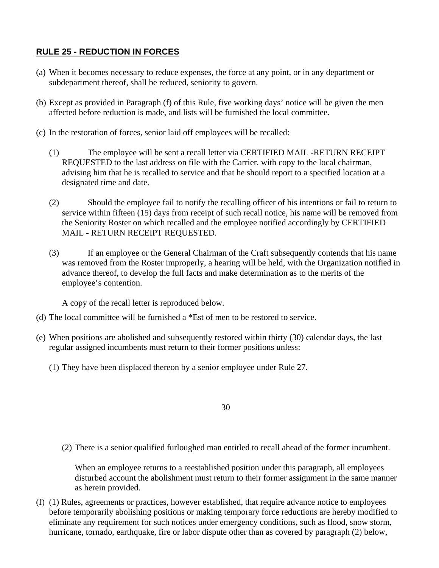# **RULE 25 - REDUCTION IN FORCES**

- (a) When it becomes necessary to reduce expenses, the force at any point, or in any department or subdepartment thereof, shall be reduced, seniority to govern.
- (b) Except as provided in Paragraph (f) of this Rule, five working days' notice will be given the men affected before reduction is made, and lists will be furnished the local committee.
- (c) In the restoration of forces, senior laid off employees will be recalled:
	- (1) The employee will be sent a recall letter via CERTIFIED MAIL -RETURN RECEIPT REQUESTED to the last address on file with the Carrier, with copy to the local chairman, advising him that he is recalled to service and that he should report to a specified location at a designated time and date.
	- (2) Should the employee fail to notify the recalling officer of his intentions or fail to return to service within fifteen (15) days from receipt of such recall notice, his name will be removed from the Seniority Roster on which recalled and the employee notified accordingly by CERTIFIED MAIL - RETURN RECEIPT REQUESTED.
	- (3) If an employee or the General Chairman of the Craft subsequently contends that his name was removed from the Roster improperly, a hearing will be held, with the Organization notified in advance thereof, to develop the full facts and make determination as to the merits of the employee's contention.

A copy of the recall letter is reproduced below.

- (d) The local committee will be furnished a \*Est of men to be restored to service.
- (e) When positions are abolished and subsequently restored within thirty (30) calendar days, the last regular assigned incumbents must return to their former positions unless:
	- (1) They have been displaced thereon by a senior employee under Rule 27.

30

(2) There is a senior qualified furloughed man entitled to recall ahead of the former incumbent.

When an employee returns to a reestablished position under this paragraph, all employees disturbed account the abolishment must return to their former assignment in the same manner as herein provided.

(f) (1) Rules, agreements or practices, however established, that require advance notice to employees before temporarily abolishing positions or making temporary force reductions are hereby modified to eliminate any requirement for such notices under emergency conditions, such as flood, snow storm, hurricane, tornado, earthquake, fire or labor dispute other than as covered by paragraph (2) below,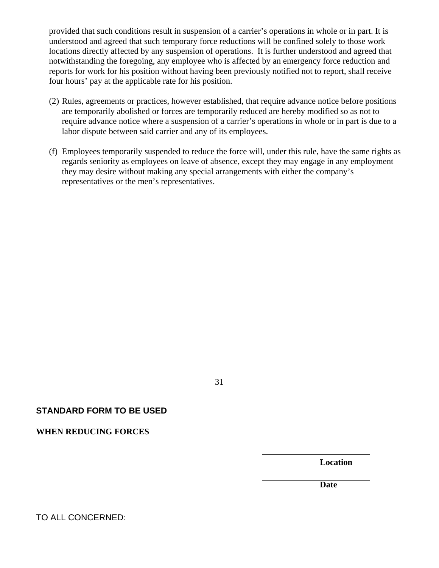provided that such conditions result in suspension of a carrier's operations in whole or in part. It is understood and agreed that such temporary force reductions will be confined solely to those work locations directly affected by any suspension of operations. It is further understood and agreed that notwithstanding the foregoing, any employee who is affected by an emergency force reduction and reports for work for his position without having been previously notified not to report, shall receive four hours' pay at the applicable rate for his position.

- (2) Rules, agreements or practices, however established, that require advance notice before positions are temporarily abolished or forces are temporarily reduced are hereby modified so as not to require advance notice where a suspension of a carrier's operations in whole or in part is due to a labor dispute between said carrier and any of its employees.
- (f) Employees temporarily suspended to reduce the force will, under this rule, have the same rights as regards seniority as employees on leave of absence, except they may engage in any employment they may desire without making any special arrangements with either the company's representatives or the men's representatives.

#### 31

#### **STANDARD FORM TO BE USED**

**WHEN REDUCING FORCES** 

**Location** 

**Date** 

TO ALL CONCERNED: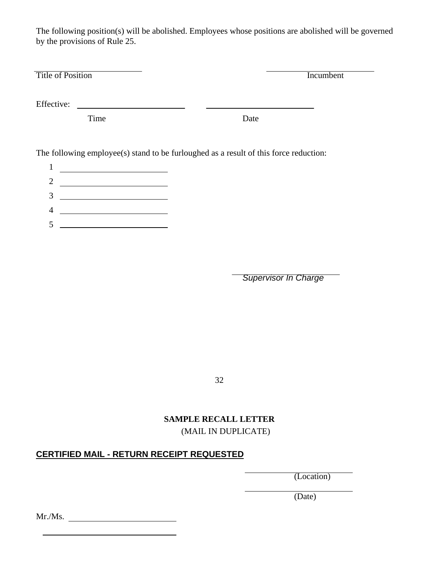The following position(s) will be abolished. Employees whose positions are abolished will be governed by the provisions of Rule 25.

| <b>Title of Position</b>                           | Incumbent                                                                             |
|----------------------------------------------------|---------------------------------------------------------------------------------------|
| Effective:                                         |                                                                                       |
| Time                                               | Date                                                                                  |
|                                                    | The following employee(s) stand to be furloughed as a result of this force reduction: |
| 1<br><u> 1980 - Johann Barn, mars eta bainar e</u> |                                                                                       |
| $\overline{2}$                                     |                                                                                       |
| 3                                                  |                                                                                       |

- 4
- $5 \begin{array}{c} \begin{array}{c} \end{array} \end{array}$

*Supervisor In Charge* 

32

# **SAMPLE RECALL LETTER**

(MAIL IN DUPLICATE)

# **CERTIFIED MAIL - RETURN RECEIPT REQUESTED**

(Location)

(Date)

Mr./Ms.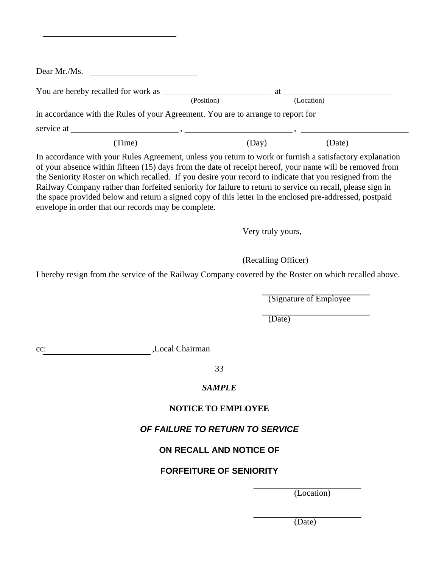|     | Dear Mr./Ms. $\qquad \qquad$                                                                                                                    |                                 |                                                                                                                                                                                                                                                                                                                                                                                                                                                |
|-----|-------------------------------------------------------------------------------------------------------------------------------------------------|---------------------------------|------------------------------------------------------------------------------------------------------------------------------------------------------------------------------------------------------------------------------------------------------------------------------------------------------------------------------------------------------------------------------------------------------------------------------------------------|
|     | You are hereby recalled for work as $\frac{\phantom{+}}{\phantom{+}}$ at $\frac{\phantom{+}}{\phantom{+}}$ at $\frac{\phantom{+}}{\phantom{+}}$ |                                 |                                                                                                                                                                                                                                                                                                                                                                                                                                                |
|     |                                                                                                                                                 |                                 |                                                                                                                                                                                                                                                                                                                                                                                                                                                |
|     | in accordance with the Rules of your Agreement. You are to arrange to report for                                                                |                                 |                                                                                                                                                                                                                                                                                                                                                                                                                                                |
|     |                                                                                                                                                 |                                 |                                                                                                                                                                                                                                                                                                                                                                                                                                                |
|     | (Time)                                                                                                                                          | (Day)                           | (Date)                                                                                                                                                                                                                                                                                                                                                                                                                                         |
|     | envelope in order that our records may be complete.                                                                                             |                                 | of your absence within fifteen (15) days from the date of receipt hereof, your name will be removed from<br>the Seniority Roster on which recalled. If you desire your record to indicate that you resigned from the<br>Railway Company rather than forfeited seniority for failure to return to service on recall, please sign in<br>the space provided below and return a signed copy of this letter in the enclosed pre-addressed, postpaid |
|     |                                                                                                                                                 | Very truly yours,               |                                                                                                                                                                                                                                                                                                                                                                                                                                                |
|     |                                                                                                                                                 |                                 |                                                                                                                                                                                                                                                                                                                                                                                                                                                |
|     |                                                                                                                                                 |                                 |                                                                                                                                                                                                                                                                                                                                                                                                                                                |
|     |                                                                                                                                                 | (Recalling Officer)             |                                                                                                                                                                                                                                                                                                                                                                                                                                                |
|     |                                                                                                                                                 |                                 |                                                                                                                                                                                                                                                                                                                                                                                                                                                |
|     |                                                                                                                                                 |                                 | (Signature of Employee)                                                                                                                                                                                                                                                                                                                                                                                                                        |
|     |                                                                                                                                                 | (Date)                          |                                                                                                                                                                                                                                                                                                                                                                                                                                                |
|     |                                                                                                                                                 |                                 |                                                                                                                                                                                                                                                                                                                                                                                                                                                |
|     | Local Chairman                                                                                                                                  |                                 |                                                                                                                                                                                                                                                                                                                                                                                                                                                |
| cc: |                                                                                                                                                 | 33                              | I hereby resign from the service of the Railway Company covered by the Roster on which recalled above.                                                                                                                                                                                                                                                                                                                                         |
|     |                                                                                                                                                 | <b>SAMPLE</b>                   |                                                                                                                                                                                                                                                                                                                                                                                                                                                |
|     |                                                                                                                                                 | <b>NOTICE TO EMPLOYEE</b>       |                                                                                                                                                                                                                                                                                                                                                                                                                                                |
|     |                                                                                                                                                 | OF FAILURE TO RETURN TO SERVICE |                                                                                                                                                                                                                                                                                                                                                                                                                                                |
|     |                                                                                                                                                 | ON RECALL AND NOTICE OF         |                                                                                                                                                                                                                                                                                                                                                                                                                                                |
|     |                                                                                                                                                 | <b>FORFEITURE OF SENIORITY</b>  |                                                                                                                                                                                                                                                                                                                                                                                                                                                |

(Date)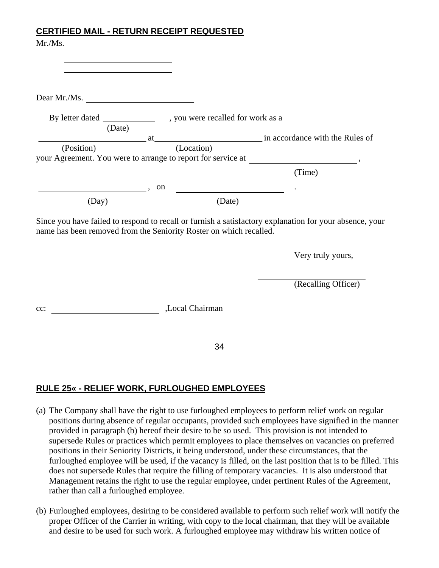# **CERTIFIED MAIL - RETURN RECEIPT REQUESTED**

| Mr.Ms.                                                                                                                                                                        |                 |                     |
|-------------------------------------------------------------------------------------------------------------------------------------------------------------------------------|-----------------|---------------------|
| the control of the control of the control of the control of the control of                                                                                                    |                 |                     |
| the control of the control of the control of the control of the control of                                                                                                    |                 |                     |
| Dear Mr./Ms. $\qquad \qquad$                                                                                                                                                  |                 |                     |
|                                                                                                                                                                               |                 |                     |
| (Date)                                                                                                                                                                        |                 |                     |
| your Agreement. You were to arrange to report for service at ____________________,                                                                                            |                 |                     |
|                                                                                                                                                                               |                 | (Time)              |
| $\sim$ , on                                                                                                                                                                   |                 |                     |
| (Day)                                                                                                                                                                         | (Date)          |                     |
| Since you have failed to respond to recall or furnish a satisfactory explanation for your absence, your<br>name has been removed from the Seniority Roster on which recalled. |                 |                     |
|                                                                                                                                                                               |                 | Very truly yours,   |
|                                                                                                                                                                               |                 | (Recalling Officer) |
| $cc$ :                                                                                                                                                                        | ,Local Chairman |                     |
|                                                                                                                                                                               |                 |                     |
|                                                                                                                                                                               | 34              |                     |

# **RULE 25« - RELIEF WORK, FURLOUGHED EMPLOYEES**

- (a) The Company shall have the right to use furloughed employees to perform relief work on regular positions during absence of regular occupants, provided such employees have signified in the manner provided in paragraph (b) hereof their desire to be so used. This provision is not intended to supersede Rules or practices which permit employees to place themselves on vacancies on preferred positions in their Seniority Districts, it being understood, under these circumstances, that the furloughed employee will be used, if the vacancy is filled, on the last position that is to be filled. This does not supersede Rules that require the filling of temporary vacancies. It is also understood that Management retains the right to use the regular employee, under pertinent Rules of the Agreement, rather than call a furloughed employee.
- (b) Furloughed employees, desiring to be considered available to perform such relief work will notify the proper Officer of the Carrier in writing, with copy to the local chairman, that they will be available and desire to be used for such work. A furloughed employee may withdraw his written notice of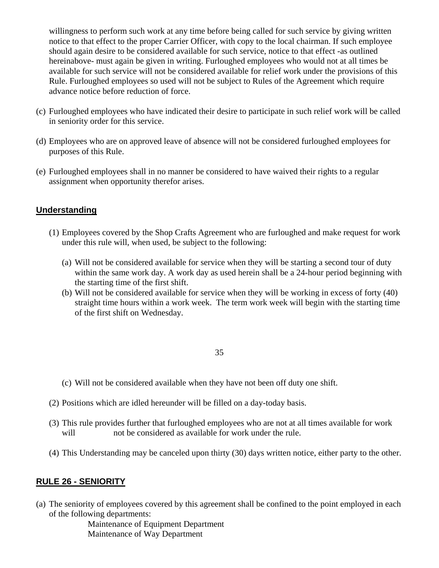willingness to perform such work at any time before being called for such service by giving written notice to that effect to the proper Carrier Officer, with copy to the local chairman. If such employee should again desire to be considered available for such service, notice to that effect -as outlined hereinabove- must again be given in writing. Furloughed employees who would not at all times be available for such service will not be considered available for relief work under the provisions of this Rule. Furloughed employees so used will not be subject to Rules of the Agreement which require advance notice before reduction of force.

- (c) Furloughed employees who have indicated their desire to participate in such relief work will be called in seniority order for this service.
- (d) Employees who are on approved leave of absence will not be considered furloughed employees for purposes of this Rule.
- (e) Furloughed employees shall in no manner be considered to have waived their rights to a regular assignment when opportunity therefor arises.

# **Understanding**

- (1) Employees covered by the Shop Crafts Agreement who are furloughed and make request for work under this rule will, when used, be subject to the following:
	- (a) Will not be considered available for service when they will be starting a second tour of duty within the same work day. A work day as used herein shall be a 24-hour period beginning with the starting time of the first shift.
	- (b) Will not be considered available for service when they will be working in excess of forty (40) straight time hours within a work week. The term work week will begin with the starting time of the first shift on Wednesday.

### 35

- (c) Will not be considered available when they have not been off duty one shift.
- (2) Positions which are idled hereunder will be filled on a day-today basis.
- (3) This rule provides further that furloughed employees who are not at all times available for work will not be considered as available for work under the rule.
- (4) This Understanding may be canceled upon thirty (30) days written notice, either party to the other.

## **RULE 26 - SENIORITY**

(a) The seniority of employees covered by this agreement shall be confined to the point employed in each of the following departments:

> Maintenance of Equipment Department Maintenance of Way Department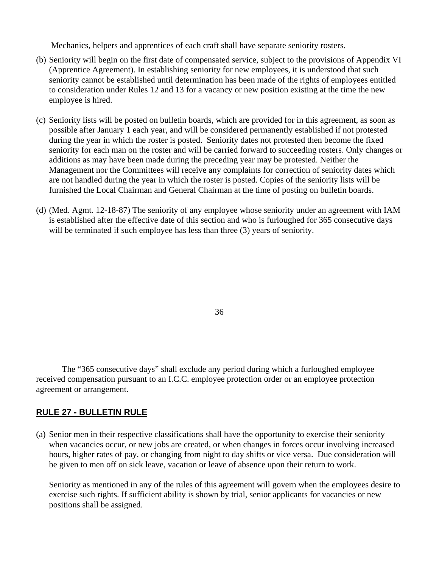Mechanics, helpers and apprentices of each craft shall have separate seniority rosters.

- (b) Seniority will begin on the first date of compensated service, subject to the provisions of Appendix VI (Apprentice Agreement). In establishing seniority for new employees, it is understood that such seniority cannot be established until determination has been made of the rights of employees entitled to consideration under Rules 12 and 13 for a vacancy or new position existing at the time the new employee is hired.
- (c) Seniority lists will be posted on bulletin boards, which are provided for in this agreement, as soon as possible after January 1 each year, and will be considered permanently established if not protested during the year in which the roster is posted. Seniority dates not protested then become the fixed seniority for each man on the roster and will be carried forward to succeeding rosters. Only changes or additions as may have been made during the preceding year may be protested. Neither the Management nor the Committees will receive any complaints for correction of seniority dates which are not handled during the year in which the roster is posted. Copies of the seniority lists will be furnished the Local Chairman and General Chairman at the time of posting on bulletin boards.
- (d) (Med. Agmt. 12-18-87) The seniority of any employee whose seniority under an agreement with IAM is established after the effective date of this section and who is furloughed for 365 consecutive days will be terminated if such employee has less than three (3) years of seniority.

36

The "365 consecutive days" shall exclude any period during which a furloughed employee received compensation pursuant to an I.C.C. employee protection order or an employee protection agreement or arrangement.

## **RULE 27 - BULLETIN RULE**

(a) Senior men in their respective classifications shall have the opportunity to exercise their seniority when vacancies occur, or new jobs are created, or when changes in forces occur involving increased hours, higher rates of pay, or changing from night to day shifts or vice versa. Due consideration will be given to men off on sick leave, vacation or leave of absence upon their return to work.

Seniority as mentioned in any of the rules of this agreement will govern when the employees desire to exercise such rights. If sufficient ability is shown by trial, senior applicants for vacancies or new positions shall be assigned.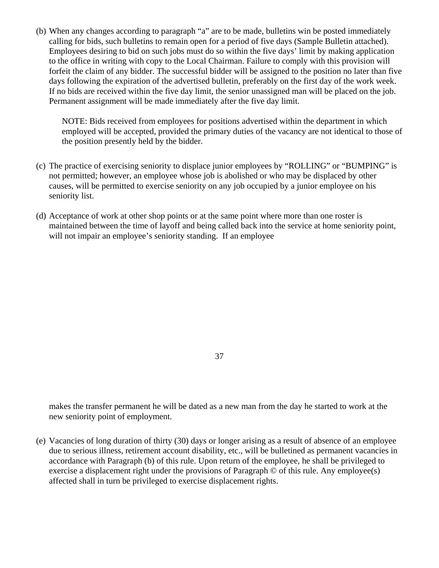(b) When any changes according to paragraph "a" are to be made, bulletins win be posted immediately calling for bids, such bulletins to remain open for a period of five days (Sample Bulletin attached). Employees desiring to bid on such jobs must do so within the five days' limit by making application to the office in writing with copy to the Local Chairman. Failure to comply with this provision will forfeit the claim of any bidder. The successful bidder will be assigned to the position no later than five days following the expiration of the advertised bulletin, preferably on the first day of the work week. If no bids are received within the five day limit, the senior unassigned man will be placed on the job. Permanent assignment will be made immediately after the five day limit.

NOTE: Bids received from employees for positions advertised within the department in which employed will be accepted, provided the primary duties of the vacancy are not identical to those of the position presently held by the bidder.

- (c) The practice of exercising seniority to displace junior employees by "ROLLING" or "BUMPING" is not permitted; however, an employee whose job is abolished or who may be displaced by other causes, will be permitted to exercise seniority on any job occupied by a junior employee on his seniority list.
- (d) Acceptance of work at other shop points or at the same point where more than one roster is maintained between the time of layoff and being called back into the service at home seniority point, will not impair an employee's seniority standing. If an employee

37

makes the transfer permanent he will be dated as a new man from the day he started to work at the new seniority point of employment.

(e) Vacancies of long duration of thirty (30) days or longer arising as a result of absence of an employee due to serious illness, retirement account disability, etc., will be bulletined as permanent vacancies in accordance with Paragraph (b) of this rule. Upon return of the employee, he shall be privileged to exercise a displacement right under the provisions of Paragraph © of this rule. Any employee(s) affected shall in turn be privileged to exercise displacement rights.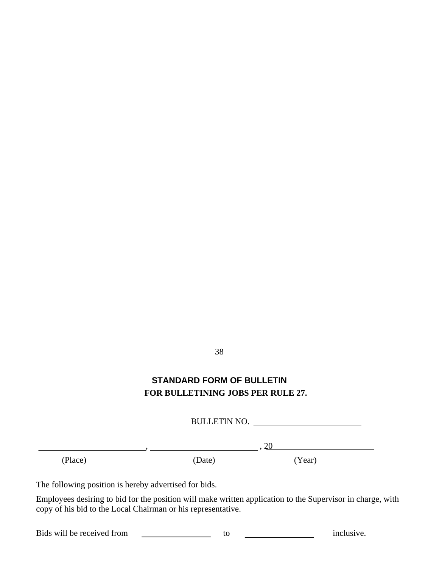# 38

# **STANDARD FORM OF BULLETIN FOR BULLETINING JOBS PER RULE 27.**

BULLETIN NO.

 $, 20$ 

(Place) (Date) (Year)

The following position is hereby advertised for bids.

Employees desiring to bid for the position will make written application to the Supervisor in charge, with copy of his bid to the Local Chairman or his representative.

Bids will be received from to to inclusive.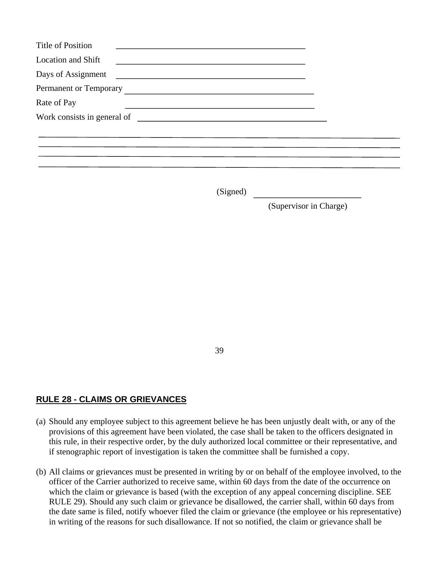| <b>Title of Position</b>                                                                                                                   |  |
|--------------------------------------------------------------------------------------------------------------------------------------------|--|
| <b>Location and Shift</b><br><u> 1980 - Andrea Andrew Maria (h. 1980).</u>                                                                 |  |
| Days of Assignment<br><u> 1989 - Andrea Station Barbara, prima a prima a prima a prima a prima a prima a prima a prima a prima a prima</u> |  |
| Permanent or Temporary                                                                                                                     |  |
| Rate of Pay                                                                                                                                |  |
|                                                                                                                                            |  |
|                                                                                                                                            |  |
|                                                                                                                                            |  |
|                                                                                                                                            |  |
|                                                                                                                                            |  |

(Signed)

(Supervisor in Charge)

39

# **RULE 28 - CLAIMS OR GRIEVANCES**

- (a) Should any employee subject to this agreement believe he has been unjustly dealt with, or any of the provisions of this agreement have been violated, the case shall be taken to the officers designated in this rule, in their respective order, by the duly authorized local committee or their representative, and if stenographic report of investigation is taken the committee shall be furnished a copy.
- (b) All claims or grievances must be presented in writing by or on behalf of the employee involved, to the officer of the Carrier authorized to receive same, within 60 days from the date of the occurrence on which the claim or grievance is based (with the exception of any appeal concerning discipline. SEE RULE 29). Should any such claim or grievance be disallowed, the carrier shall, within 60 days from the date same is filed, notify whoever filed the claim or grievance (the employee or his representative) in writing of the reasons for such disallowance. If not so notified, the claim or grievance shall be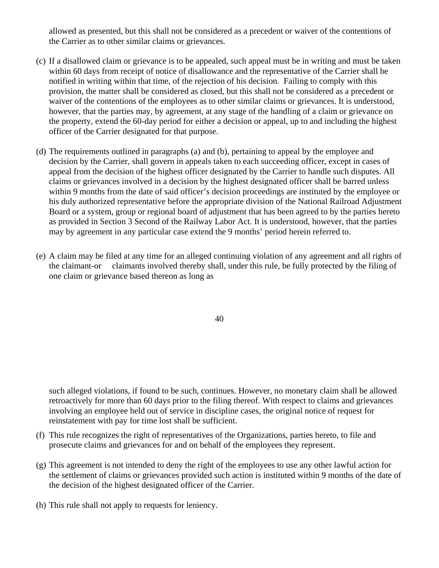allowed as presented, but this shall not be considered as a precedent or waiver of the contentions of the Carrier as to other similar claims or grievances.

- (c) If a disallowed claim or grievance is to be appealed, such appeal must be in writing and must be taken within 60 days from receipt of notice of disallowance and the representative of the Carrier shall be notified in writing within that time, of the rejection of his decision. Failing to comply with this provision, the matter shall be considered as closed, but this shall not be considered as a precedent or waiver of the contentions of the employees as to other similar claims or grievances. It is understood, however, that the parties may, by agreement, at any stage of the handling of a claim or grievance on the property, extend the 60-day period for either a decision or appeal, up to and including the highest officer of the Carrier designated for that purpose.
- (d) The requirements outlined in paragraphs (a) and (b), pertaining to appeal by the employee and decision by the Carrier, shall govern in appeals taken to each succeeding officer, except in cases of appeal from the decision of the highest officer designated by the Carrier to handle such disputes. All claims or grievances involved in a decision by the highest designated officer shall be barred unless within 9 months from the date of said officer's decision proceedings are instituted by the employee or his duly authorized representative before the appropriate division of the National Railroad Adjustment Board or a system, group or regional board of adjustment that has been agreed to by the parties hereto as provided in Section 3 Second of the Railway Labor Act. It is understood, however, that the parties may by agreement in any particular case extend the 9 months' period herein referred to.
- (e) A claim may be filed at any time for an alleged continuing violation of any agreement and all rights of the claimant-or claimants involved thereby shall, under this rule, be fully protected by the filing of one claim or grievance based thereon as long as

40

such alleged violations, if found to be such, continues. However, no monetary claim shall be allowed retroactively for more than 60 days prior to the filing thereof. With respect to claims and grievances involving an employee held out of service in discipline cases, the original notice of request for reinstatement with pay for time lost shall be sufficient.

- (f) This rule recognizes the right of representatives of the Organizations, parties hereto, to file and prosecute claims and grievances for and on behalf of the employees they represent.
- (g) This agreement is not intended to deny the right of the employees to use any other lawful action for the settlement of claims or grievances provided such action is instituted within 9 months of the date of the decision of the highest designated officer of the Carrier.
- (h) This rule shall not apply to requests for leniency.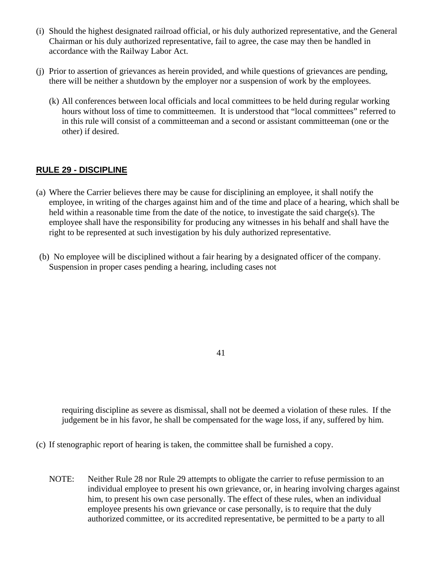- (i) Should the highest designated railroad official, or his duly authorized representative, and the General Chairman or his duly authorized representative, fail to agree, the case may then be handled in accordance with the Railway Labor Act.
- (j) Prior to assertion of grievances as herein provided, and while questions of grievances are pending, there will be neither a shutdown by the employer nor a suspension of work by the employees.
	- (k) All conferences between local officials and local committees to be held during regular working hours without loss of time to committeemen. It is understood that "local committees" referred to in this rule will consist of a committeeman and a second or assistant committeeman (one or the other) if desired.

# **RULE 29 - DISCIPLINE**

- (a) Where the Carrier believes there may be cause for disciplining an employee, it shall notify the employee, in writing of the charges against him and of the time and place of a hearing, which shall be held within a reasonable time from the date of the notice, to investigate the said charge(s). The employee shall have the responsibility for producing any witnesses in his behalf and shall have the right to be represented at such investigation by his duly authorized representative.
- (b) No employee will be disciplined without a fair hearing by a designated officer of the company. Suspension in proper cases pending a hearing, including cases not

41

requiring discipline as severe as dismissal, shall not be deemed a violation of these rules. If the judgement be in his favor, he shall be compensated for the wage loss, if any, suffered by him.

- (c) If stenographic report of hearing is taken, the committee shall be furnished a copy.
	- NOTE: Neither Rule 28 nor Rule 29 attempts to obligate the carrier to refuse permission to an individual employee to present his own grievance, or, in hearing involving charges against him, to present his own case personally. The effect of these rules, when an individual employee presents his own grievance or case personally, is to require that the duly authorized committee, or its accredited representative, be permitted to be a party to all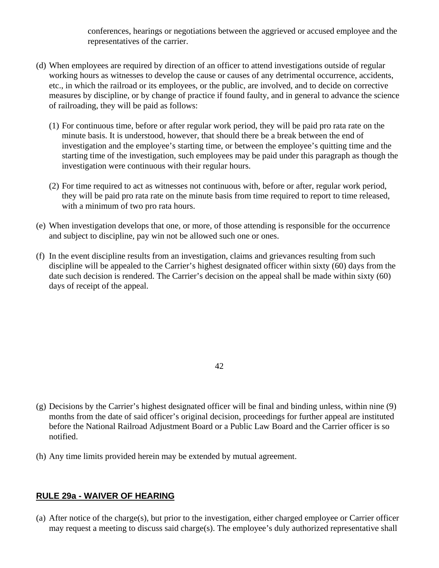conferences, hearings or negotiations between the aggrieved or accused employee and the representatives of the carrier.

- (d) When employees are required by direction of an officer to attend investigations outside of regular working hours as witnesses to develop the cause or causes of any detrimental occurrence, accidents, etc., in which the railroad or its employees, or the public, are involved, and to decide on corrective measures by discipline, or by change of practice if found faulty, and in general to advance the science of railroading, they will be paid as follows:
	- (1) For continuous time, before or after regular work period, they will be paid pro rata rate on the minute basis. It is understood, however, that should there be a break between the end of investigation and the employee's starting time, or between the employee's quitting time and the starting time of the investigation, such employees may be paid under this paragraph as though the investigation were continuous with their regular hours.
	- (2) For time required to act as witnesses not continuous with, before or after, regular work period, they will be paid pro rata rate on the minute basis from time required to report to time released, with a minimum of two pro rata hours.
- (e) When investigation develops that one, or more, of those attending is responsible for the occurrence and subject to discipline, pay win not be allowed such one or ones.
- (f) In the event discipline results from an investigation, claims and grievances resulting from such discipline will be appealed to the Carrier's highest designated officer within sixty (60) days from the date such decision is rendered. The Carrier's decision on the appeal shall be made within sixty (60) days of receipt of the appeal.

42

- (g) Decisions by the Carrier's highest designated officer will be final and binding unless, within nine (9) months from the date of said officer's original decision, proceedings for further appeal are instituted before the National Railroad Adjustment Board or a Public Law Board and the Carrier officer is so notified.
- (h) Any time limits provided herein may be extended by mutual agreement.

## **RULE 29a - WAIVER OF HEARING**

(a) After notice of the charge(s), but prior to the investigation, either charged employee or Carrier officer may request a meeting to discuss said charge(s). The employee's duly authorized representative shall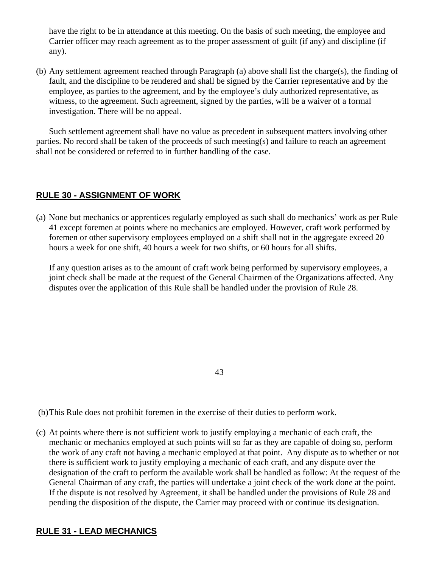have the right to be in attendance at this meeting. On the basis of such meeting, the employee and Carrier officer may reach agreement as to the proper assessment of guilt (if any) and discipline (if any).

(b) Any settlement agreement reached through Paragraph (a) above shall list the charge(s), the finding of fault, and the discipline to be rendered and shall be signed by the Carrier representative and by the employee, as parties to the agreement, and by the employee's duly authorized representative, as witness, to the agreement. Such agreement, signed by the parties, will be a waiver of a formal investigation. There will be no appeal.

Such settlement agreement shall have no value as precedent in subsequent matters involving other parties. No record shall be taken of the proceeds of such meeting(s) and failure to reach an agreement shall not be considered or referred to in further handling of the case.

# **RULE 30 - ASSIGNMENT OF WORK**

(a) None but mechanics or apprentices regularly employed as such shall do mechanics' work as per Rule 41 except foremen at points where no mechanics are employed. However, craft work performed by foremen or other supervisory employees employed on a shift shall not in the aggregate exceed 20 hours a week for one shift, 40 hours a week for two shifts, or 60 hours for all shifts.

If any question arises as to the amount of craft work being performed by supervisory employees, a joint check shall be made at the request of the General Chairmen of the Organizations affected. Any disputes over the application of this Rule shall be handled under the provision of Rule 28.

43

(b) This Rule does not prohibit foremen in the exercise of their duties to perform work.

(c) At points where there is not sufficient work to justify employing a mechanic of each craft, the mechanic or mechanics employed at such points will so far as they are capable of doing so, perform the work of any craft not having a mechanic employed at that point. Any dispute as to whether or not there is sufficient work to justify employing a mechanic of each craft, and any dispute over the designation of the craft to perform the available work shall be handled as follow: At the request of the General Chairman of any craft, the parties will undertake a joint check of the work done at the point. If the dispute is not resolved by Agreement, it shall be handled under the provisions of Rule 28 and pending the disposition of the dispute, the Carrier may proceed with or continue its designation.

# **RULE 31 - LEAD MECHANICS**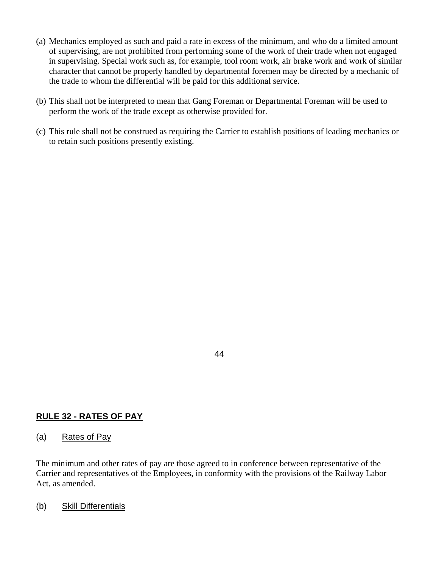- (a) Mechanics employed as such and paid a rate in excess of the minimum, and who do a limited amount of supervising, are not prohibited from performing some of the work of their trade when not engaged in supervising. Special work such as, for example, tool room work, air brake work and work of similar character that cannot be properly handled by departmental foremen may be directed by a mechanic of the trade to whom the differential will be paid for this additional service.
- (b) This shall not be interpreted to mean that Gang Foreman or Departmental Foreman will be used to perform the work of the trade except as otherwise provided for.
- (c) This rule shall not be construed as requiring the Carrier to establish positions of leading mechanics or to retain such positions presently existing.

### 44

# **RULE 32 - RATES OF PAY**

## (a) Rates of Pay

The minimum and other rates of pay are those agreed to in conference between representative of the Carrier and representatives of the Employees, in conformity with the provisions of the Railway Labor Act, as amended.

## (b) Skill Differentials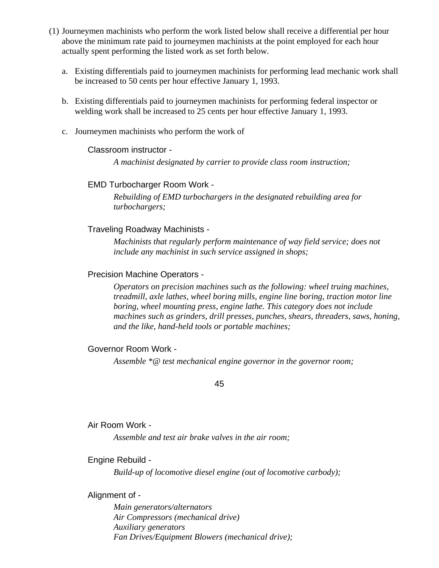- (1) Journeymen machinists who perform the work listed below shall receive a differential per hour above the minimum rate paid to journeymen machinists at the point employed for each hour actually spent performing the listed work as set forth below.
	- a. Existing differentials paid to journeymen machinists for performing lead mechanic work shall be increased to 50 cents per hour effective January 1, 1993.
	- b. Existing differentials paid to journeymen machinists for performing federal inspector or welding work shall be increased to 25 cents per hour effective January 1, 1993.
	- c. Journeymen machinists who perform the work of

### Classroom instructor -

*A machinist designated by carrier to provide class room instruction;* 

## EMD Turbocharger Room Work -

*Rebuilding of EMD turbochargers in the designated rebuilding area for turbochargers;* 

### Traveling Roadway Machinists -

*Machinists that regularly perform maintenance of way field service; does not include any machinist in such service assigned in shops;* 

### Precision Machine Operators -

*Operators on precision machines such as the following: wheel truing machines, treadmill, axle lathes, wheel boring mills, engine line boring, traction motor line boring, wheel mounting press, engine lathe. This category does not include machines such as grinders, drill presses, punches, shears, threaders, saws, honing, and the like, hand-held tools or portable machines;* 

### Governor Room Work -

*Assemble \*@ test mechanical engine governor in the governor room;* 

45

### Air Room Work -

*Assemble and test air brake valves in the air room;* 

### Engine Rebuild -

*Build-up of locomotive diesel engine (out of locomotive carbody);* 

### Alignment of -

*Main generators/alternators Air Compressors (mechanical drive) Auxiliary generators Fan Drives/Equipment Blowers (mechanical drive);*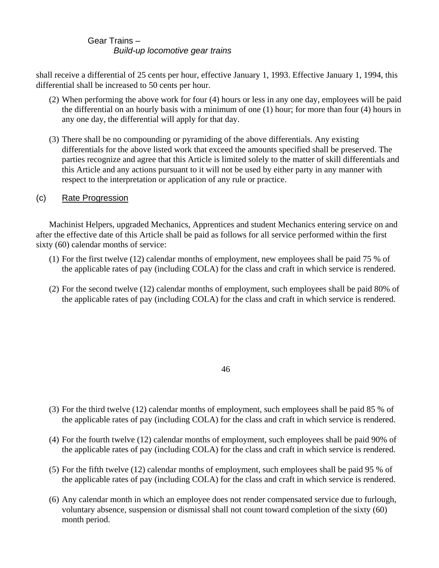## Gear Trains – *Build-up locomotive gear trains*

shall receive a differential of 25 cents per hour, effective January 1, 1993. Effective January 1, 1994, this differential shall be increased to 50 cents per hour.

- (2) When performing the above work for four (4) hours or less in any one day, employees will be paid the differential on an hourly basis with a minimum of one (1) hour; for more than four (4) hours in any one day, the differential will apply for that day.
- (3) There shall be no compounding or pyramiding of the above differentials. Any existing differentials for the above listed work that exceed the amounts specified shall be preserved. The parties recognize and agree that this Article is limited solely to the matter of skill differentials and this Article and any actions pursuant to it will not be used by either party in any manner with respect to the interpretation or application of any rule or practice.

## (c) Rate Progression

Machinist Helpers, upgraded Mechanics, Apprentices and student Mechanics entering service on and after the effective date of this Article shall be paid as follows for all service performed within the first sixty (60) calendar months of service:

- (1) For the first twelve (12) calendar months of employment, new employees shall be paid 75 % of the applicable rates of pay (including COLA) for the class and craft in which service is rendered.
- (2) For the second twelve (12) calendar months of employment, such employees shall be paid 80% of the applicable rates of pay (including COLA) for the class and craft in which service is rendered.

#### 46

- (3) For the third twelve (12) calendar months of employment, such employees shall be paid 85 % of the applicable rates of pay (including COLA) for the class and craft in which service is rendered.
- (4) For the fourth twelve (12) calendar months of employment, such employees shall be paid 90% of the applicable rates of pay (including COLA) for the class and craft in which service is rendered.
- (5) For the fifth twelve (12) calendar months of employment, such employees shall be paid 95 % of the applicable rates of pay (including COLA) for the class and craft in which service is rendered.
- (6) Any calendar month in which an employee does not render compensated service due to furlough, voluntary absence, suspension or dismissal shall not count toward completion of the sixty (60) month period.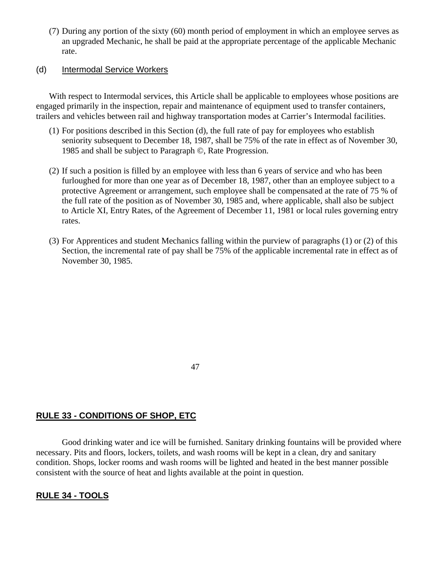(7) During any portion of the sixty (60) month period of employment in which an employee serves as an upgraded Mechanic, he shall be paid at the appropriate percentage of the applicable Mechanic rate.

#### (d) Intermodal Service Workers

With respect to Intermodal services, this Article shall be applicable to employees whose positions are engaged primarily in the inspection, repair and maintenance of equipment used to transfer containers, trailers and vehicles between rail and highway transportation modes at Carrier's Intermodal facilities.

- (1) For positions described in this Section (d), the full rate of pay for employees who establish seniority subsequent to December 18, 1987, shall be 75% of the rate in effect as of November 30, 1985 and shall be subject to Paragraph ©, Rate Progression.
- (2) If such a position is filled by an employee with less than 6 years of service and who has been furloughed for more than one year as of December 18, 1987, other than an employee subject to a protective Agreement or arrangement, such employee shall be compensated at the rate of 75 % of the full rate of the position as of November 30, 1985 and, where applicable, shall also be subject to Article XI, Entry Rates, of the Agreement of December 11, 1981 or local rules governing entry rates.
- (3) For Apprentices and student Mechanics falling within the purview of paragraphs (1) or (2) of this Section, the incremental rate of pay shall be 75% of the applicable incremental rate in effect as of November 30, 1985.

47

# **RULE 33 - CONDITIONS OF SHOP, ETC**

Good drinking water and ice will be furnished. Sanitary drinking fountains will be provided where necessary. Pits and floors, lockers, toilets, and wash rooms will be kept in a clean, dry and sanitary condition. Shops, locker rooms and wash rooms will be lighted and heated in the best manner possible consistent with the source of heat and lights available at the point in question.

## **RULE 34 - TOOLS**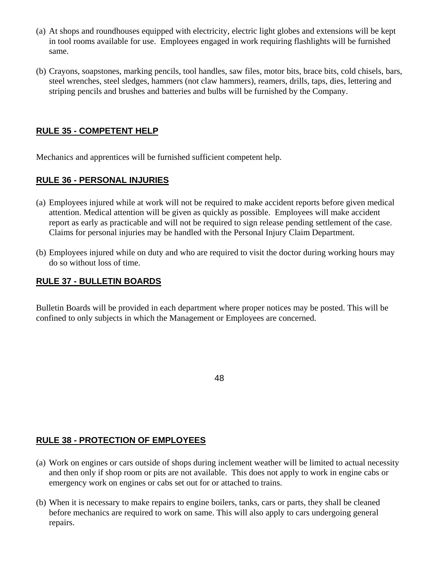- (a) At shops and roundhouses equipped with electricity, electric light globes and extensions will be kept in tool rooms available for use. Employees engaged in work requiring flashlights will be furnished same.
- (b) Crayons, soapstones, marking pencils, tool handles, saw files, motor bits, brace bits, cold chisels, bars, steel wrenches, steel sledges, hammers (not claw hammers), reamers, drills, taps, dies, lettering and striping pencils and brushes and batteries and bulbs will be furnished by the Company.

# **RULE 35 - COMPETENT HELP**

Mechanics and apprentices will be furnished sufficient competent help.

# **RULE 36 - PERSONAL INJURIES**

- (a) Employees injured while at work will not be required to make accident reports before given medical attention. Medical attention will be given as quickly as possible. Employees will make accident report as early as practicable and will not be required to sign release pending settlement of the case. Claims for personal injuries may be handled with the Personal Injury Claim Department.
- (b) Employees injured while on duty and who are required to visit the doctor during working hours may do so without loss of time.

## **RULE 37 - BULLETIN BOARDS**

Bulletin Boards will be provided in each department where proper notices may be posted. This will be confined to only subjects in which the Management or Employees are concerned.

48

# **RULE 38 - PROTECTION OF EMPLOYEES**

- (a) Work on engines or cars outside of shops during inclement weather will be limited to actual necessity and then only if shop room or pits are not available. This does not apply to work in engine cabs or emergency work on engines or cabs set out for or attached to trains.
- (b) When it is necessary to make repairs to engine boilers, tanks, cars or parts, they shall be cleaned before mechanics are required to work on same. This will also apply to cars undergoing general repairs.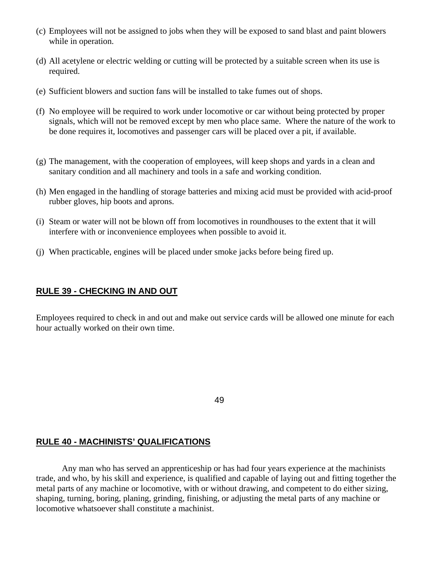- (c) Employees will not be assigned to jobs when they will be exposed to sand blast and paint blowers while in operation.
- (d) All acetylene or electric welding or cutting will be protected by a suitable screen when its use is required.
- (e) Sufficient blowers and suction fans will be installed to take fumes out of shops.
- (f) No employee will be required to work under locomotive or car without being protected by proper signals, which will not be removed except by men who place same. Where the nature of the work to be done requires it, locomotives and passenger cars will be placed over a pit, if available.
- (g) The management, with the cooperation of employees, will keep shops and yards in a clean and sanitary condition and all machinery and tools in a safe and working condition.
- (h) Men engaged in the handling of storage batteries and mixing acid must be provided with acid-proof rubber gloves, hip boots and aprons.
- (i) Steam or water will not be blown off from locomotives in roundhouses to the extent that it will interfere with or inconvenience employees when possible to avoid it.
- (j) When practicable, engines will be placed under smoke jacks before being fired up.

## **RULE 39 - CHECKING IN AND OUT**

Employees required to check in and out and make out service cards will be allowed one minute for each hour actually worked on their own time.

49

### **RULE 40 - MACHINISTS' QUALIFICATIONS**

Any man who has served an apprenticeship or has had four years experience at the machinists trade, and who, by his skill and experience, is qualified and capable of laying out and fitting together the metal parts of any machine or locomotive, with or without drawing, and competent to do either sizing, shaping, turning, boring, planing, grinding, finishing, or adjusting the metal parts of any machine or locomotive whatsoever shall constitute a machinist.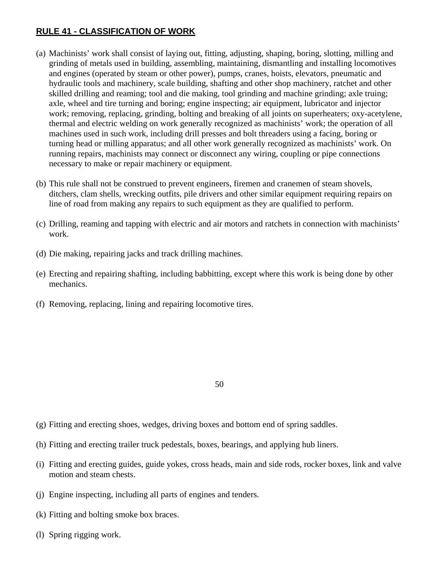# **RULE 41 - CLASSIFICATION OF WORK**

- (a) Machinists' work shall consist of laying out, fitting, adjusting, shaping, boring, slotting, milling and grinding of metals used in building, assembling, maintaining, dismantling and installing locomotives and engines (operated by steam or other power), pumps, cranes, hoists, elevators, pneumatic and hydraulic tools and machinery, scale building, shafting and other shop machinery, ratchet and other skilled drilling and reaming; tool and die making, tool grinding and machine grinding; axle truing; axle, wheel and tire turning and boring; engine inspecting; air equipment, lubricator and injector work; removing, replacing, grinding, bolting and breaking of all joints on superheaters; oxy-acetylene, thermal and electric welding on work generally recognized as machinists' work; the operation of all machines used in such work, including drill presses and bolt threaders using a facing, boring or turning head or milling apparatus; and all other work generally recognized as machinists' work. On running repairs, machinists may connect or disconnect any wiring, coupling or pipe connections necessary to make or repair machinery or equipment.
- (b) This rule shall not be construed to prevent engineers, firemen and cranemen of steam shovels, ditchers, clam shells, wrecking outfits, pile drivers and other similar equipment requiring repairs on line of road from making any repairs to such equipment as they are qualified to perform.
- (c) Drilling, reaming and tapping with electric and air motors and ratchets in connection with machinists' work.
- (d) Die making, repairing jacks and track drilling machines.
- (e) Erecting and repairing shafting, including babbitting, except where this work is being done by other mechanics.
- (f) Removing, replacing, lining and repairing locomotive tires.

- 50
- (g) Fitting and erecting shoes, wedges, driving boxes and bottom end of spring saddles.
- (h) Fitting and erecting trailer truck pedestals, boxes, bearings, and applying hub liners.
- (i) Fitting and erecting guides, guide yokes, cross heads, main and side rods, rocker boxes, link and valve motion and steam chests.
- (j) Engine inspecting, including all parts of engines and tenders.
- (k) Fitting and bolting smoke box braces.
- (l) Spring rigging work.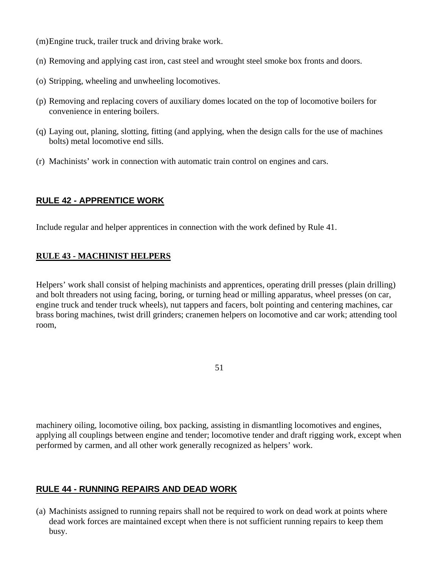(m) Engine truck, trailer truck and driving brake work.

- (n) Removing and applying cast iron, cast steel and wrought steel smoke box fronts and doors.
- (o) Stripping, wheeling and unwheeling locomotives.
- (p) Removing and replacing covers of auxiliary domes located on the top of locomotive boilers for convenience in entering boilers.
- (q) Laying out, planing, slotting, fitting (and applying, when the design calls for the use of machines bolts) metal locomotive end sills.
- (r) Machinists' work in connection with automatic train control on engines and cars.

# **RULE 42 - APPRENTICE WORK**

Include regular and helper apprentices in connection with the work defined by Rule 41.

# **RULE 43 - MACHINIST HELPERS**

Helpers' work shall consist of helping machinists and apprentices, operating drill presses (plain drilling) and bolt threaders not using facing, boring, or turning head or milling apparatus, wheel presses (on car, engine truck and tender truck wheels), nut tappers and facers, bolt pointing and centering machines, car brass boring machines, twist drill grinders; cranemen helpers on locomotive and car work; attending tool room,

machinery oiling, locomotive oiling, box packing, assisting in dismantling locomotives and engines, applying all couplings between engine and tender; locomotive tender and draft rigging work, except when performed by carmen, and all other work generally recognized as helpers' work.

## **RULE 44 - RUNNING REPAIRS AND DEAD WORK**

(a) Machinists assigned to running repairs shall not be required to work on dead work at points where dead work forces are maintained except when there is not sufficient running repairs to keep them busy.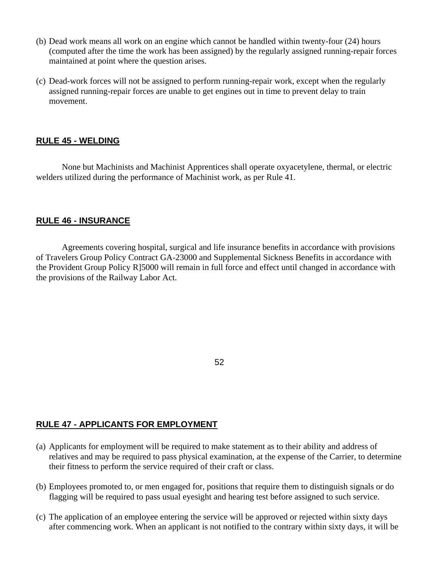- (b) Dead work means all work on an engine which cannot be handled within twenty-four (24) hours (computed after the time the work has been assigned) by the regularly assigned running-repair forces maintained at point where the question arises.
- (c) Dead-work forces will not be assigned to perform running-repair work, except when the regularly assigned running-repair forces are unable to get engines out in time to prevent delay to train movement.

## **RULE 45 - WELDING**

None but Machinists and Machinist Apprentices shall operate oxyacetylene, thermal, or electric welders utilized during the performance of Machinist work, as per Rule 41.

## **RULE 46 - INSURANCE**

Agreements covering hospital, surgical and life insurance benefits in accordance with provisions of Travelers Group Policy Contract GA-23000 and Supplemental Sickness Benefits in accordance with the Provident Group Policy R]5000 will remain in full force and effect until changed in accordance with the provisions of the Railway Labor Act.

### 52

## **RULE 47 - APPLICANTS FOR EMPLOYMENT**

- (a) Applicants for employment will be required to make statement as to their ability and address of relatives and may be required to pass physical examination, at the expense of the Carrier, to determine their fitness to perform the service required of their craft or class.
- (b) Employees promoted to, or men engaged for, positions that require them to distinguish signals or do flagging will be required to pass usual eyesight and hearing test before assigned to such service.
- (c) The application of an employee entering the service will be approved or rejected within sixty days after commencing work. When an applicant is not notified to the contrary within sixty days, it will be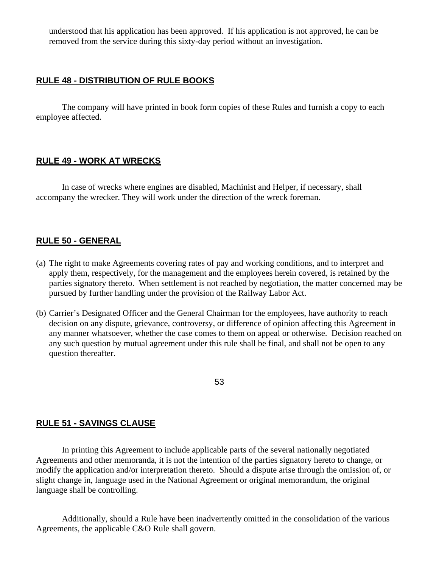understood that his application has been approved. If his application is not approved, he can be removed from the service during this sixty-day period without an investigation.

## **RULE 48 - DISTRIBUTION OF RULE BOOKS**

The company will have printed in book form copies of these Rules and furnish a copy to each employee affected.

## **RULE 49 - WORK AT WRECKS**

In case of wrecks where engines are disabled, Machinist and Helper, if necessary, shall accompany the wrecker. They will work under the direction of the wreck foreman.

## **RULE 50 - GENERAL**

- (a) The right to make Agreements covering rates of pay and working conditions, and to interpret and apply them, respectively, for the management and the employees herein covered, is retained by the parties signatory thereto. When settlement is not reached by negotiation, the matter concerned may be pursued by further handling under the provision of the Railway Labor Act.
- (b) Carrier's Designated Officer and the General Chairman for the employees, have authority to reach decision on any dispute, grievance, controversy, or difference of opinion affecting this Agreement in any manner whatsoever, whether the case comes to them on appeal or otherwise. Decision reached on any such question by mutual agreement under this rule shall be final, and shall not be open to any question thereafter.

53

### **RULE 51 - SAVINGS CLAUSE**

In printing this Agreement to include applicable parts of the several nationally negotiated Agreements and other memoranda, it is not the intention of the parties signatory hereto to change, or modify the application and/or interpretation thereto. Should a dispute arise through the omission of, or slight change in, language used in the National Agreement or original memorandum, the original language shall be controlling.

Additionally, should a Rule have been inadvertently omitted in the consolidation of the various Agreements, the applicable C&O Rule shall govern.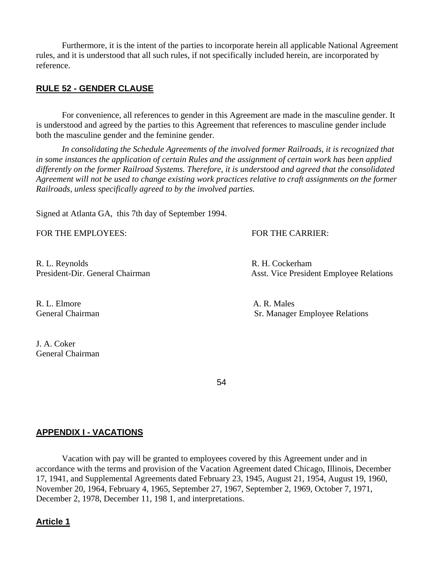Furthermore, it is the intent of the parties to incorporate herein all applicable National Agreement rules, and it is understood that all such rules, if not specifically included herein, are incorporated by reference.

## **RULE 52 - GENDER CLAUSE**

For convenience, all references to gender in this Agreement are made in the masculine gender. It is understood and agreed by the parties to this Agreement that references to masculine gender include both the masculine gender and the feminine gender.

*In consolidating the Schedule Agreements of the involved former Railroads, it is recognized that in some instances the application of certain Rules and the assignment of certain work has been applied differently on the former Railroad Systems. Therefore, it is understood and agreed that the consolidated Agreement will not be used to change existing work practices relative to craft assignments on the former Railroads, unless specifically agreed to by the involved parties.* 

Signed at Atlanta GA, this 7th day of September 1994.

FOR THE EMPLOYEES: FOR THE CARRIER:

R. L. Reynolds R. H. Cockerham

R. L. Elmore A. R. Males

J. A. Coker General Chairman

President-Dir. General Chairman Asst. Vice President Employee Relations

General Chairman Sr. Manager Employee Relations

 $54$ 

## **APPENDIX I - VACATIONS**

Vacation with pay will be granted to employees covered by this Agreement under and in accordance with the terms and provision of the Vacation Agreement dated Chicago, Illinois, December 17, 1941, and Supplemental Agreements dated February 23, 1945, August 21, 1954, August 19, 1960, November 20, 1964, February 4, 1965, September 27, 1967, September 2, 1969, October 7, 1971, December 2, 1978, December 11, 198 1, and interpretations.

### **Article 1**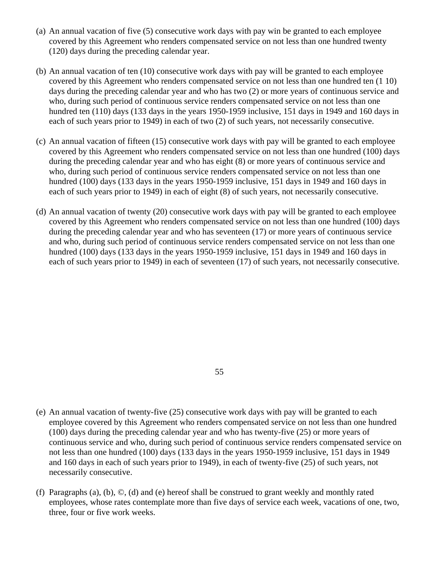- (a) An annual vacation of five (5) consecutive work days with pay win be granted to each employee covered by this Agreement who renders compensated service on not less than one hundred twenty (120) days during the preceding calendar year.
- (b) An annual vacation of ten (10) consecutive work days with pay will be granted to each employee covered by this Agreement who renders compensated service on not less than one hundred ten (1 10) days during the preceding calendar year and who has two (2) or more years of continuous service and who, during such period of continuous service renders compensated service on not less than one hundred ten (110) days (133 days in the years 1950-1959 inclusive, 151 days in 1949 and 160 days in each of such years prior to 1949) in each of two (2) of such years, not necessarily consecutive.
- (c) An annual vacation of fifteen (15) consecutive work days with pay will be granted to each employee covered by this Agreement who renders compensated service on not less than one hundred (100) days during the preceding calendar year and who has eight (8) or more years of continuous service and who, during such period of continuous service renders compensated service on not less than one hundred (100) days (133 days in the years 1950-1959 inclusive, 151 days in 1949 and 160 days in each of such years prior to 1949) in each of eight (8) of such years, not necessarily consecutive.
- (d) An annual vacation of twenty (20) consecutive work days with pay will be granted to each employee covered by this Agreement who renders compensated service on not less than one hundred (100) days during the preceding calendar year and who has seventeen (17) or more years of continuous service and who, during such period of continuous service renders compensated service on not less than one hundred (100) days (133 days in the years 1950-1959 inclusive, 151 days in 1949 and 160 days in each of such years prior to 1949) in each of seventeen (17) of such years, not necessarily consecutive.

55

- (e) An annual vacation of twenty-five (25) consecutive work days with pay will be granted to each employee covered by this Agreement who renders compensated service on not less than one hundred (100) days during the preceding calendar year and who has twenty-five (25) or more years of continuous service and who, during such period of continuous service renders compensated service on not less than one hundred (100) days (133 days in the years 1950-1959 inclusive, 151 days in 1949 and 160 days in each of such years prior to 1949), in each of twenty-five (25) of such years, not necessarily consecutive.
- (f) Paragraphs (a), (b), ©, (d) and (e) hereof shall be construed to grant weekly and monthly rated employees, whose rates contemplate more than five days of service each week, vacations of one, two, three, four or five work weeks.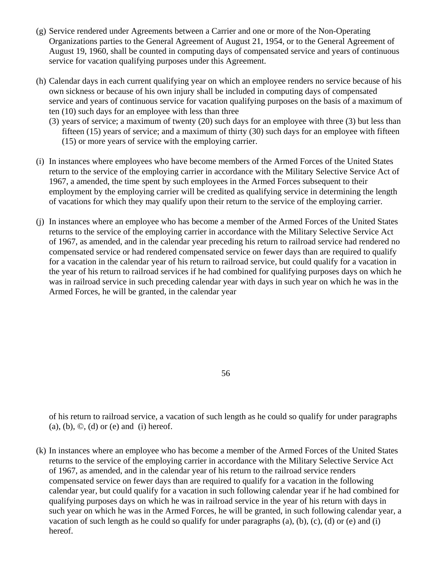- (g) Service rendered under Agreements between a Carrier and one or more of the Non-Operating Organizations parties to the General Agreement of August 21, 1954, or to the General Agreement of August 19, 1960, shall be counted in computing days of compensated service and years of continuous service for vacation qualifying purposes under this Agreement.
- (h) Calendar days in each current qualifying year on which an employee renders no service because of his own sickness or because of his own injury shall be included in computing days of compensated service and years of continuous service for vacation qualifying purposes on the basis of a maximum of ten (10) such days for an employee with less than three
	- (3) years of service; a maximum of twenty (20) such days for an employee with three (3) but less than fifteen (15) years of service; and a maximum of thirty (30) such days for an employee with fifteen (15) or more years of service with the employing carrier.
- (i) In instances where employees who have become members of the Armed Forces of the United States return to the service of the employing carrier in accordance with the Military Selective Service Act of 1967, a amended, the time spent by such employees in the Armed Forces subsequent to their employment by the employing carrier will be credited as qualifying service in determining the length of vacations for which they may qualify upon their return to the service of the employing carrier.
- (j) In instances where an employee who has become a member of the Armed Forces of the United States returns to the service of the employing carrier in accordance with the Military Selective Service Act of 1967, as amended, and in the calendar year preceding his return to railroad service had rendered no compensated service or had rendered compensated service on fewer days than are required to qualify for a vacation in the calendar year of his return to railroad service, but could qualify for a vacation in the year of his return to railroad services if he had combined for qualifying purposes days on which he was in railroad service in such preceding calendar year with days in such year on which he was in the Armed Forces, he will be granted, in the calendar year

56

of his return to railroad service, a vacation of such length as he could so qualify for under paragraphs  $(a)$ ,  $(b)$ ,  $\odot$ ,  $(d)$  or  $(e)$  and  $(i)$  hereof.

(k) In instances where an employee who has become a member of the Armed Forces of the United States returns to the service of the employing carrier in accordance with the Military Selective Service Act of 1967, as amended, and in the calendar year of his return to the railroad service renders compensated service on fewer days than are required to qualify for a vacation in the following calendar year, but could qualify for a vacation in such following calendar year if he had combined for qualifying purposes days on which he was in railroad service in the year of his return with days in such year on which he was in the Armed Forces, he will be granted, in such following calendar year, a vacation of such length as he could so qualify for under paragraphs (a), (b), (c), (d) or (e) and (i) hereof.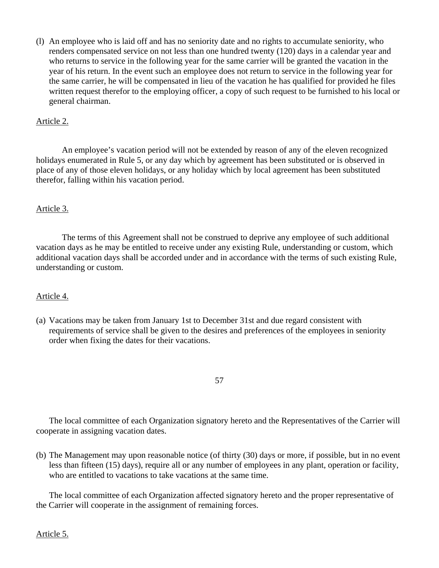(l) An employee who is laid off and has no seniority date and no rights to accumulate seniority, who renders compensated service on not less than one hundred twenty (120) days in a calendar year and who returns to service in the following year for the same carrier will be granted the vacation in the year of his return. In the event such an employee does not return to service in the following year for the same carrier, he will be compensated in lieu of the vacation he has qualified for provided he files written request therefor to the employing officer, a copy of such request to be furnished to his local or general chairman.

## Article 2.

An employee's vacation period will not be extended by reason of any of the eleven recognized holidays enumerated in Rule 5, or any day which by agreement has been substituted or is observed in place of any of those eleven holidays, or any holiday which by local agreement has been substituted therefor, falling within his vacation period.

### Article 3.

The terms of this Agreement shall not be construed to deprive any employee of such additional vacation days as he may be entitled to receive under any existing Rule, understanding or custom, which additional vacation days shall be accorded under and in accordance with the terms of such existing Rule, understanding or custom.

### Article 4.

- (a) Vacations may be taken from January 1st to December 31st and due regard consistent with requirements of service shall be given to the desires and preferences of the employees in seniority order when fixing the dates for their vacations.
	- 57

The local committee of each Organization signatory hereto and the Representatives of the Carrier will cooperate in assigning vacation dates.

(b) The Management may upon reasonable notice (of thirty (30) days or more, if possible, but in no event less than fifteen (15) days), require all or any number of employees in any plant, operation or facility, who are entitled to vacations to take vacations at the same time.

The local committee of each Organization affected signatory hereto and the proper representative of the Carrier will cooperate in the assignment of remaining forces.

Article 5.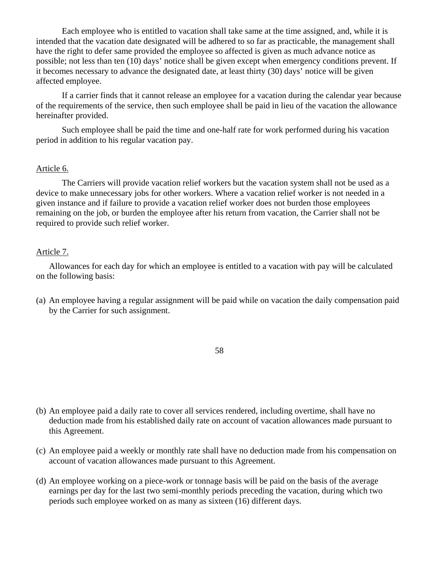Each employee who is entitled to vacation shall take same at the time assigned, and, while it is intended that the vacation date designated will be adhered to so far as practicable, the management shall have the right to defer same provided the employee so affected is given as much advance notice as possible; not less than ten (10) days' notice shall be given except when emergency conditions prevent. If it becomes necessary to advance the designated date, at least thirty (30) days' notice will be given affected employee.

If a carrier finds that it cannot release an employee for a vacation during the calendar year because of the requirements of the service, then such employee shall be paid in lieu of the vacation the allowance hereinafter provided.

Such employee shall be paid the time and one-half rate for work performed during his vacation period in addition to his regular vacation pay.

#### Article 6.

The Carriers will provide vacation relief workers but the vacation system shall not be used as a device to make unnecessary jobs for other workers. Where a vacation relief worker is not needed in a given instance and if failure to provide a vacation relief worker does not burden those employees remaining on the job, or burden the employee after his return from vacation, the Carrier shall not be required to provide such relief worker.

#### Article 7.

Allowances for each day for which an employee is entitled to a vacation with pay will be calculated on the following basis:

(a) An employee having a regular assignment will be paid while on vacation the daily compensation paid by the Carrier for such assignment.

58

- (b) An employee paid a daily rate to cover all services rendered, including overtime, shall have no deduction made from his established daily rate on account of vacation allowances made pursuant to this Agreement.
- (c) An employee paid a weekly or monthly rate shall have no deduction made from his compensation on account of vacation allowances made pursuant to this Agreement.
- (d) An employee working on a piece-work or tonnage basis will be paid on the basis of the average earnings per day for the last two semi-monthly periods preceding the vacation, during which two periods such employee worked on as many as sixteen (16) different days.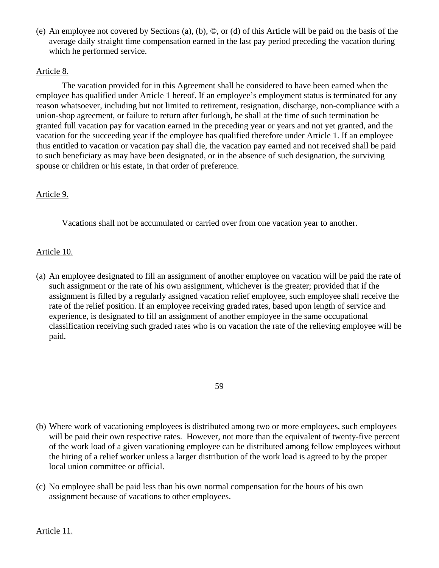(e) An employee not covered by Sections (a), (b), ©, or (d) of this Article will be paid on the basis of the average daily straight time compensation earned in the last pay period preceding the vacation during which he performed service.

## Article 8.

The vacation provided for in this Agreement shall be considered to have been earned when the employee has qualified under Article 1 hereof. If an employee's employment status is terminated for any reason whatsoever, including but not limited to retirement, resignation, discharge, non-compliance with a union-shop agreement, or failure to return after furlough, he shall at the time of such termination be granted full vacation pay for vacation earned in the preceding year or years and not yet granted, and the vacation for the succeeding year if the employee has qualified therefore under Article 1. If an employee thus entitled to vacation or vacation pay shall die, the vacation pay earned and not received shall be paid to such beneficiary as may have been designated, or in the absence of such designation, the surviving spouse or children or his estate, in that order of preference.

## Article 9.

Vacations shall not be accumulated or carried over from one vacation year to another.

## Article 10.

(a) An employee designated to fill an assignment of another employee on vacation will be paid the rate of such assignment or the rate of his own assignment, whichever is the greater; provided that if the assignment is filled by a regularly assigned vacation relief employee, such employee shall receive the rate of the relief position. If an employee receiving graded rates, based upon length of service and experience, is designated to fill an assignment of another employee in the same occupational classification receiving such graded rates who is on vacation the rate of the relieving employee will be paid.

59

- (b) Where work of vacationing employees is distributed among two or more employees, such employees will be paid their own respective rates. However, not more than the equivalent of twenty-five percent of the work load of a given vacationing employee can be distributed among fellow employees without the hiring of a relief worker unless a larger distribution of the work load is agreed to by the proper local union committee or official.
- (c) No employee shall be paid less than his own normal compensation for the hours of his own assignment because of vacations to other employees.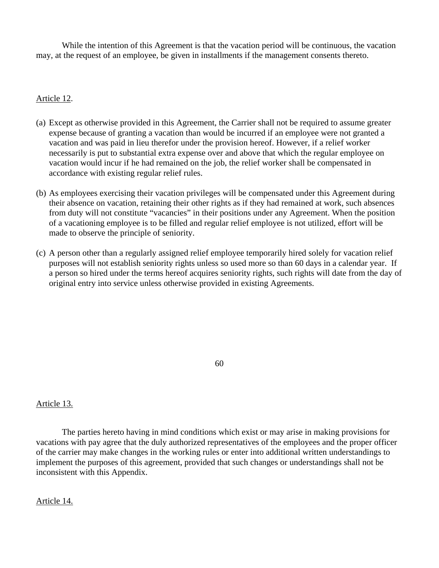While the intention of this Agreement is that the vacation period will be continuous, the vacation may, at the request of an employee, be given in installments if the management consents thereto.

## Article 12.

- (a) Except as otherwise provided in this Agreement, the Carrier shall not be required to assume greater expense because of granting a vacation than would be incurred if an employee were not granted a vacation and was paid in lieu therefor under the provision hereof. However, if a relief worker necessarily is put to substantial extra expense over and above that which the regular employee on vacation would incur if he had remained on the job, the relief worker shall be compensated in accordance with existing regular relief rules.
- (b) As employees exercising their vacation privileges will be compensated under this Agreement during their absence on vacation, retaining their other rights as if they had remained at work, such absences from duty will not constitute "vacancies" in their positions under any Agreement. When the position of a vacationing employee is to be filled and regular relief employee is not utilized, effort will be made to observe the principle of seniority.
- (c) A person other than a regularly assigned relief employee temporarily hired solely for vacation relief purposes will not establish seniority rights unless so used more so than 60 days in a calendar year. If a person so hired under the terms hereof acquires seniority rights, such rights will date from the day of original entry into service unless otherwise provided in existing Agreements.

60

## Article 13.

The parties hereto having in mind conditions which exist or may arise in making provisions for vacations with pay agree that the duly authorized representatives of the employees and the proper officer of the carrier may make changes in the working rules or enter into additional written understandings to implement the purposes of this agreement, provided that such changes or understandings shall not be inconsistent with this Appendix.

### Article 14.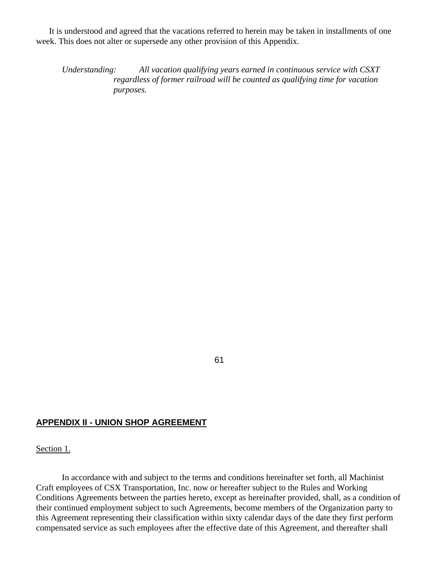It is understood and agreed that the vacations referred to herein may be taken in installments of one week. This does not alter or supersede any other provision of this Appendix.

*Understanding: All vacation qualifying years earned in continuous service with CSXT regardless of former railroad will be counted as qualifying time for vacation purposes.* 

61

#### **APPENDIX II - UNION SHOP AGREEMENT**

Section 1.

In accordance with and subject to the terms and conditions hereinafter set forth, all Machinist Craft employees of CSX Transportation, Inc. now or hereafter subject to the Rules and Working Conditions Agreements between the parties hereto, except as hereinafter provided, shall, as a condition of their continued employment subject to such Agreements, become members of the Organization party to this Agreement representing their classification within sixty calendar days of the date they first perform compensated service as such employees after the effective date of this Agreement, and thereafter shall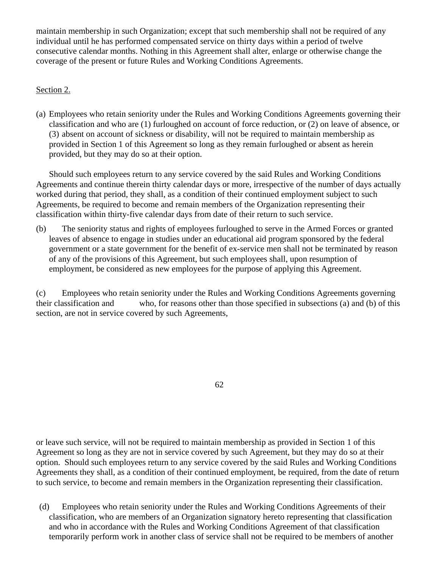maintain membership in such Organization; except that such membership shall not be required of any individual until he has performed compensated service on thirty days within a period of twelve consecutive calendar months. Nothing in this Agreement shall alter, enlarge or otherwise change the coverage of the present or future Rules and Working Conditions Agreements.

# Section 2.

(a) Employees who retain seniority under the Rules and Working Conditions Agreements governing their classification and who are (1) furloughed on account of force reduction, or (2) on leave of absence, or (3) absent on account of sickness or disability, will not be required to maintain membership as provided in Section 1 of this Agreement so long as they remain furloughed or absent as herein provided, but they may do so at their option.

Should such employees return to any service covered by the said Rules and Working Conditions Agreements and continue therein thirty calendar days or more, irrespective of the number of days actually worked during that period, they shall, as a condition of their continued employment subject to such Agreements, be required to become and remain members of the Organization representing their classification within thirty-five calendar days from date of their return to such service.

(b) The seniority status and rights of employees furloughed to serve in the Armed Forces or granted leaves of absence to engage in studies under an educational aid program sponsored by the federal government or a state government for the benefit of ex-service men shall not be terminated by reason of any of the provisions of this Agreement, but such employees shall, upon resumption of employment, be considered as new employees for the purpose of applying this Agreement.

(c) Employees who retain seniority under the Rules and Working Conditions Agreements governing their classification and who, for reasons other than those specified in subsections (a) and (b) of this section, are not in service covered by such Agreements,

62

or leave such service, will not be required to maintain membership as provided in Section 1 of this Agreement so long as they are not in service covered by such Agreement, but they may do so at their option. Should such employees return to any service covered by the said Rules and Working Conditions Agreements they shall, as a condition of their continued employment, be required, from the date of return to such service, to become and remain members in the Organization representing their classification.

(d) Employees who retain seniority under the Rules and Working Conditions Agreements of their classification, who are members of an Organization signatory hereto representing that classification and who in accordance with the Rules and Working Conditions Agreement of that classification temporarily perform work in another class of service shall not be required to be members of another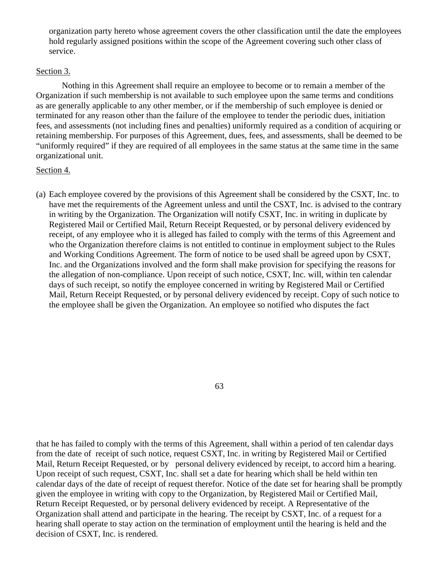organization party hereto whose agreement covers the other classification until the date the employees hold regularly assigned positions within the scope of the Agreement covering such other class of service.

#### Section 3.

Nothing in this Agreement shall require an employee to become or to remain a member of the Organization if such membership is not available to such employee upon the same terms and conditions as are generally applicable to any other member, or if the membership of such employee is denied or terminated for any reason other than the failure of the employee to tender the periodic dues, initiation fees, and assessments (not including fines and penalties) uniformly required as a condition of acquiring or retaining membership. For purposes of this Agreement, dues, fees, and assessments, shall be deemed to be "uniformly required" if they are required of all employees in the same status at the same time in the same organizational unit.

### Section 4.

(a) Each employee covered by the provisions of this Agreement shall be considered by the CSXT, Inc. to have met the requirements of the Agreement unless and until the CSXT, Inc. is advised to the contrary in writing by the Organization. The Organization will notify CSXT, Inc. in writing in duplicate by Registered Mail or Certified Mail, Return Receipt Requested, or by personal delivery evidenced by receipt, of any employee who it is alleged has failed to comply with the terms of this Agreement and who the Organization therefore claims is not entitled to continue in employment subject to the Rules and Working Conditions Agreement. The form of notice to be used shall be agreed upon by CSXT, Inc. and the Organizations involved and the form shall make provision for specifying the reasons for the allegation of non-compliance. Upon receipt of such notice, CSXT, Inc. will, within ten calendar days of such receipt, so notify the employee concerned in writing by Registered Mail or Certified Mail, Return Receipt Requested, or by personal delivery evidenced by receipt. Copy of such notice to the employee shall be given the Organization. An employee so notified who disputes the fact

63

that he has failed to comply with the terms of this Agreement, shall within a period of ten calendar days from the date of receipt of such notice, request CSXT, Inc. in writing by Registered Mail or Certified Mail, Return Receipt Requested, or by personal delivery evidenced by receipt, to accord him a hearing. Upon receipt of such request, CSXT, Inc. shall set a date for hearing which shall be held within ten calendar days of the date of receipt of request therefor. Notice of the date set for hearing shall be promptly given the employee in writing with copy to the Organization, by Registered Mail or Certified Mail, Return Receipt Requested, or by personal delivery evidenced by receipt. A Representative of the Organization shall attend and participate in the hearing. The receipt by CSXT, Inc. of a request for a hearing shall operate to stay action on the termination of employment until the hearing is held and the decision of CSXT, Inc. is rendered.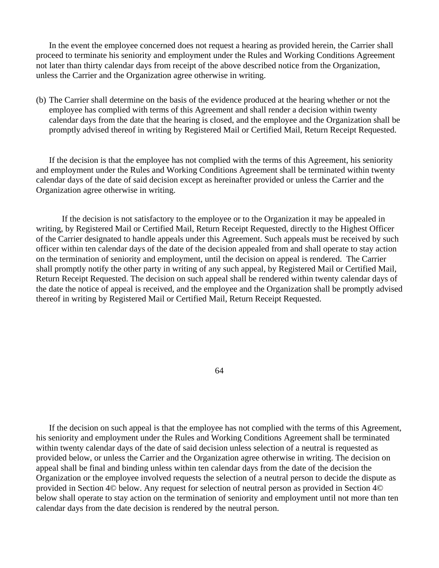In the event the employee concerned does not request a hearing as provided herein, the Carrier shall proceed to terminate his seniority and employment under the Rules and Working Conditions Agreement not later than thirty calendar days from receipt of the above described notice from the Organization, unless the Carrier and the Organization agree otherwise in writing.

(b) The Carrier shall determine on the basis of the evidence produced at the hearing whether or not the employee has complied with terms of this Agreement and shall render a decision within twenty calendar days from the date that the hearing is closed, and the employee and the Organization shall be promptly advised thereof in writing by Registered Mail or Certified Mail, Return Receipt Requested.

If the decision is that the employee has not complied with the terms of this Agreement, his seniority and employment under the Rules and Working Conditions Agreement shall be terminated within twenty calendar days of the date of said decision except as hereinafter provided or unless the Carrier and the Organization agree otherwise in writing.

 If the decision is not satisfactory to the employee or to the Organization it may be appealed in writing, by Registered Mail or Certified Mail, Return Receipt Requested, directly to the Highest Officer of the Carrier designated to handle appeals under this Agreement. Such appeals must be received by such officer within ten calendar days of the date of the decision appealed from and shall operate to stay action on the termination of seniority and employment, until the decision on appeal is rendered. The Carrier shall promptly notify the other party in writing of any such appeal, by Registered Mail or Certified Mail, Return Receipt Requested. The decision on such appeal shall be rendered within twenty calendar days of the date the notice of appeal is received, and the employee and the Organization shall be promptly advised thereof in writing by Registered Mail or Certified Mail, Return Receipt Requested.

64

If the decision on such appeal is that the employee has not complied with the terms of this Agreement, his seniority and employment under the Rules and Working Conditions Agreement shall be terminated within twenty calendar days of the date of said decision unless selection of a neutral is requested as provided below, or unless the Carrier and the Organization agree otherwise in writing. The decision on appeal shall be final and binding unless within ten calendar days from the date of the decision the Organization or the employee involved requests the selection of a neutral person to decide the dispute as provided in Section 4© below. Any request for selection of neutral person as provided in Section 4© below shall operate to stay action on the termination of seniority and employment until not more than ten calendar days from the date decision is rendered by the neutral person.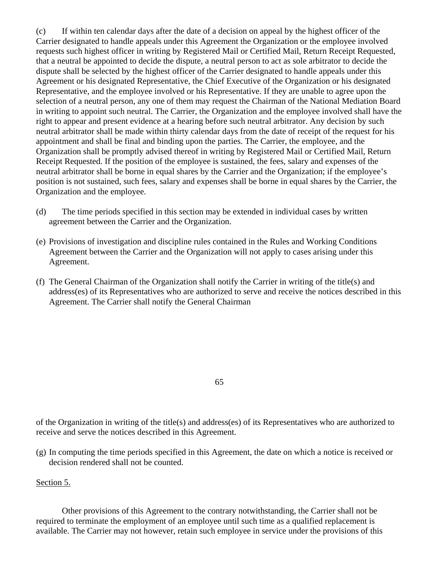(c) If within ten calendar days after the date of a decision on appeal by the highest officer of the Carrier designated to handle appeals under this Agreement the Organization or the employee involved requests such highest officer in writing by Registered Mail or Certified Mail, Return Receipt Requested, that a neutral be appointed to decide the dispute, a neutral person to act as sole arbitrator to decide the dispute shall be selected by the highest officer of the Carrier designated to handle appeals under this Agreement or his designated Representative, the Chief Executive of the Organization or his designated Representative, and the employee involved or his Representative. If they are unable to agree upon the selection of a neutral person, any one of them may request the Chairman of the National Mediation Board in writing to appoint such neutral. The Carrier, the Organization and the employee involved shall have the right to appear and present evidence at a hearing before such neutral arbitrator. Any decision by such neutral arbitrator shall be made within thirty calendar days from the date of receipt of the request for his appointment and shall be final and binding upon the parties. The Carrier, the employee, and the Organization shall be promptly advised thereof in writing by Registered Mail or Certified Mail, Return Receipt Requested. If the position of the employee is sustained, the fees, salary and expenses of the neutral arbitrator shall be borne in equal shares by the Carrier and the Organization; if the employee's position is not sustained, such fees, salary and expenses shall be borne in equal shares by the Carrier, the Organization and the employee.

- (d) The time periods specified in this section may be extended in individual cases by written agreement between the Carrier and the Organization.
- (e) Provisions of investigation and discipline rules contained in the Rules and Working Conditions Agreement between the Carrier and the Organization will not apply to cases arising under this Agreement.
- (f) The General Chairman of the Organization shall notify the Carrier in writing of the title(s) and address(es) of its Representatives who are authorized to serve and receive the notices described in this Agreement. The Carrier shall notify the General Chairman

65

of the Organization in writing of the title(s) and address(es) of its Representatives who are authorized to receive and serve the notices described in this Agreement.

(g) In computing the time periods specified in this Agreement, the date on which a notice is received or decision rendered shall not be counted.

Section 5.

Other provisions of this Agreement to the contrary notwithstanding, the Carrier shall not be required to terminate the employment of an employee until such time as a qualified replacement is available. The Carrier may not however, retain such employee in service under the provisions of this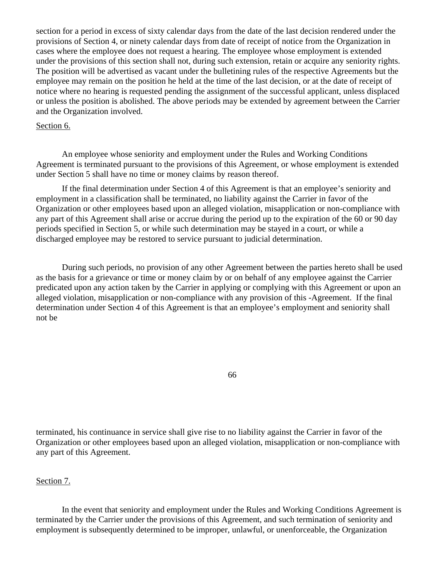section for a period in excess of sixty calendar days from the date of the last decision rendered under the provisions of Section 4, or ninety calendar days from date of receipt of notice from the Organization in cases where the employee does not request a hearing. The employee whose employment is extended under the provisions of this section shall not, during such extension, retain or acquire any seniority rights. The position will be advertised as vacant under the bulletining rules of the respective Agreements but the employee may remain on the position he held at the time of the last decision, or at the date of receipt of notice where no hearing is requested pending the assignment of the successful applicant, unless displaced or unless the position is abolished. The above periods may be extended by agreement between the Carrier and the Organization involved.

#### Section 6.

An employee whose seniority and employment under the Rules and Working Conditions Agreement is terminated pursuant to the provisions of this Agreement, or whose employment is extended under Section 5 shall have no time or money claims by reason thereof.

If the final determination under Section 4 of this Agreement is that an employee's seniority and employment in a classification shall be terminated, no liability against the Carrier in favor of the Organization or other employees based upon an alleged violation, misapplication or non-compliance with any part of this Agreement shall arise or accrue during the period up to the expiration of the 60 or 90 day periods specified in Section 5, or while such determination may be stayed in a court, or while a discharged employee may be restored to service pursuant to judicial determination.

During such periods, no provision of any other Agreement between the parties hereto shall be used as the basis for a grievance or time or money claim by or on behalf of any employee against the Carrier predicated upon any action taken by the Carrier in applying or complying with this Agreement or upon an alleged violation, misapplication or non-compliance with any provision of this -Agreement. If the final determination under Section 4 of this Agreement is that an employee's employment and seniority shall not be

66

terminated, his continuance in service shall give rise to no liability against the Carrier in favor of the Organization or other employees based upon an alleged violation, misapplication or non-compliance with any part of this Agreement.

#### Section 7.

In the event that seniority and employment under the Rules and Working Conditions Agreement is terminated by the Carrier under the provisions of this Agreement, and such termination of seniority and employment is subsequently determined to be improper, unlawful, or unenforceable, the Organization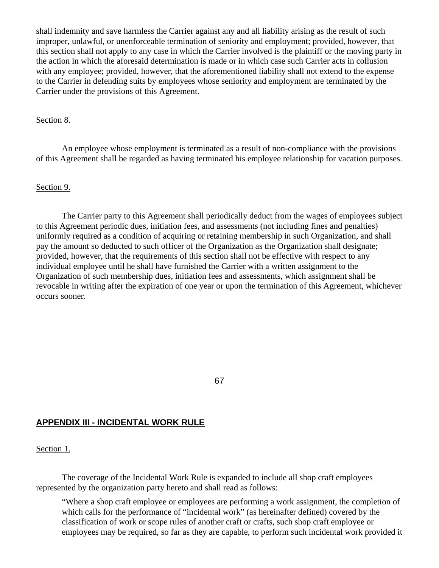shall indemnity and save harmless the Carrier against any and all liability arising as the result of such improper, unlawful, or unenforceable termination of seniority and employment; provided, however, that this section shall not apply to any case in which the Carrier involved is the plaintiff or the moving party in the action in which the aforesaid determination is made or in which case such Carrier acts in collusion with any employee; provided, however, that the aforementioned liability shall not extend to the expense to the Carrier in defending suits by employees whose seniority and employment are terminated by the Carrier under the provisions of this Agreement.

#### Section 8.

An employee whose employment is terminated as a result of non-compliance with the provisions of this Agreement shall be regarded as having terminated his employee relationship for vacation purposes.

#### Section 9.

The Carrier party to this Agreement shall periodically deduct from the wages of employees subject to this Agreement periodic dues, initiation fees, and assessments (not including fines and penalties) uniformly required as a condition of acquiring or retaining membership in such Organization, and shall pay the amount so deducted to such officer of the Organization as the Organization shall designate; provided, however, that the requirements of this section shall not be effective with respect to any individual employee until he shall have furnished the Carrier with a written assignment to the Organization of such membership dues, initiation fees and assessments, which assignment shall be revocable in writing after the expiration of one year or upon the termination of this Agreement, whichever occurs sooner.

#### 67

## **APPENDIX III - INCIDENTAL WORK RULE**

### Section 1.

The coverage of the Incidental Work Rule is expanded to include all shop craft employees represented by the organization party hereto and shall read as follows:

"Where a shop craft employee or employees are performing a work assignment, the completion of which calls for the performance of "incidental work" (as hereinafter defined) covered by the classification of work or scope rules of another craft or crafts, such shop craft employee or employees may be required, so far as they are capable, to perform such incidental work provided it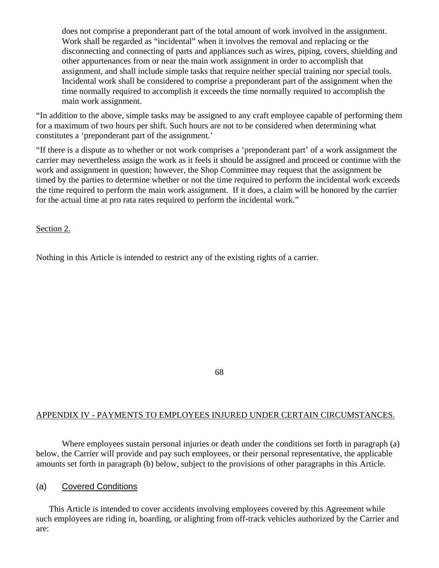does not comprise a preponderant part of the total amount of work involved in the assignment. Work shall be regarded as "incidental" when it involves the removal and replacing or the disconnecting and connecting of parts and appliances such as wires, piping, covers, shielding and other appurtenances from or near the main work assignment in order to accomplish that assignment, and shall include simple tasks that require neither special training nor special tools. Incidental work shall be considered to comprise a preponderant part of the assignment when the time normally required to accomplish it exceeds the time normally required to accomplish the main work assignment.

"In addition to the above, simple tasks may be assigned to any craft employee capable of performing them for a maximum of two hours per shift. Such hours are not to be considered when determining what constitutes a 'preponderant part of the assignment.'

"If there is a dispute as to whether or not work comprises a 'preponderant part' of a work assignment the carrier may nevertheless assign the work as it feels it should be assigned and proceed or continue with the work and assignment in question; however, the Shop Committee may request that the assignment be timed by the parties to determine whether or not the time required to perform the incidental work exceeds the time required to perform the main work assignment. If it does, a claim will be honored by the carrier for the actual time at pro rata rates required to perform the incidental work."

Section 2.

Nothing in this Article is intended to restrict any of the existing rights of a carrier.

68

## APPENDIX IV - PAYMENTS TO EMPLOYEES INJURED UNDER CERTAIN CIRCUMSTANCES.

Where employees sustain personal injuries or death under the conditions set forth in paragraph (a) below, the Carrier will provide and pay such employees, or their personal representative, the applicable amounts set forth in paragraph (b) below, subject to the provisions of other paragraphs in this Article.

## (a) Covered Conditions

This Article is intended to cover accidents involving employees covered by this Agreement while such employees are riding in, boarding, or alighting from off-track vehicles authorized by the Carrier and are: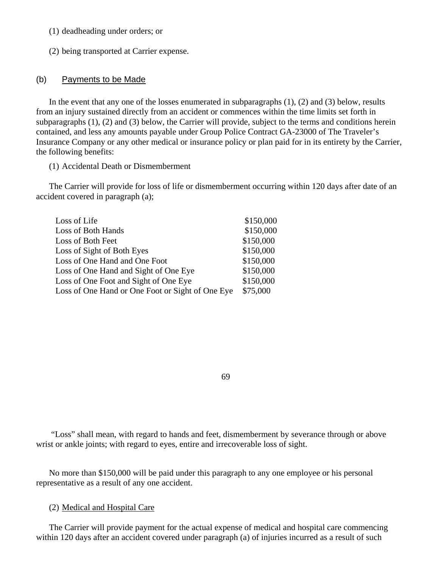- (1) deadheading under orders; or
- (2) being transported at Carrier expense.

#### (b) Payments to be Made

In the event that any one of the losses enumerated in subparagraphs  $(1)$ ,  $(2)$  and  $(3)$  below, results from an injury sustained directly from an accident or commences within the time limits set forth in subparagraphs (1), (2) and (3) below, the Carrier will provide, subject to the terms and conditions herein contained, and less any amounts payable under Group Police Contract GA-23000 of The Traveler's Insurance Company or any other medical or insurance policy or plan paid for in its entirety by the Carrier, the following benefits:

(1) Accidental Death or Dismemberment

The Carrier will provide for loss of life or dismemberment occurring within 120 days after date of an accident covered in paragraph (a);

| Loss of Life                                     | \$150,000 |
|--------------------------------------------------|-----------|
| Loss of Both Hands                               | \$150,000 |
| Loss of Both Feet                                | \$150,000 |
| Loss of Sight of Both Eyes                       | \$150,000 |
| Loss of One Hand and One Foot                    | \$150,000 |
| Loss of One Hand and Sight of One Eye            | \$150,000 |
| Loss of One Foot and Sight of One Eye            | \$150,000 |
| Loss of One Hand or One Foot or Sight of One Eye | \$75,000  |

69

 "Loss" shall mean, with regard to hands and feet, dismemberment by severance through or above wrist or ankle joints; with regard to eyes, entire and irrecoverable loss of sight.

No more than \$150,000 will be paid under this paragraph to any one employee or his personal representative as a result of any one accident.

### (2) Medical and Hospital Care

The Carrier will provide payment for the actual expense of medical and hospital care commencing within 120 days after an accident covered under paragraph (a) of injuries incurred as a result of such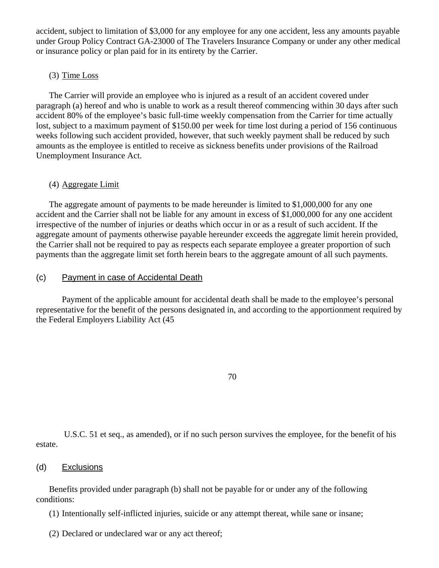accident, subject to limitation of \$3,000 for any employee for any one accident, less any amounts payable under Group Policy Contract GA-23000 of The Travelers Insurance Company or under any other medical or insurance policy or plan paid for in its entirety by the Carrier.

#### (3) Time Loss

The Carrier will provide an employee who is injured as a result of an accident covered under paragraph (a) hereof and who is unable to work as a result thereof commencing within 30 days after such accident 80% of the employee's basic full-time weekly compensation from the Carrier for time actually lost, subject to a maximum payment of \$150.00 per week for time lost during a period of 156 continuous weeks following such accident provided, however, that such weekly payment shall be reduced by such amounts as the employee is entitled to receive as sickness benefits under provisions of the Railroad Unemployment Insurance Act.

#### (4) Aggregate Limit

The aggregate amount of payments to be made hereunder is limited to \$1,000,000 for any one accident and the Carrier shall not be liable for any amount in excess of \$1,000,000 for any one accident irrespective of the number of injuries or deaths which occur in or as a result of such accident. If the aggregate amount of payments otherwise payable hereunder exceeds the aggregate limit herein provided, the Carrier shall not be required to pay as respects each separate employee a greater proportion of such payments than the aggregate limit set forth herein bears to the aggregate amount of all such payments.

### (c) Payment in case of Accidental Death

Payment of the applicable amount for accidental death shall be made to the employee's personal representative for the benefit of the persons designated in, and according to the apportionment required by the Federal Employers Liability Act (45

70

 U.S.C. 51 et seq., as amended), or if no such person survives the employee, for the benefit of his estate.

#### (d) Exclusions

Benefits provided under paragraph (b) shall not be payable for or under any of the following conditions:

(1) Intentionally self-inflicted injuries, suicide or any attempt thereat, while sane or insane;

(2) Declared or undeclared war or any act thereof;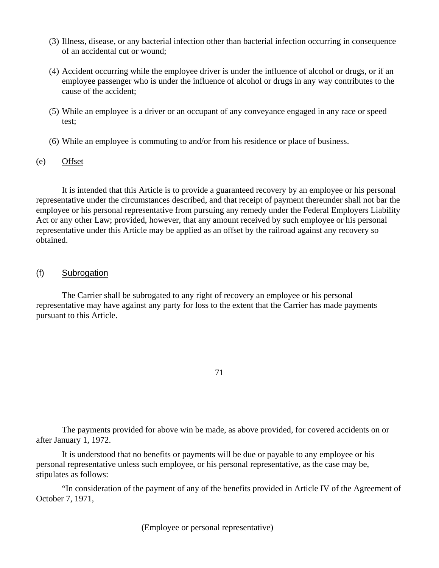- (3) Illness, disease, or any bacterial infection other than bacterial infection occurring in consequence of an accidental cut or wound;
- (4) Accident occurring while the employee driver is under the influence of alcohol or drugs, or if an employee passenger who is under the influence of alcohol or drugs in any way contributes to the cause of the accident;
- (5) While an employee is a driver or an occupant of any conveyance engaged in any race or speed test;
- (6) While an employee is commuting to and/or from his residence or place of business.
- (e) Offset

It is intended that this Article is to provide a guaranteed recovery by an employee or his personal representative under the circumstances described, and that receipt of payment thereunder shall not bar the employee or his personal representative from pursuing any remedy under the Federal Employers Liability Act or any other Law; provided, however, that any amount received by such employee or his personal representative under this Article may be applied as an offset by the railroad against any recovery so obtained.

(f) Subrogation

The Carrier shall be subrogated to any right of recovery an employee or his personal representative may have against any party for loss to the extent that the Carrier has made payments pursuant to this Article.

71

The payments provided for above win be made, as above provided, for covered accidents on or after January 1, 1972.

It is understood that no benefits or payments will be due or payable to any employee or his personal representative unless such employee, or his personal representative, as the case may be, stipulates as follows:

"In consideration of the payment of any of the benefits provided in Article IV of the Agreement of October 7, 1971,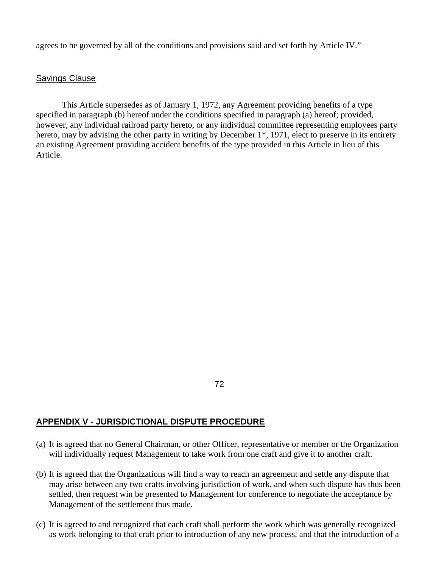agrees to be governed by all of the conditions and provisions said and set forth by Article IV."

#### Savings Clause

This Article supersedes as of January 1, 1972, any Agreement providing benefits of a type specified in paragraph (b) hereof under the conditions specified in paragraph (a) hereof; provided, however, any individual railroad party hereto, or any individual committee representing employees party hereto, may by advising the other party in writing by December 1<sup>\*</sup>, 1971, elect to preserve in its entirety an existing Agreement providing accident benefits of the type provided in this Article in lieu of this Article.

72

### **APPENDIX V - JURISDICTIONAL DISPUTE PROCEDURE**

- (a) It is agreed that no General Chairman, or other Officer, representative or member or the Organization will individually request Management to take work from one craft and give it to another craft.
- (b) It is agreed that the Organizations will find a way to reach an agreement and settle any dispute that may arise between any two crafts involving jurisdiction of work, and when such dispute has thus been settled, then request win be presented to Management for conference to negotiate the acceptance by Management of the settlement thus made.
- (c) It is agreed to and recognized that each craft shall perform the work which was generally recognized as work belonging to that craft prior to introduction of any new process, and that the introduction of a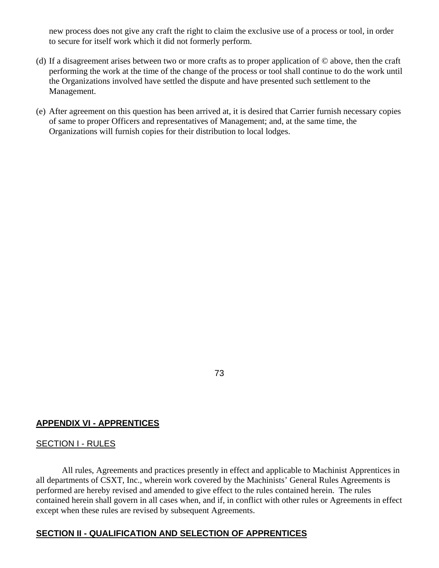new process does not give any craft the right to claim the exclusive use of a process or tool, in order to secure for itself work which it did not formerly perform.

- (d) If a disagreement arises between two or more crafts as to proper application of © above, then the craft performing the work at the time of the change of the process or tool shall continue to do the work until the Organizations involved have settled the dispute and have presented such settlement to the Management.
- (e) After agreement on this question has been arrived at, it is desired that Carrier furnish necessary copies of same to proper Officers and representatives of Management; and, at the same time, the Organizations will furnish copies for their distribution to local lodges.

73

### **APPENDIX VI - APPRENTICES**

### SECTION I - RULES

All rules, Agreements and practices presently in effect and applicable to Machinist Apprentices in all departments of CSXT, Inc., wherein work covered by the Machinists' General Rules Agreements is performed are hereby revised and amended to give effect to the rules contained herein. The rules contained herein shall govern in all cases when, and if, in conflict with other rules or Agreements in effect except when these rules are revised by subsequent Agreements.

#### **SECTION II - QUALIFICATION AND SELECTION OF APPRENTICES**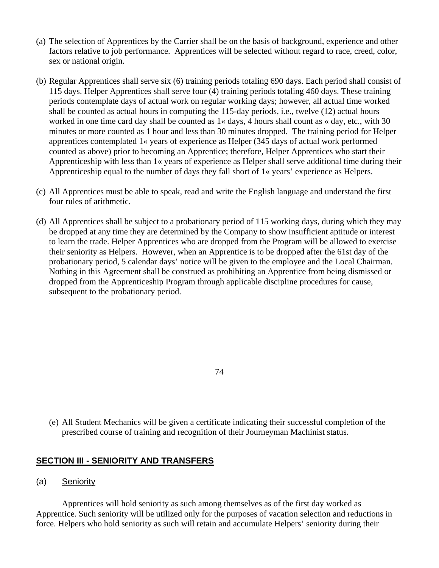- (a) The selection of Apprentices by the Carrier shall be on the basis of background, experience and other factors relative to job performance. Apprentices will be selected without regard to race, creed, color, sex or national origin.
- (b) Regular Apprentices shall serve six (6) training periods totaling 690 days. Each period shall consist of 115 days. Helper Apprentices shall serve four (4) training periods totaling 460 days. These training periods contemplate days of actual work on regular working days; however, all actual time worked shall be counted as actual hours in computing the 115-day periods, i.e., twelve (12) actual hours worked in one time card day shall be counted as  $1 \times$  days, 4 hours shall count as  $\times$  day, etc., with 30 minutes or more counted as 1 hour and less than 30 minutes dropped. The training period for Helper apprentices contemplated 1« years of experience as Helper (345 days of actual work performed counted as above) prior to becoming an Apprentice; therefore, Helper Apprentices who start their Apprenticeship with less than 1« years of experience as Helper shall serve additional time during their Apprenticeship equal to the number of days they fall short of 1« years' experience as Helpers.
- (c) All Apprentices must be able to speak, read and write the English language and understand the first four rules of arithmetic.
- (d) All Apprentices shall be subject to a probationary period of 115 working days, during which they may be dropped at any time they are determined by the Company to show insufficient aptitude or interest to learn the trade. Helper Apprentices who are dropped from the Program will be allowed to exercise their seniority as Helpers. However, when an Apprentice is to be dropped after the 61st day of the probationary period, 5 calendar days' notice will be given to the employee and the Local Chairman. Nothing in this Agreement shall be construed as prohibiting an Apprentice from being dismissed or dropped from the Apprenticeship Program through applicable discipline procedures for cause, subsequent to the probationary period.

- 74
- (e) All Student Mechanics will be given a certificate indicating their successful completion of the prescribed course of training and recognition of their Journeyman Machinist status.

### **SECTION III - SENIORITY AND TRANSFERS**

(a) Seniority

Apprentices will hold seniority as such among themselves as of the first day worked as Apprentice. Such seniority will be utilized only for the purposes of vacation selection and reductions in force. Helpers who hold seniority as such will retain and accumulate Helpers' seniority during their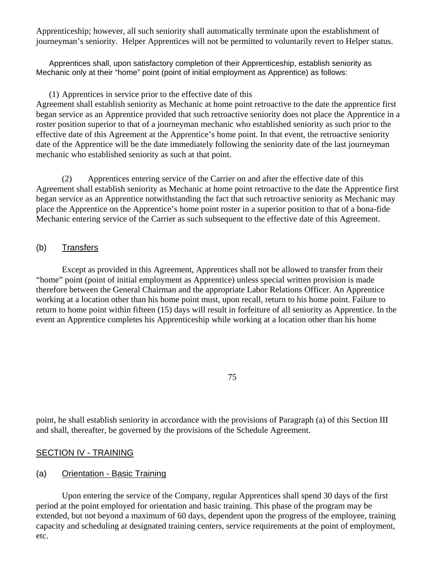Apprenticeship; however, all such seniority shall automatically terminate upon the establishment of journeyman's seniority. Helper Apprentices will not be permitted to voluntarily revert to Helper status.

Apprentices shall, upon satisfactory completion of their Apprenticeship, establish seniority as Mechanic only at their "home" point (point of initial employment as Apprentice) as follows:

### (1) Apprentices in service prior to the effective date of this

Agreement shall establish seniority as Mechanic at home point retroactive to the date the apprentice first began service as an Apprentice provided that such retroactive seniority does not place the Apprentice in a roster position superior to that of a journeyman mechanic who established seniority as such prior to the effective date of this Agreement at the Apprentice's home point. In that event, the retroactive seniority date of the Apprentice will be the date immediately following the seniority date of the last journeyman mechanic who established seniority as such at that point.

(2) Apprentices entering service of the Carrier on and after the effective date of this Agreement shall establish seniority as Mechanic at home point retroactive to the date the Apprentice first began service as an Apprentice notwithstanding the fact that such retroactive seniority as Mechanic may place the Apprentice on the Apprentice's home point roster in a superior position to that of a bona-fide Mechanic entering service of the Carrier as such subsequent to the effective date of this Agreement.

### (b) Transfers

Except as provided in this Agreement, Apprentices shall not be allowed to transfer from their "home" point (point of initial employment as Apprentice) unless special written provision is made therefore between the General Chairman and the appropriate Labor Relations Officer. An Apprentice working at a location other than his home point must, upon recall, return to his home point. Failure to return to home point within fifteen (15) days will result in forfeiture of all seniority as Apprentice. In the event an Apprentice completes his Apprenticeship while working at a location other than his home

75

point, he shall establish seniority in accordance with the provisions of Paragraph (a) of this Section III and shall, thereafter, be governed by the provisions of the Schedule Agreement.

### SECTION IV - TRAINING

### (a) Orientation - Basic Training

Upon entering the service of the Company, regular Apprentices shall spend 30 days of the first period at the point employed for orientation and basic training. This phase of the program may be extended, but not beyond a maximum of 60 days, dependent upon the progress of the employee, training capacity and scheduling at designated training centers, service requirements at the point of employment, etc.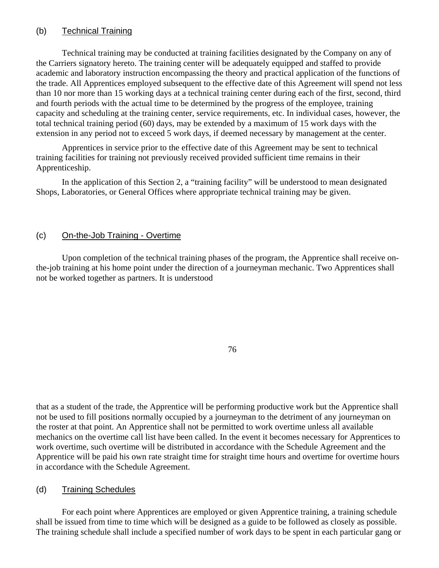## (b) Technical Training

Technical training may be conducted at training facilities designated by the Company on any of the Carriers signatory hereto. The training center will be adequately equipped and staffed to provide academic and laboratory instruction encompassing the theory and practical application of the functions of the trade. All Apprentices employed subsequent to the effective date of this Agreement will spend not less than 10 nor more than 15 working days at a technical training center during each of the first, second, third and fourth periods with the actual time to be determined by the progress of the employee, training capacity and scheduling at the training center, service requirements, etc. In individual cases, however, the total technical training period (60) days, may be extended by a maximum of 15 work days with the extension in any period not to exceed 5 work days, if deemed necessary by management at the center.

Apprentices in service prior to the effective date of this Agreement may be sent to technical training facilities for training not previously received provided sufficient time remains in their Apprenticeship.

In the application of this Section 2, a "training facility" will be understood to mean designated Shops, Laboratories, or General Offices where appropriate technical training may be given.

### (c) On-the-Job Training - Overtime

Upon completion of the technical training phases of the program, the Apprentice shall receive onthe-job training at his home point under the direction of a journeyman mechanic. Two Apprentices shall not be worked together as partners. It is understood

76

that as a student of the trade, the Apprentice will be performing productive work but the Apprentice shall not be used to fill positions normally occupied by a journeyman to the detriment of any journeyman on the roster at that point. An Apprentice shall not be permitted to work overtime unless all available mechanics on the overtime call list have been called. In the event it becomes necessary for Apprentices to work overtime, such overtime will be distributed in accordance with the Schedule Agreement and the Apprentice will be paid his own rate straight time for straight time hours and overtime for overtime hours in accordance with the Schedule Agreement.

### (d) Training Schedules

For each point where Apprentices are employed or given Apprentice training, a training schedule shall be issued from time to time which will be designed as a guide to be followed as closely as possible. The training schedule shall include a specified number of work days to be spent in each particular gang or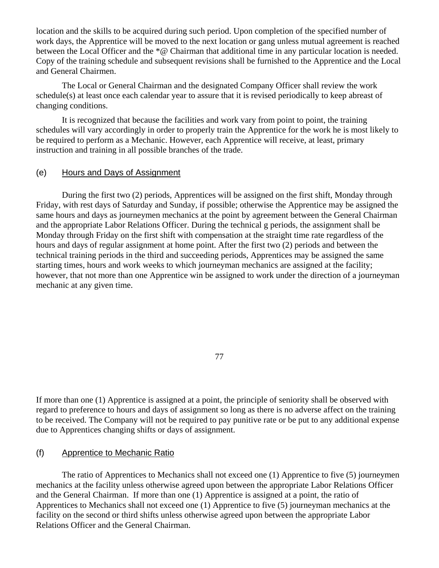location and the skills to be acquired during such period. Upon completion of the specified number of work days, the Apprentice will be moved to the next location or gang unless mutual agreement is reached between the Local Officer and the \*@ Chairman that additional time in any particular location is needed. Copy of the training schedule and subsequent revisions shall be furnished to the Apprentice and the Local and General Chairmen.

The Local or General Chairman and the designated Company Officer shall review the work schedule(s) at least once each calendar year to assure that it is revised periodically to keep abreast of changing conditions.

It is recognized that because the facilities and work vary from point to point, the training schedules will vary accordingly in order to properly train the Apprentice for the work he is most likely to be required to perform as a Mechanic. However, each Apprentice will receive, at least, primary instruction and training in all possible branches of the trade.

### (e) Hours and Days of Assignment

During the first two (2) periods, Apprentices will be assigned on the first shift, Monday through Friday, with rest days of Saturday and Sunday, if possible; otherwise the Apprentice may be assigned the same hours and days as journeymen mechanics at the point by agreement between the General Chairman and the appropriate Labor Relations Officer. During the technical g periods, the assignment shall be Monday through Friday on the first shift with compensation at the straight time rate regardless of the hours and days of regular assignment at home point. After the first two (2) periods and between the technical training periods in the third and succeeding periods, Apprentices may be assigned the same starting times, hours and work weeks to which journeyman mechanics are assigned at the facility; however, that not more than one Apprentice win be assigned to work under the direction of a journeyman mechanic at any given time.

### 77

If more than one (1) Apprentice is assigned at a point, the principle of seniority shall be observed with regard to preference to hours and days of assignment so long as there is no adverse affect on the training to be received. The Company will not be required to pay punitive rate or be put to any additional expense due to Apprentices changing shifts or days of assignment.

### (f) Apprentice to Mechanic Ratio

The ratio of Apprentices to Mechanics shall not exceed one (1) Apprentice to five (5) journeymen mechanics at the facility unless otherwise agreed upon between the appropriate Labor Relations Officer and the General Chairman. If more than one (1) Apprentice is assigned at a point, the ratio of Apprentices to Mechanics shall not exceed one (1) Apprentice to five (5) journeyman mechanics at the facility on the second or third shifts unless otherwise agreed upon between the appropriate Labor Relations Officer and the General Chairman.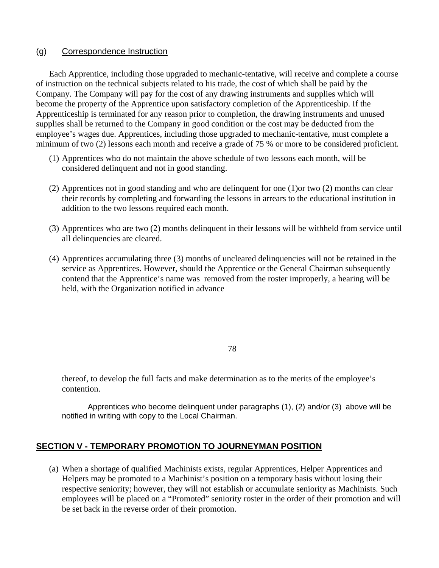### (g) Correspondence Instruction

Each Apprentice, including those upgraded to mechanic-tentative, will receive and complete a course of instruction on the technical subjects related to his trade, the cost of which shall be paid by the Company. The Company will pay for the cost of any drawing instruments and supplies which will become the property of the Apprentice upon satisfactory completion of the Apprenticeship. If the Apprenticeship is terminated for any reason prior to completion, the drawing instruments and unused supplies shall be returned to the Company in good condition or the cost may be deducted from the employee's wages due. Apprentices, including those upgraded to mechanic-tentative, must complete a minimum of two (2) lessons each month and receive a grade of 75 % or more to be considered proficient.

- (1) Apprentices who do not maintain the above schedule of two lessons each month, will be considered delinquent and not in good standing.
- (2) Apprentices not in good standing and who are delinquent for one (1)or two (2) months can clear their records by completing and forwarding the lessons in arrears to the educational institution in addition to the two lessons required each month.
- (3) Apprentices who are two (2) months delinquent in their lessons will be withheld from service until all delinquencies are cleared.
- (4) Apprentices accumulating three (3) months of uncleared delinquencies will not be retained in the service as Apprentices. However, should the Apprentice or the General Chairman subsequently contend that the Apprentice's name was removed from the roster improperly, a hearing will be held, with the Organization notified in advance

78

thereof, to develop the full facts and make determination as to the merits of the employee's contention.

Apprentices who become delinquent under paragraphs (1), (2) and/or (3) above will be notified in writing with copy to the Local Chairman.

# **SECTION V - TEMPORARY PROMOTION TO JOURNEYMAN POSITION**

(a) When a shortage of qualified Machinists exists, regular Apprentices, Helper Apprentices and Helpers may be promoted to a Machinist's position on a temporary basis without losing their respective seniority; however, they will not establish or accumulate seniority as Machinists. Such employees will be placed on a "Promoted" seniority roster in the order of their promotion and will be set back in the reverse order of their promotion.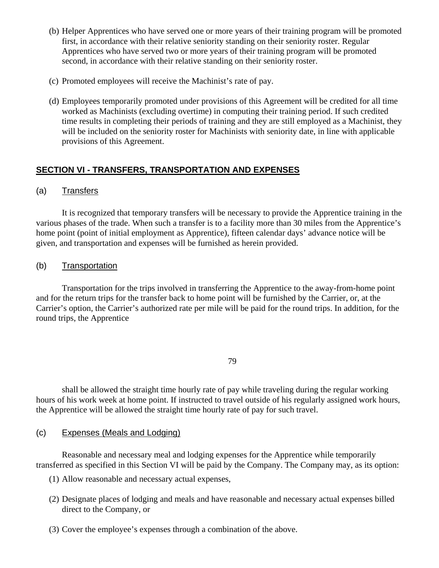- (b) Helper Apprentices who have served one or more years of their training program will be promoted first, in accordance with their relative seniority standing on their seniority roster. Regular Apprentices who have served two or more years of their training program will be promoted second, in accordance with their relative standing on their seniority roster.
- (c) Promoted employees will receive the Machinist's rate of pay.
- (d) Employees temporarily promoted under provisions of this Agreement will be credited for all time worked as Machinists (excluding overtime) in computing their training period. If such credited time results in completing their periods of training and they are still employed as a Machinist, they will be included on the seniority roster for Machinists with seniority date, in line with applicable provisions of this Agreement.

# **SECTION VI - TRANSFERS, TRANSPORTATION AND EXPENSES**

### (a) Transfers

It is recognized that temporary transfers will be necessary to provide the Apprentice training in the various phases of the trade. When such a transfer is to a facility more than 30 miles from the Apprentice's home point (point of initial employment as Apprentice), fifteen calendar days' advance notice will be given, and transportation and expenses will be furnished as herein provided.

### (b) Transportation

Transportation for the trips involved in transferring the Apprentice to the away-from-home point and for the return trips for the transfer back to home point will be furnished by the Carrier, or, at the Carrier's option, the Carrier's authorized rate per mile will be paid for the round trips. In addition, for the round trips, the Apprentice

79

shall be allowed the straight time hourly rate of pay while traveling during the regular working hours of his work week at home point. If instructed to travel outside of his regularly assigned work hours, the Apprentice will be allowed the straight time hourly rate of pay for such travel.

### (c) Expenses (Meals and Lodging)

Reasonable and necessary meal and lodging expenses for the Apprentice while temporarily transferred as specified in this Section VI will be paid by the Company. The Company may, as its option:

- (1) Allow reasonable and necessary actual expenses,
- (2) Designate places of lodging and meals and have reasonable and necessary actual expenses billed direct to the Company, or
- (3) Cover the employee's expenses through a combination of the above.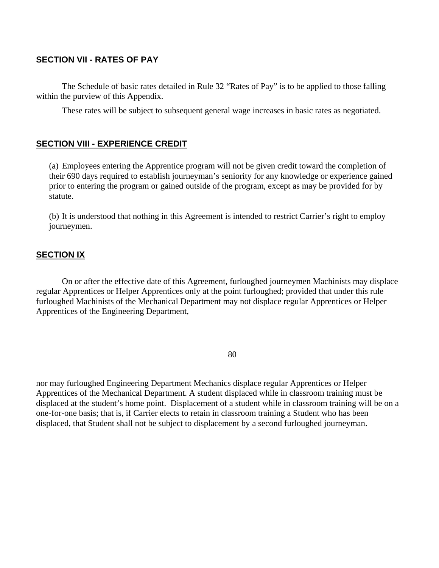### **SECTION VII - RATES OF PAY**

The Schedule of basic rates detailed in Rule 32 "Rates of Pay" is to be applied to those falling within the purview of this Appendix.

These rates will be subject to subsequent general wage increases in basic rates as negotiated.

### **SECTION VIII - EXPERIENCE CREDIT**

(a) Employees entering the Apprentice program will not be given credit toward the completion of their 690 days required to establish journeyman's seniority for any knowledge or experience gained prior to entering the program or gained outside of the program, except as may be provided for by statute.

(b) It is understood that nothing in this Agreement is intended to restrict Carrier's right to employ journeymen.

### **SECTION IX**

On or after the effective date of this Agreement, furloughed journeymen Machinists may displace regular Apprentices or Helper Apprentices only at the point furloughed; provided that under this rule furloughed Machinists of the Mechanical Department may not displace regular Apprentices or Helper Apprentices of the Engineering Department,

80

nor may furloughed Engineering Department Mechanics displace regular Apprentices or Helper Apprentices of the Mechanical Department. A student displaced while in classroom training must be displaced at the student's home point. Displacement of a student while in classroom training will be on a one-for-one basis; that is, if Carrier elects to retain in classroom training a Student who has been displaced, that Student shall not be subject to displacement by a second furloughed journeyman.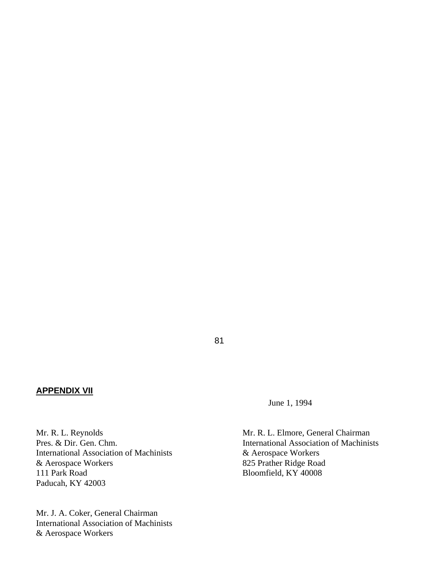### **APPENDIX VII**

June 1, 1994

81

Mr. R. L. Reynolds<br>
Pres. & Dir. Gen. Chm.<br>
Mr. R. L. Elmore, General Chairman<br>
International Association of Machinis International Association of Machinists Bloomfield, KY 40008

International Association of Machinists & Aerospace Workers & Aerospace Workers 825 Prather Ridge Road<br>
111 Park Road<br>
Bloomfield, KY 40008 Paducah, KY 42003

Mr. J. A. Coker, General Chairman International Association of Machinists & Aerospace Workers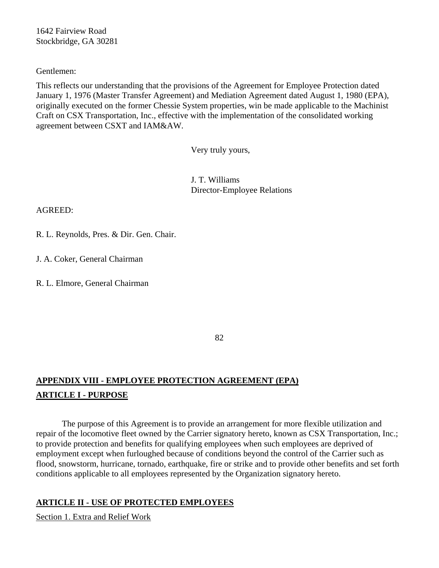1642 Fairview Road Stockbridge, GA 30281

Gentlemen:

This reflects our understanding that the provisions of the Agreement for Employee Protection dated January 1, 1976 (Master Transfer Agreement) and Mediation Agreement dated August 1, 1980 (EPA), originally executed on the former Chessie System properties, win be made applicable to the Machinist Craft on CSX Transportation, Inc., effective with the implementation of the consolidated working agreement between CSXT and IAM&AW.

Very truly yours,

J. T. Williams Director-Employee Relations

AGREED:

R. L. Reynolds, Pres. & Dir. Gen. Chair.

J. A. Coker, General Chairman

R. L. Elmore, General Chairman

82

# **APPENDIX VIII - EMPLOYEE PROTECTION AGREEMENT (EPA) ARTICLE I - PURPOSE**

The purpose of this Agreement is to provide an arrangement for more flexible utilization and repair of the locomotive fleet owned by the Carrier signatory hereto, known as CSX Transportation, Inc.; to provide protection and benefits for qualifying employees when such employees are deprived of employment except when furloughed because of conditions beyond the control of the Carrier such as flood, snowstorm, hurricane, tornado, earthquake, fire or strike and to provide other benefits and set forth conditions applicable to all employees represented by the Organization signatory hereto.

# **ARTICLE II - USE OF PROTECTED EMPLOYEES**

Section 1. Extra and Relief Work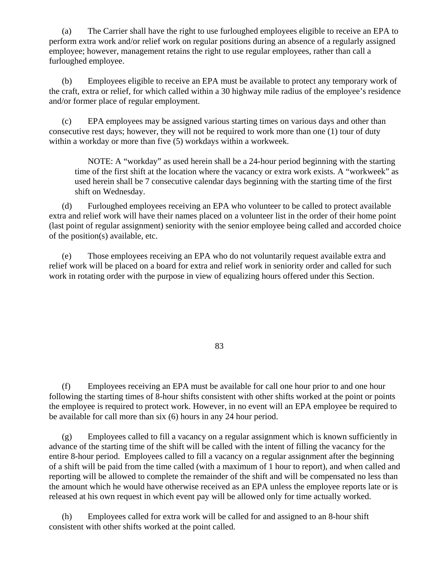(a) The Carrier shall have the right to use furloughed employees eligible to receive an EPA to perform extra work and/or relief work on regular positions during an absence of a regularly assigned employee; however, management retains the right to use regular employees, rather than call a furloughed employee.

(b) Employees eligible to receive an EPA must be available to protect any temporary work of the craft, extra or relief, for which called within a 30 highway mile radius of the employee's residence and/or former place of regular employment.

(c) EPA employees may be assigned various starting times on various days and other than consecutive rest days; however, they will not be required to work more than one (1) tour of duty within a workday or more than five (5) workdays within a workweek.

NOTE: A "workday" as used herein shall be a 24-hour period beginning with the starting time of the first shift at the location where the vacancy or extra work exists. A "workweek" as used herein shall be 7 consecutive calendar days beginning with the starting time of the first shift on Wednesday.

(d) Furloughed employees receiving an EPA who volunteer to be called to protect available extra and relief work will have their names placed on a volunteer list in the order of their home point (last point of regular assignment) seniority with the senior employee being called and accorded choice of the position(s) available, etc.

(e) Those employees receiving an EPA who do not voluntarily request available extra and relief work will be placed on a board for extra and relief work in seniority order and called for such work in rotating order with the purpose in view of equalizing hours offered under this Section.

83

(f) Employees receiving an EPA must be available for call one hour prior to and one hour following the starting times of 8-hour shifts consistent with other shifts worked at the point or points the employee is required to protect work. However, in no event will an EPA employee be required to be available for call more than six (6) hours in any 24 hour period.

(g) Employees called to fill a vacancy on a regular assignment which is known sufficiently in advance of the starting time of the shift will be called with the intent of filling the vacancy for the entire 8-hour period. Employees called to fill a vacancy on a regular assignment after the beginning of a shift will be paid from the time called (with a maximum of 1 hour to report), and when called and reporting will be allowed to complete the remainder of the shift and will be compensated no less than the amount which he would have otherwise received as an EPA unless the employee reports late or is released at his own request in which event pay will be allowed only for time actually worked.

(h) Employees called for extra work will be called for and assigned to an 8-hour shift consistent with other shifts worked at the point called.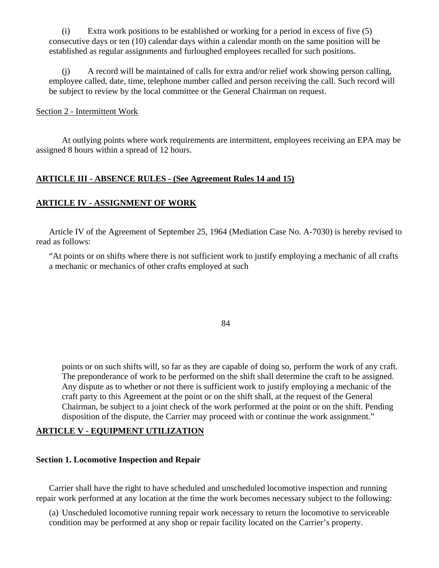(i) Extra work positions to be established or working for a period in excess of five (5) consecutive days or ten (10) calendar days within a calendar month on the same position will be established as regular assignments and furloughed employees recalled for such positions.

(j) A record will be maintained of calls for extra and/or relief work showing person calling, employee called, date, time, telephone number called and person receiving the call. Such record will be subject to review by the local committee or the General Chairman on request.

#### Section 2 - Intermittent Work

At outlying points where work requirements are intermittent, employees receiving an EPA may be assigned 8 hours within a spread of 12 hours.

### **ARTICLE III - ABSENCE RULES - (See Agreement Rules 14 and 15)**

### **ARTICLE IV - ASSIGNMENT OF WORK**

Article IV of the Agreement of September 25, 1964 (Mediation Case No. A-7030) is hereby revised to read as follows:

"At points or on shifts where there is not sufficient work to justify employing a mechanic of all crafts a mechanic or mechanics of other crafts employed at such

84

points or on such shifts will, so far as they are capable of doing so, perform the work of any craft. The preponderance of work to be performed on the shift shall determine the craft to be assigned. Any dispute as to whether or not there is sufficient work to justify employing a mechanic of the craft party to this Agreement at the point or on the shift shall, at the request of the General Chairman, be subject to a joint check of the work performed at the point or on the shift. Pending disposition of the dispute, the Carrier may proceed with or continue the work assignment."

### **ARTICLE V - EQUIPMENT UTILIZATION**

### **Section 1. Locomotive Inspection and Repair**

Carrier shall have the right to have scheduled and unscheduled locomotive inspection and running repair work performed at any location at the time the work becomes necessary subject to the following:

(a) Unscheduled locomotive running repair work necessary to return the locomotive to serviceable condition may be performed at any shop or repair facility located on the Carrier's property.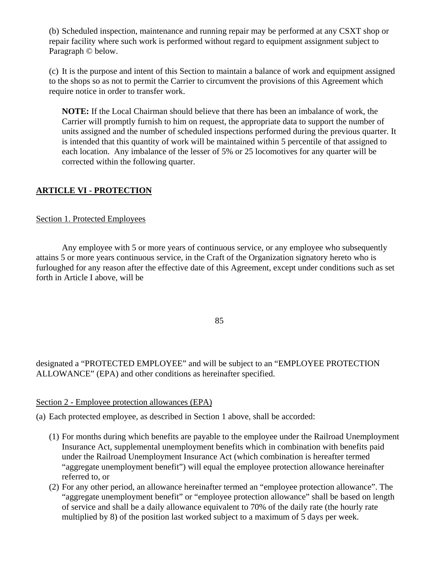(b) Scheduled inspection, maintenance and running repair may be performed at any CSXT shop or repair facility where such work is performed without regard to equipment assignment subject to Paragraph © below.

(c) It is the purpose and intent of this Section to maintain a balance of work and equipment assigned to the shops so as not to permit the Carrier to circumvent the provisions of this Agreement which require notice in order to transfer work.

**NOTE:** If the Local Chairman should believe that there has been an imbalance of work, the Carrier will promptly furnish to him on request, the appropriate data to support the number of units assigned and the number of scheduled inspections performed during the previous quarter. It is intended that this quantity of work will be maintained within 5 percentile of that assigned to each location. Any imbalance of the lesser of 5% or 25 locomotives for any quarter will be corrected within the following quarter.

# **ARTICLE VI - PROTECTION**

# Section 1. Protected Employees

Any employee with 5 or more years of continuous service, or any employee who subsequently attains 5 or more years continuous service, in the Craft of the Organization signatory hereto who is furloughed for any reason after the effective date of this Agreement, except under conditions such as set forth in Article I above, will be

85

designated a "PROTECTED EMPLOYEE" and will be subject to an "EMPLOYEE PROTECTION ALLOWANCE" (EPA) and other conditions as hereinafter specified.

### Section 2 - Employee protection allowances (EPA)

(a) Each protected employee, as described in Section 1 above, shall be accorded:

- (1) For months during which benefits are payable to the employee under the Railroad Unemployment Insurance Act, supplemental unemployment benefits which in combination with benefits paid under the Railroad Unemployment Insurance Act (which combination is hereafter termed "aggregate unemployment benefit") will equal the employee protection allowance hereinafter referred to, or
- (2) For any other period, an allowance hereinafter termed an "employee protection allowance". The "aggregate unemployment benefit" or "employee protection allowance" shall be based on length of service and shall be a daily allowance equivalent to 70% of the daily rate (the hourly rate multiplied by 8) of the position last worked subject to a maximum of 5 days per week.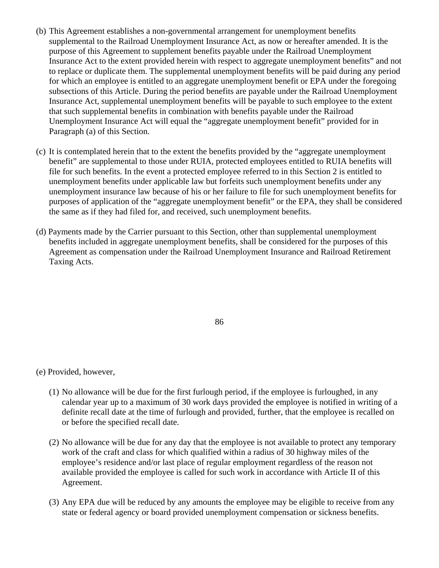- (b) This Agreement establishes a non-governmental arrangement for unemployment benefits supplemental to the Railroad Unemployment Insurance Act, as now or hereafter amended. It is the purpose of this Agreement to supplement benefits payable under the Railroad Unemployment Insurance Act to the extent provided herein with respect to aggregate unemployment benefits" and not to replace or duplicate them. The supplemental unemployment benefits will be paid during any period for which an employee is entitled to an aggregate unemployment benefit or EPA under the foregoing subsections of this Article. During the period benefits are payable under the Railroad Unemployment Insurance Act, supplemental unemployment benefits will be payable to such employee to the extent that such supplemental benefits in combination with benefits payable under the Railroad Unemployment Insurance Act will equal the "aggregate unemployment benefit" provided for in Paragraph (a) of this Section.
- (c) It is contemplated herein that to the extent the benefits provided by the "aggregate unemployment benefit" are supplemental to those under RUIA, protected employees entitled to RUIA benefits will file for such benefits. In the event a protected employee referred to in this Section 2 is entitled to unemployment benefits under applicable law but forfeits such unemployment benefits under any unemployment insurance law because of his or her failure to file for such unemployment benefits for purposes of application of the "aggregate unemployment benefit" or the EPA, they shall be considered the same as if they had filed for, and received, such unemployment benefits.
- (d) Payments made by the Carrier pursuant to this Section, other than supplemental unemployment benefits included in aggregate unemployment benefits, shall be considered for the purposes of this Agreement as compensation under the Railroad Unemployment Insurance and Railroad Retirement Taxing Acts.

86

(e) Provided, however,

- (1) No allowance will be due for the first furlough period, if the employee is furloughed, in any calendar year up to a maximum of 30 work days provided the employee is notified in writing of a definite recall date at the time of furlough and provided, further, that the employee is recalled on or before the specified recall date.
- (2) No allowance will be due for any day that the employee is not available to protect any temporary work of the craft and class for which qualified within a radius of 30 highway miles of the employee's residence and/or last place of regular employment regardless of the reason not available provided the employee is called for such work in accordance with Article II of this Agreement.
- (3) Any EPA due will be reduced by any amounts the employee may be eligible to receive from any state or federal agency or board provided unemployment compensation or sickness benefits.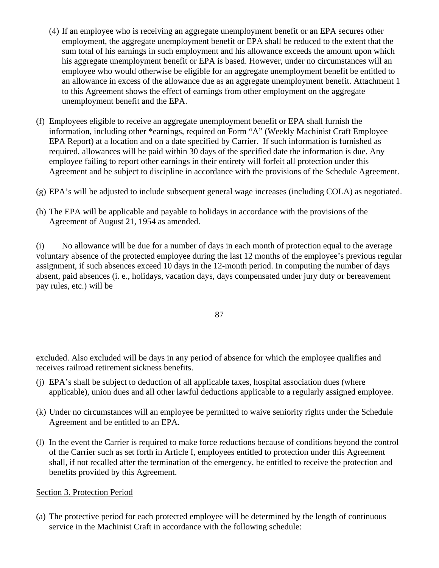- (4) If an employee who is receiving an aggregate unemployment benefit or an EPA secures other employment, the aggregate unemployment benefit or EPA shall be reduced to the extent that the sum total of his earnings in such employment and his allowance exceeds the amount upon which his aggregate unemployment benefit or EPA is based. However, under no circumstances will an employee who would otherwise be eligible for an aggregate unemployment benefit be entitled to an allowance in excess of the allowance due as an aggregate unemployment benefit. Attachment 1 to this Agreement shows the effect of earnings from other employment on the aggregate unemployment benefit and the EPA.
- (f) Employees eligible to receive an aggregate unemployment benefit or EPA shall furnish the information, including other \*earnings, required on Form "A" (Weekly Machinist Craft Employee EPA Report) at a location and on a date specified by Carrier. If such information is furnished as required, allowances will be paid within 30 days of the specified date the information is due. Any employee failing to report other earnings in their entirety will forfeit all protection under this Agreement and be subject to discipline in accordance with the provisions of the Schedule Agreement.
- (g) EPA's will be adjusted to include subsequent general wage increases (including COLA) as negotiated.
- (h) The EPA will be applicable and payable to holidays in accordance with the provisions of the Agreement of August 21, 1954 as amended.

(i) No allowance will be due for a number of days in each month of protection equal to the average voluntary absence of the protected employee during the last 12 months of the employee's previous regular assignment, if such absences exceed 10 days in the 12-month period. In computing the number of days absent, paid absences (i. e., holidays, vacation days, days compensated under jury duty or bereavement pay rules, etc.) will be

87

excluded. Also excluded will be days in any period of absence for which the employee qualifies and receives railroad retirement sickness benefits.

- (j) EPA's shall be subject to deduction of all applicable taxes, hospital association dues (where applicable), union dues and all other lawful deductions applicable to a regularly assigned employee.
- (k) Under no circumstances will an employee be permitted to waive seniority rights under the Schedule Agreement and be entitled to an EPA.
- (l) In the event the Carrier is required to make force reductions because of conditions beyond the control of the Carrier such as set forth in Article I, employees entitled to protection under this Agreement shall, if not recalled after the termination of the emergency, be entitled to receive the protection and benefits provided by this Agreement.

### Section 3. Protection Period

(a) The protective period for each protected employee will be determined by the length of continuous service in the Machinist Craft in accordance with the following schedule: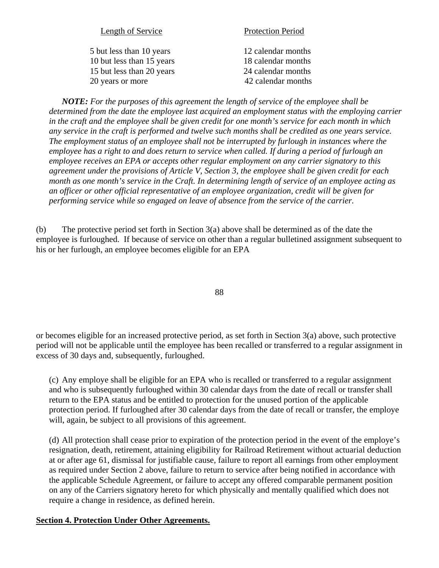| Length of Service         | <b>Protection Period</b> |
|---------------------------|--------------------------|
| 5 but less than 10 years  | 12 calendar months       |
| 10 but less than 15 years | 18 calendar months       |
| 15 but less than 20 years | 24 calendar months       |
| 20 years or more          | 42 calendar months       |
|                           |                          |

*NOTE: For the purposes of this agreement the length of service of the employee shall be determined from the date the employee last acquired an employment status with the employing carrier in the craft and the employee shall be given credit for one month's service for each month in which any service in the craft is performed and twelve such months shall be credited as one years service. The employment status of an employee shall not be interrupted by furlough in instances where the employee has a right to and does return to service when called. If during a period of furlough an employee receives an EPA or accepts other regular employment on any carrier signatory to this agreement under the provisions of Article V, Section 3, the employee shall be given credit for each month as one month's service in the Craft. In determining length of service of an employee acting as an officer or other official representative of an employee organization, credit will be given for performing service while so engaged on leave of absence from the service of the carrier.* 

(b) The protective period set forth in Section 3(a) above shall be determined as of the date the employee is furloughed. If because of service on other than a regular bulletined assignment subsequent to his or her furlough, an employee becomes eligible for an EPA

88

or becomes eligible for an increased protective period, as set forth in Section 3(a) above, such protective period will not be applicable until the employee has been recalled or transferred to a regular assignment in excess of 30 days and, subsequently, furloughed.

(c) Any employe shall be eligible for an EPA who is recalled or transferred to a regular assignment and who is subsequently furloughed within 30 calendar days from the date of recall or transfer shall return to the EPA status and be entitled to protection for the unused portion of the applicable protection period. If furloughed after 30 calendar days from the date of recall or transfer, the employe will, again, be subject to all provisions of this agreement.

(d) All protection shall cease prior to expiration of the protection period in the event of the employe's resignation, death, retirement, attaining eligibility for Railroad Retirement without actuarial deduction at or after age 61, dismissal for justifiable cause, failure to report all earnings from other employment as required under Section 2 above, failure to return to service after being notified in accordance with the applicable Schedule Agreement, or failure to accept any offered comparable permanent position on any of the Carriers signatory hereto for which physically and mentally qualified which does not require a change in residence, as defined herein.

### **Section 4. Protection Under Other Agreements.**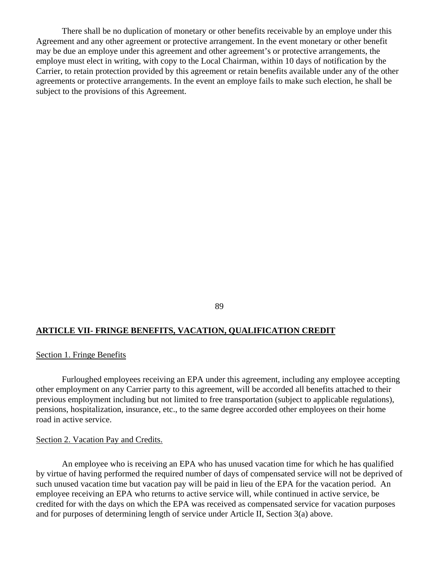There shall be no duplication of monetary or other benefits receivable by an employe under this Agreement and any other agreement or protective arrangement. In the event monetary or other benefit may be due an employe under this agreement and other agreement's or protective arrangements, the employe must elect in writing, with copy to the Local Chairman, within 10 days of notification by the Carrier, to retain protection provided by this agreement or retain benefits available under any of the other agreements or protective arrangements. In the event an employe fails to make such election, he shall be subject to the provisions of this Agreement.

89

#### **ARTICLE VII- FRINGE BENEFITS, VACATION, QUALIFICATION CREDIT**

#### Section 1. Fringe Benefits

Furloughed employees receiving an EPA under this agreement, including any employee accepting other employment on any Carrier party to this agreement, will be accorded all benefits attached to their previous employment including but not limited to free transportation (subject to applicable regulations), pensions, hospitalization, insurance, etc., to the same degree accorded other employees on their home road in active service.

#### Section 2. Vacation Pay and Credits.

An employee who is receiving an EPA who has unused vacation time for which he has qualified by virtue of having performed the required number of days of compensated service will not be deprived of such unused vacation time but vacation pay will be paid in lieu of the EPA for the vacation period. An employee receiving an EPA who returns to active service will, while continued in active service, be credited for with the days on which the EPA was received as compensated service for vacation purposes and for purposes of determining length of service under Article II, Section 3(a) above.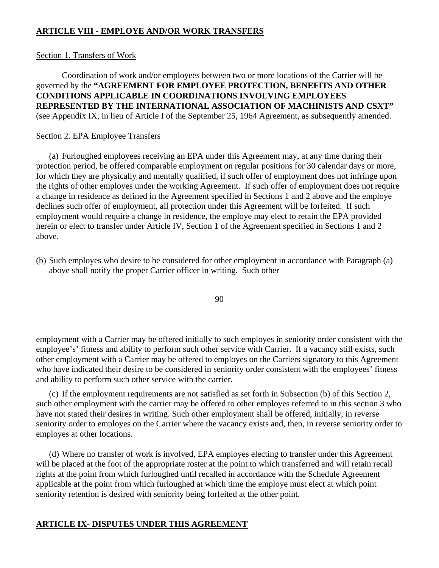## **ARTICLE VIII - EMPLOYE AND/OR WORK TRANSFERS**

### Section 1. Transfers of Work

Coordination of work and/or employees between two or more locations of the Carrier will be governed by the **"AGREEMENT FOR EMPLOYEE PROTECTION, BENEFITS AND OTHER CONDITIONS APPLICABLE IN COORDINATIONS INVOLVING EMPLOYEES REPRESENTED BY THE INTERNATIONAL ASSOCIATION OF MACHINISTS AND CSXT"** (see Appendix IX, in lieu of Article I of the September 25, 1964 Agreement, as subsequently amended.

### Section 2. EPA Employee Transfers

(a) Furloughed employees receiving an EPA under this Agreement may, at any time during their protection period, be offered comparable employment on regular positions for 30 calendar days or more, for which they are physically and mentally qualified, if such offer of employment does not infringe upon the rights of other employes under the working Agreement. If such offer of employment does not require a change in residence as defined in the Agreement specified in Sections 1 and 2 above and the employe declines such offer of employment, all protection under this Agreement will be forfeited. If such employment would require a change in residence, the employe may elect to retain the EPA provided herein or elect to transfer under Article IV, Section 1 of the Agreement specified in Sections 1 and 2 above.

(b) Such employes who desire to be considered for other employment in accordance with Paragraph (a) above shall notify the proper Carrier officer in writing. Such other

90

employment with a Carrier may be offered initially to such employes in seniority order consistent with the employee's' fitness and ability to perform such other service with Carrier. If a vacancy still exists, such other employment with a Carrier may be offered to employes on the Carriers signatory to this Agreement who have indicated their desire to be considered in seniority order consistent with the employees' fitness and ability to perform such other service with the carrier.

(c) If the employment requirements are not satisfied as set forth in Subsection (b) of this Section 2, such other employment with the carrier may be offered to other employes referred to in this section 3 who have not stated their desires in writing. Such other employment shall be offered, initially, in reverse seniority order to employes on the Carrier where the vacancy exists and, then, in reverse seniority order to employes at other locations.

(d) Where no transfer of work is involved, EPA employes electing to transfer under this Agreement will be placed at the foot of the appropriate roster at the point to which transferred and will retain recall rights at the point from which furloughed until recalled in accordance with the Schedule Agreement applicable at the point from which furloughed at which time the employe must elect at which point seniority retention is desired with seniority being forfeited at the other point.

### **ARTICLE IX- DISPUTES UNDER THIS AGREEMENT**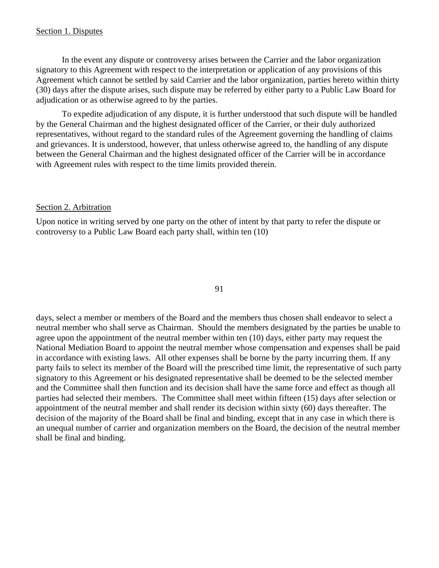### Section 1. Disputes

In the event any dispute or controversy arises between the Carrier and the labor organization signatory to this Agreement with respect to the interpretation or application of any provisions of this Agreement which cannot be settled by said Carrier and the labor organization, parties hereto within thirty (30) days after the dispute arises, such dispute may be referred by either party to a Public Law Board for adjudication or as otherwise agreed to by the parties.

To expedite adjudication of any dispute, it is further understood that such dispute will be handled by the General Chairman and the highest designated officer of the Carrier, or their duly authorized representatives, without regard to the standard rules of the Agreement governing the handling of claims and grievances. It is understood, however, that unless otherwise agreed to, the handling of any dispute between the General Chairman and the highest designated officer of the Carrier will be in accordance with Agreement rules with respect to the time limits provided therein.

#### Section 2. Arbitration

Upon notice in writing served by one party on the other of intent by that party to refer the dispute or controversy to a Public Law Board each party shall, within ten (10)

91

days, select a member or members of the Board and the members thus chosen shall endeavor to select a neutral member who shall serve as Chairman. Should the members designated by the parties be unable to agree upon the appointment of the neutral member within ten (10) days, either party may request the National Mediation Board to appoint the neutral member whose compensation and expenses shall be paid in accordance with existing laws. All other expenses shall be borne by the party incurring them. If any party fails to select its member of the Board will the prescribed time limit, the representative of such party signatory to this Agreement or his designated representative shall be deemed to be the selected member and the Committee shall then function and its decision shall have the same force and effect as though all parties had selected their members. The Committee shall meet within fifteen (15) days after selection or appointment of the neutral member and shall render its decision within sixty (60) days thereafter. The decision of the majority of the Board shall be final and binding, except that in any case in which there is an unequal number of carrier and organization members on the Board, the decision of the neutral member shall be final and binding.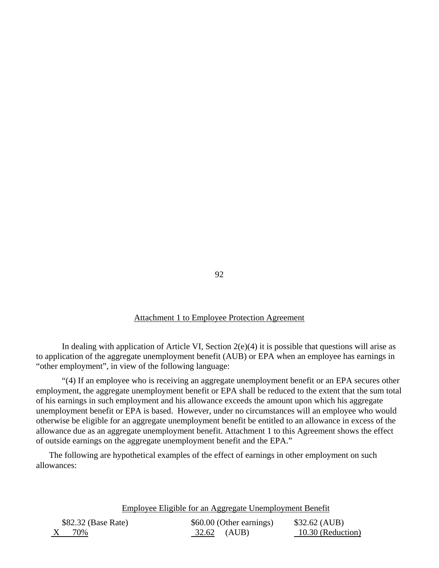#### Attachment 1 to Employee Protection Agreement

In dealing with application of Article VI, Section  $2(e)(4)$  it is possible that questions will arise as to application of the aggregate unemployment benefit (AUB) or EPA when an employee has earnings in "other employment", in view of the following language:

"(4) If an employee who is receiving an aggregate unemployment benefit or an EPA secures other employment, the aggregate unemployment benefit or EPA shall be reduced to the extent that the sum total of his earnings in such employment and his allowance exceeds the amount upon which his aggregate unemployment benefit or EPA is based. However, under no circumstances will an employee who would otherwise be eligible for an aggregate unemployment benefit be entitled to an allowance in excess of the allowance due as an aggregate unemployment benefit. Attachment 1 to this Agreement shows the effect of outside earnings on the aggregate unemployment benefit and the EPA."

The following are hypothetical examples of the effect of earnings in other employment on such allowances:

Employee Eligible for an Aggregate Unemployment Benefit

| \$82.32 (Base Rate) | \$60.00 (Other earnings) | \$32.62 (AUB)     |
|---------------------|--------------------------|-------------------|
| 70%                 | 32.62 (AUB)              | 10.30 (Reduction) |

92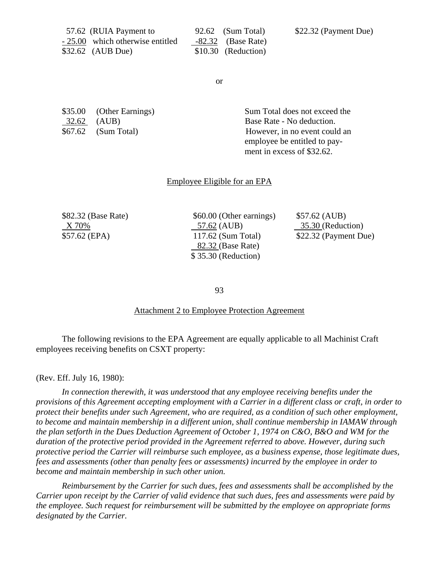| 57.62 (RUIA Payment to           | 92.62 (Sum Total)    | \$22.32 (Payment Due) |
|----------------------------------|----------------------|-----------------------|
| - 25.00 which otherwise entitled | $-82.32$ (Base Rate) |                       |
| $$32.62$ (AUB Due)               | \$10.30 (Reduction)  |                       |

or

32.62 (AUB) Base Rate - No deduction.

\$35.00 (Other Earnings) Sum Total does not exceed the \$67.62 (Sum Total) However, in no event could an employee be entitled to pay ment in excess of \$32.62.

#### Employee Eligible for an EPA

\$82.32 (Base Rate) \$60.00 (Other earnings) \$57.62 (AUB) X 70% 57.62 (AUB) 35.30 (Reduction) \$57.62 (EPA) 117.62 (Sum Total) \$22.32 (Payment Due) 82.32 (Base Rate) \$ 35.30 (Reduction)

93

#### Attachment 2 to Employee Protection Agreement

The following revisions to the EPA Agreement are equally applicable to all Machinist Craft employees receiving benefits on CSXT property:

#### (Rev. Eff. July 16, 1980):

*In connection therewith, it was understood that any employee receiving benefits under the provisions of this Agreement accepting employment with a Carrier in a different class or craft, in order to protect their benefits under such Agreement, who are required, as a condition of such other employment, to become and maintain membership in a different union, shall continue membership in IAMAW through the plan setforth in the Dues Deduction Agreement of October 1, 1974 on C&O, B&O and WM for the duration of the protective period provided in the Agreement referred to above. However, during such protective period the Carrier will reimburse such employee, as a business expense, those legitimate dues, fees and assessments (other than penalty fees or assessments) incurred by the employee in order to become and maintain membership in such other union.* 

*Reimbursement by the Carrier for such dues, fees and assessments shall be accomplished by the Carrier upon receipt by the Carrier of valid evidence that such dues, fees and assessments were paid by the employee. Such request for reimbursement will be submitted by the employee on appropriate forms designated by the Carrier.*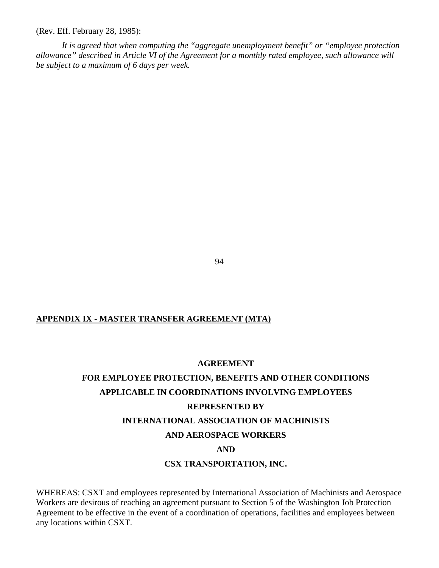(Rev. Eff. February 28, 1985):

*It is agreed that when computing the "aggregate unemployment benefit" or "employee protection allowance" described in Article VI of the Agreement for a monthly rated employee, such allowance will be subject to a maximum of 6 days per week.* 

94

### **APPENDIX IX - MASTER TRANSFER AGREEMENT (MTA)**

#### **AGREEMENT**

# **FOR EMPLOYEE PROTECTION, BENEFITS AND OTHER CONDITIONS APPLICABLE IN COORDINATIONS INVOLVING EMPLOYEES REPRESENTED BY INTERNATIONAL ASSOCIATION OF MACHINISTS AND AEROSPACE WORKERS AND CSX TRANSPORTATION, INC.**

WHEREAS: CSXT and employees represented by International Association of Machinists and Aerospace Workers are desirous of reaching an agreement pursuant to Section 5 of the Washington Job Protection Agreement to be effective in the event of a coordination of operations, facilities and employees between any locations within CSXT.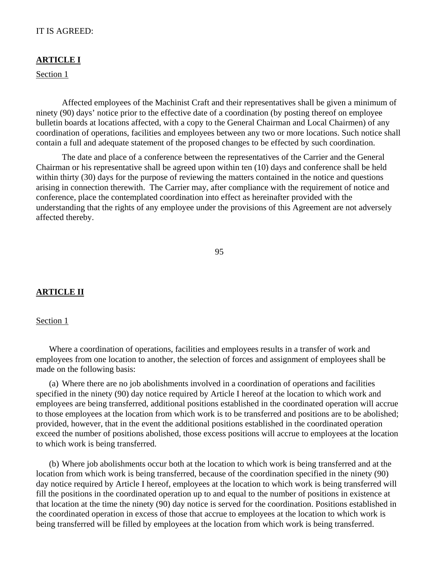### IT IS AGREED:

#### **ARTICLE I**

Section 1

Affected employees of the Machinist Craft and their representatives shall be given a minimum of ninety (90) days' notice prior to the effective date of a coordination (by posting thereof on employee bulletin boards at locations affected, with a copy to the General Chairman and Local Chairmen) of any coordination of operations, facilities and employees between any two or more locations. Such notice shall contain a full and adequate statement of the proposed changes to be effected by such coordination.

The date and place of a conference between the representatives of the Carrier and the General Chairman or his representative shall be agreed upon within ten (10) days and conference shall be held within thirty (30) days for the purpose of reviewing the matters contained in the notice and questions arising in connection therewith. The Carrier may, after compliance with the requirement of notice and conference, place the contemplated coordination into effect as hereinafter provided with the understanding that the rights of any employee under the provisions of this Agreement are not adversely affected thereby.

95

### **ARTICLE II**

#### Section 1

Where a coordination of operations, facilities and employees results in a transfer of work and employees from one location to another, the selection of forces and assignment of employees shall be made on the following basis:

(a) Where there are no job abolishments involved in a coordination of operations and facilities specified in the ninety (90) day notice required by Article I hereof at the location to which work and employees are being transferred, additional positions established in the coordinated operation will accrue to those employees at the location from which work is to be transferred and positions are to be abolished; provided, however, that in the event the additional positions established in the coordinated operation exceed the number of positions abolished, those excess positions will accrue to employees at the location to which work is being transferred.

(b) Where job abolishments occur both at the location to which work is being transferred and at the location from which work is being transferred, because of the coordination specified in the ninety (90) day notice required by Article I hereof, employees at the location to which work is being transferred will fill the positions in the coordinated operation up to and equal to the number of positions in existence at that location at the time the ninety (90) day notice is served for the coordination. Positions established in the coordinated operation in excess of those that accrue to employees at the location to which work is being transferred will be filled by employees at the location from which work is being transferred.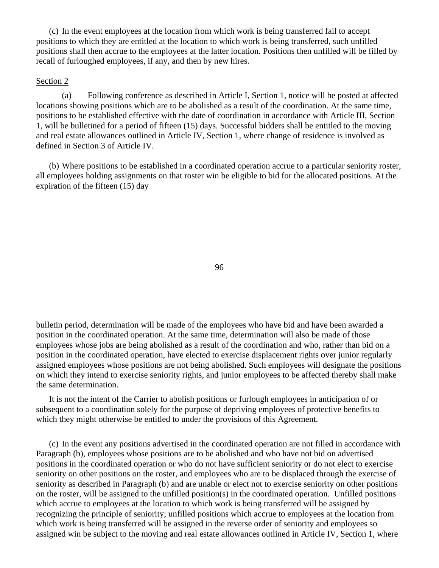(c) In the event employees at the location from which work is being transferred fail to accept positions to which they are entitled at the location to which work is being transferred, such unfilled positions shall then accrue to the employees at the latter location. Positions then unfilled will be filled by recall of furloughed employees, if any, and then by new hires.

#### Section 2

(a) Following conference as described in Article I, Section 1, notice will be posted at affected locations showing positions which are to be abolished as a result of the coordination. At the same time, positions to be established effective with the date of coordination in accordance with Article III, Section 1, will be bulletined for a period of fifteen (15) days. Successful bidders shall be entitled to the moving and real estate allowances outlined in Article IV, Section 1, where change of residence is involved as defined in Section 3 of Article IV.

(b) Where positions to be established in a coordinated operation accrue to a particular seniority roster, all employees holding assignments on that roster win be eligible to bid for the allocated positions. At the expiration of the fifteen (15) day

96

bulletin period, determination will be made of the employees who have bid and have been awarded a position in the coordinated operation. At the same time, determination will also be made of those employees whose jobs are being abolished as a result of the coordination and who, rather than bid on a position in the coordinated operation, have elected to exercise displacement rights over junior regularly assigned employees whose positions are not being abolished. Such employees will designate the positions on which they intend to exercise seniority rights, and junior employees to be affected thereby shall make the same determination.

It is not the intent of the Carrier to abolish positions or furlough employees in anticipation of or subsequent to a coordination solely for the purpose of depriving employees of protective benefits to which they might otherwise be entitled to under the provisions of this Agreement.

(c) In the event any positions advertised in the coordinated operation are not filled in accordance with Paragraph (b), employees whose positions are to be abolished and who have not bid on advertised positions in the coordinated operation or who do not have sufficient seniority or do not elect to exercise seniority on other positions on the roster, and employees who are to be displaced through the exercise of seniority as described in Paragraph (b) and are unable or elect not to exercise seniority on other positions on the roster, will be assigned to the unfilled position(s) in the coordinated operation. Unfilled positions which accrue to employees at the location to which work is being transferred will be assigned by recognizing the principle of seniority; unfilled positions which accrue to employees at the location from which work is being transferred will be assigned in the reverse order of seniority and employees so assigned win be subject to the moving and real estate allowances outlined in Article IV, Section 1, where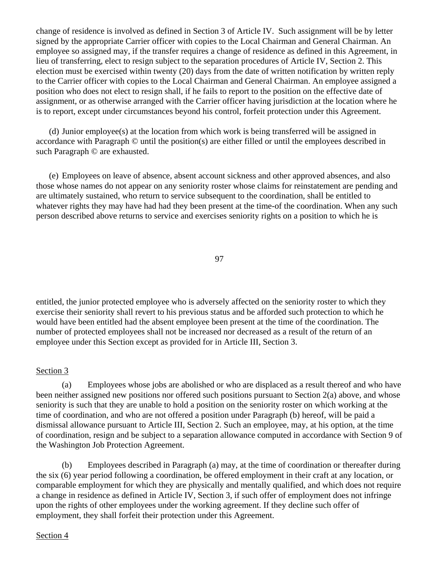change of residence is involved as defined in Section 3 of Article IV. Such assignment will be by letter signed by the appropriate Carrier officer with copies to the Local Chairman and General Chairman. An employee so assigned may, if the transfer requires a change of residence as defined in this Agreement, in lieu of transferring, elect to resign subject to the separation procedures of Article IV, Section 2. This election must be exercised within twenty (20) days from the date of written notification by written reply to the Carrier officer with copies to the Local Chairman and General Chairman. An employee assigned a position who does not elect to resign shall, if he fails to report to the position on the effective date of assignment, or as otherwise arranged with the Carrier officer having jurisdiction at the location where he is to report, except under circumstances beyond his control, forfeit protection under this Agreement.

(d) Junior employee(s) at the location from which work is being transferred will be assigned in accordance with Paragraph © until the position(s) are either filled or until the employees described in such Paragraph © are exhausted.

(e) Employees on leave of absence, absent account sickness and other approved absences, and also those whose names do not appear on any seniority roster whose claims for reinstatement are pending and are ultimately sustained, who return to service subsequent to the coordination, shall be entitled to whatever rights they may have had had they been present at the time-of the coordination. When any such person described above returns to service and exercises seniority rights on a position to which he is

97

entitled, the junior protected employee who is adversely affected on the seniority roster to which they exercise their seniority shall revert to his previous status and be afforded such protection to which he would have been entitled had the absent employee been present at the time of the coordination. The number of protected employees shall not be increased nor decreased as a result of the return of an employee under this Section except as provided for in Article III, Section 3.

### Section 3

(a) Employees whose jobs are abolished or who are displaced as a result thereof and who have been neither assigned new positions nor offered such positions pursuant to Section 2(a) above, and whose seniority is such that they are unable to hold a position on the seniority roster on which working at the time of coordination, and who are not offered a position under Paragraph (b) hereof, will be paid a dismissal allowance pursuant to Article III, Section 2. Such an employee, may, at his option, at the time of coordination, resign and be subject to a separation allowance computed in accordance with Section 9 of the Washington Job Protection Agreement.

(b) Employees described in Paragraph (a) may, at the time of coordination or thereafter during the six (6) year period following a coordination, be offered employment in their craft at any location, or comparable employment for which they are physically and mentally qualified, and which does not require a change in residence as defined in Article IV, Section 3, if such offer of employment does not infringe upon the rights of other employees under the working agreement. If they decline such offer of employment, they shall forfeit their protection under this Agreement.

### Section 4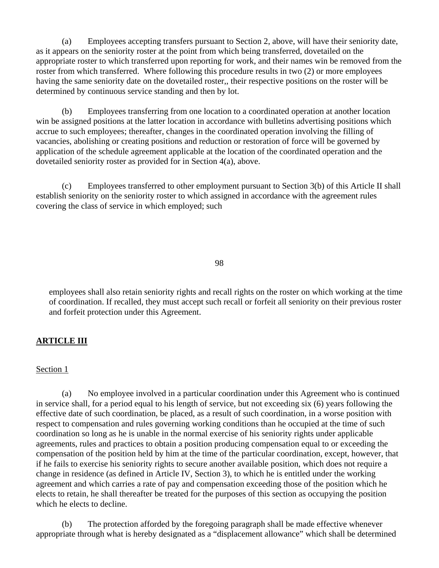(a) Employees accepting transfers pursuant to Section 2, above, will have their seniority date, as it appears on the seniority roster at the point from which being transferred, dovetailed on the appropriate roster to which transferred upon reporting for work, and their names win be removed from the roster from which transferred. Where following this procedure results in two (2) or more employees having the same seniority date on the dovetailed roster,, their respective positions on the roster will be determined by continuous service standing and then by lot.

(b) Employees transferring from one location to a coordinated operation at another location win be assigned positions at the latter location in accordance with bulletins advertising positions which accrue to such employees; thereafter, changes in the coordinated operation involving the filling of vacancies, abolishing or creating positions and reduction or restoration of force will be governed by application of the schedule agreement applicable at the location of the coordinated operation and the dovetailed seniority roster as provided for in Section 4(a), above.

(c) Employees transferred to other employment pursuant to Section 3(b) of this Article II shall establish seniority on the seniority roster to which assigned in accordance with the agreement rules covering the class of service in which employed; such

98

employees shall also retain seniority rights and recall rights on the roster on which working at the time of coordination. If recalled, they must accept such recall or forfeit all seniority on their previous roster and forfeit protection under this Agreement.

### **ARTICLE III**

#### Section 1

(a) No employee involved in a particular coordination under this Agreement who is continued in service shall, for a period equal to his length of service, but not exceeding six (6) years following the effective date of such coordination, be placed, as a result of such coordination, in a worse position with respect to compensation and rules governing working conditions than he occupied at the time of such coordination so long as he is unable in the normal exercise of his seniority rights under applicable agreements, rules and practices to obtain a position producing compensation equal to or exceeding the compensation of the position held by him at the time of the particular coordination, except, however, that if he fails to exercise his seniority rights to secure another available position, which does not require a change in residence (as defined in Article IV, Section 3), to which he is entitled under the working agreement and which carries a rate of pay and compensation exceeding those of the position which he elects to retain, he shall thereafter be treated for the purposes of this section as occupying the position which he elects to decline.

(b) The protection afforded by the foregoing paragraph shall be made effective whenever appropriate through what is hereby designated as a "displacement allowance" which shall be determined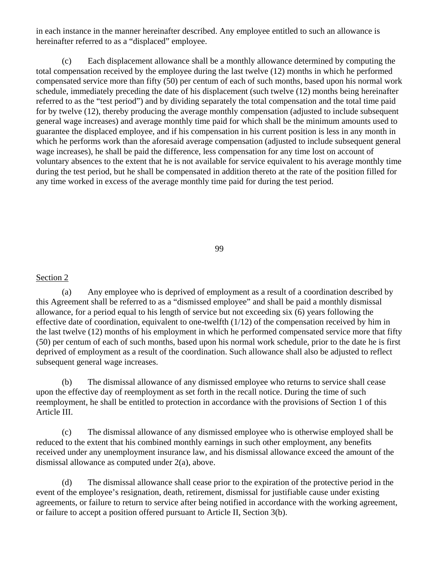in each instance in the manner hereinafter described. Any employee entitled to such an allowance is hereinafter referred to as a "displaced" employee.

(c) Each displacement allowance shall be a monthly allowance determined by computing the total compensation received by the employee during the last twelve (12) months in which he performed compensated service more than fifty (50) per centum of each of such months, based upon his normal work schedule, immediately preceding the date of his displacement (such twelve (12) months being hereinafter referred to as the "test period") and by dividing separately the total compensation and the total time paid for by twelve (12), thereby producing the average monthly compensation (adjusted to include subsequent general wage increases) and average monthly time paid for which shall be the minimum amounts used to guarantee the displaced employee, and if his compensation in his current position is less in any month in which he performs work than the aforesaid average compensation (adjusted to include subsequent general wage increases), he shall be paid the difference, less compensation for any time lost on account of voluntary absences to the extent that he is not available for service equivalent to his average monthly time during the test period, but he shall be compensated in addition thereto at the rate of the position filled for any time worked in excess of the average monthly time paid for during the test period.

99

#### Section 2

(a) Any employee who is deprived of employment as a result of a coordination described by this Agreement shall be referred to as a "dismissed employee" and shall be paid a monthly dismissal allowance, for a period equal to his length of service but not exceeding six (6) years following the effective date of coordination, equivalent to one-twelfth (1/12) of the compensation received by him in the last twelve (12) months of his employment in which he performed compensated service more that fifty (50) per centum of each of such months, based upon his normal work schedule, prior to the date he is first deprived of employment as a result of the coordination. Such allowance shall also be adjusted to reflect subsequent general wage increases.

(b) The dismissal allowance of any dismissed employee who returns to service shall cease upon the effective day of reemployment as set forth in the recall notice. During the time of such reemployment, he shall be entitled to protection in accordance with the provisions of Section 1 of this Article III.

(c) The dismissal allowance of any dismissed employee who is otherwise employed shall be reduced to the extent that his combined monthly earnings in such other employment, any benefits received under any unemployment insurance law, and his dismissal allowance exceed the amount of the dismissal allowance as computed under 2(a), above.

(d) The dismissal allowance shall cease prior to the expiration of the protective period in the event of the employee's resignation, death, retirement, dismissal for justifiable cause under existing agreements, or failure to return to service after being notified in accordance with the working agreement, or failure to accept a position offered pursuant to Article II, Section 3(b).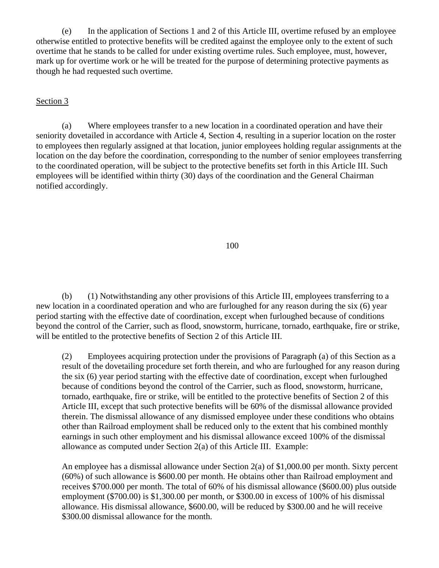(e) In the application of Sections 1 and 2 of this Article III, overtime refused by an employee otherwise entitled to protective benefits will be credited against the employee only to the extent of such overtime that he stands to be called for under existing overtime rules. Such employee, must, however, mark up for overtime work or he will be treated for the purpose of determining protective payments as though he had requested such overtime.

### Section 3

(a) Where employees transfer to a new location in a coordinated operation and have their seniority dovetailed in accordance with Article 4, Section 4, resulting in a superior location on the roster to employees then regularly assigned at that location, junior employees holding regular assignments at the location on the day before the coordination, corresponding to the number of senior employees transferring to the coordinated operation, will be subject to the protective benefits set forth in this Article III. Such employees will be identified within thirty (30) days of the coordination and the General Chairman notified accordingly.

#### 100

(b) (1) Notwithstanding any other provisions of this Article III, employees transferring to a new location in a coordinated operation and who are furloughed for any reason during the six (6) year period starting with the effective date of coordination, except when furloughed because of conditions beyond the control of the Carrier, such as flood, snowstorm, hurricane, tornado, earthquake, fire or strike, will be entitled to the protective benefits of Section 2 of this Article III.

(2) Employees acquiring protection under the provisions of Paragraph (a) of this Section as a result of the dovetailing procedure set forth therein, and who are furloughed for any reason during the six (6) year period starting with the effective date of coordination, except when furloughed because of conditions beyond the control of the Carrier, such as flood, snowstorm, hurricane, tornado, earthquake, fire or strike, will be entitled to the protective benefits of Section 2 of this Article III, except that such protective benefits will be 60% of the dismissal allowance provided therein. The dismissal allowance of any dismissed employee under these conditions who obtains other than Railroad employment shall be reduced only to the extent that his combined monthly earnings in such other employment and his dismissal allowance exceed 100% of the dismissal allowance as computed under Section 2(a) of this Article III. Example:

An employee has a dismissal allowance under Section 2(a) of \$1,000.00 per month. Sixty percent (60%) of such allowance is \$600.00 per month. He obtains other than Railroad employment and receives \$700.000 per month. The total of 60% of his dismissal allowance (\$600.00) plus outside employment (\$700.00) is \$1,300.00 per month, or \$300.00 in excess of 100% of his dismissal allowance. His dismissal allowance, \$600.00, will be reduced by \$300.00 and he will receive \$300.00 dismissal allowance for the month.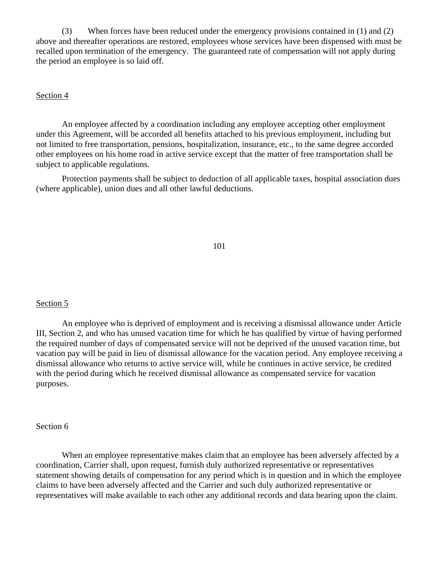(3) When forces have been reduced under the emergency provisions contained in (1) and (2) above and thereafter operations are restored, employees whose services have been dispensed with must be recalled upon termination of the emergency. The guaranteed rate of compensation will not apply during the period an employee is so laid off.

### Section 4

An employee affected by a coordination including any employee accepting other employment under this Agreement, will be accorded all benefits attached to his previous employment, including but not limited to free transportation, pensions, hospitalization, insurance, etc., to the same degree accorded other employees on his home road in active service except that the matter of free transportation shall be subject to applicable regulations.

Protection payments shall be subject to deduction of all applicable taxes, hospital association dues (where applicable), union dues and all other lawful deductions.

101

#### Section 5

An employee who is deprived of employment and is receiving a dismissal allowance under Article III, Section 2, and who has unused vacation time for which he has qualified by virtue of having performed the required number of days of compensated service will not be deprived of the unused vacation time, but vacation pay will be paid in lieu of dismissal allowance for the vacation period. Any employee receiving a dismissal allowance who returns to active service will, while he continues in active service, be credited with the period during which he received dismissal allowance as compensated service for vacation purposes.

#### Section 6

When an employee representative makes claim that an employee has been adversely affected by a coordination, Carrier shall, upon request, furnish duly authorized representative or representatives statement showing details of compensation for any period which is in question and in which the employee claims to have been adversely affected and the Carrier and such duly authorized representative or representatives will make available to each other any additional records and data bearing upon the claim.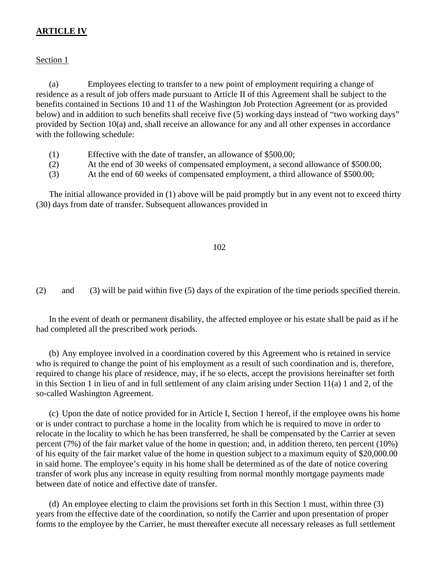# **ARTICLE IV**

### Section 1

(a) Employees electing to transfer to a new point of employment requiring a change of residence as a result of job offers made pursuant to Article II of this Agreement shall be subject to the benefits contained in Sections 10 and 11 of the Washington Job Protection Agreement (or as provided below) and in addition to such benefits shall receive five (5) working days instead of "two working days" provided by Section 10(a) and, shall receive an allowance for any and all other expenses in accordance with the following schedule:

- (1) Effective with the date of transfer, an allowance of \$500.00;
- (2) At the end of 30 weeks of compensated employment, a second allowance of \$500.00;
- (3) At the end of 60 weeks of compensated employment, a third allowance of \$500.00;

The initial allowance provided in (1) above will be paid promptly but in any event not to exceed thirty (30) days from date of transfer. Subsequent allowances provided in

#### 102

(2) and (3) will be paid within five (5) days of the expiration of the time periods specified therein.

In the event of death or permanent disability, the affected employee or his estate shall be paid as if he had completed all the prescribed work periods.

(b) Any employee involved in a coordination covered by this Agreement who is retained in service who is required to change the point of his employment as a result of such coordination and is, therefore, required to change his place of residence, may, if he so elects, accept the provisions hereinafter set forth in this Section 1 in lieu of and in full settlement of any claim arising under Section 11(a) 1 and 2, of the so-called Washington Agreement.

(c) Upon the date of notice provided for in Article I, Section 1 hereof, if the employee owns his home or is under contract to purchase a home in the locality from which he is required to move in order to relocate in the locality to which he has been transferred, he shall be compensated by the Carrier at seven percent (7%) of the fair market value of the home in question; and, in addition thereto, ten percent (10%) of his equity of the fair market value of the home in question subject to a maximum equity of \$20,000.00 in said home. The employee's equity in his home shall be determined as of the date of notice covering transfer of work plus any increase in equity resulting from normal monthly mortgage payments made between date of notice and effective date of transfer.

(d) An employee electing to claim the provisions set forth in this Section 1 must, within three (3) years from the effective date of the coordination, so notify the Carrier and upon presentation of proper forms to the employee by the Carrier, he must thereafter execute all necessary releases as full settlement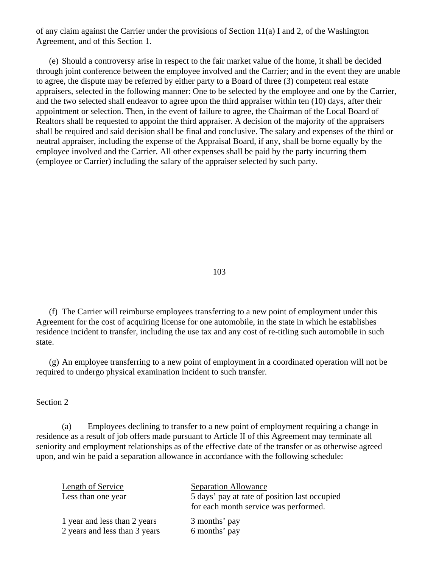of any claim against the Carrier under the provisions of Section 11(a) I and 2, of the Washington Agreement, and of this Section 1.

(e) Should a controversy arise in respect to the fair market value of the home, it shall be decided through joint conference between the employee involved and the Carrier; and in the event they are unable to agree, the dispute may be referred by either party to a Board of three (3) competent real estate appraisers, selected in the following manner: One to be selected by the employee and one by the Carrier, and the two selected shall endeavor to agree upon the third appraiser within ten (10) days, after their appointment or selection. Then, in the event of failure to agree, the Chairman of the Local Board of Realtors shall be requested to appoint the third appraiser. A decision of the majority of the appraisers shall be required and said decision shall be final and conclusive. The salary and expenses of the third or neutral appraiser, including the expense of the Appraisal Board, if any, shall be borne equally by the employee involved and the Carrier. All other expenses shall be paid by the party incurring them (employee or Carrier) including the salary of the appraiser selected by such party.

103

(f) The Carrier will reimburse employees transferring to a new point of employment under this Agreement for the cost of acquiring license for one automobile, in the state in which he establishes residence incident to transfer, including the use tax and any cost of re-titling such automobile in such state.

(g) An employee transferring to a new point of employment in a coordinated operation will not be required to undergo physical examination incident to such transfer.

#### Section 2

(a) Employees declining to transfer to a new point of employment requiring a change in residence as a result of job offers made pursuant to Article II of this Agreement may terminate all seniority and employment relationships as of the effective date of the transfer or as otherwise agreed upon, and win be paid a separation allowance in accordance with the following schedule:

| Length of Service<br>Less than one year | <b>Separation Allowance</b><br>5 days' pay at rate of position last occupied<br>for each month service was performed. |
|-----------------------------------------|-----------------------------------------------------------------------------------------------------------------------|
| 1 year and less than 2 years            | 3 months' pay                                                                                                         |
| 2 years and less than 3 years           | 6 months' pay                                                                                                         |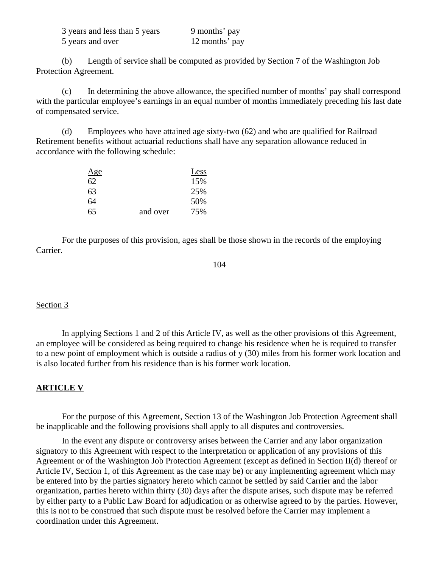| 3 years and less than 5 years | 9 months' pay  |
|-------------------------------|----------------|
| 5 years and over              | 12 months' pay |

(b) Length of service shall be computed as provided by Section 7 of the Washington Job Protection Agreement.

(c) In determining the above allowance, the specified number of months' pay shall correspond with the particular employee's earnings in an equal number of months immediately preceding his last date of compensated service.

(d) Employees who have attained age sixty-two (62) and who are qualified for Railroad Retirement benefits without actuarial reductions shall have any separation allowance reduced in accordance with the following schedule:

| Age |          | Less |
|-----|----------|------|
| 62  |          | 15%  |
| 63  |          | 25%  |
| 64  |          | 50%  |
| 65  | and over | 75%  |

For the purposes of this provision, ages shall be those shown in the records of the employing Carrier.

#### Section 3

In applying Sections 1 and 2 of this Article IV, as well as the other provisions of this Agreement, an employee will be considered as being required to change his residence when he is required to transfer to a new point of employment which is outside a radius of y (30) miles from his former work location and is also located further from his residence than is his former work location.

#### **ARTICLE V**

For the purpose of this Agreement, Section 13 of the Washington Job Protection Agreement shall be inapplicable and the following provisions shall apply to all disputes and controversies.

In the event any dispute or controversy arises between the Carrier and any labor organization signatory to this Agreement with respect to the interpretation or application of any provisions of this Agreement or of the Washington Job Protection Agreement (except as defined in Section II(d) thereof or Article IV, Section 1, of this Agreement as the case may be) or any implementing agreement which may be entered into by the parties signatory hereto which cannot be settled by said Carrier and the labor organization, parties hereto within thirty (30) days after the dispute arises, such dispute may be referred by either party to a Public Law Board for adjudication or as otherwise agreed to by the parties. However, this is not to be construed that such dispute must be resolved before the Carrier may implement a coordination under this Agreement.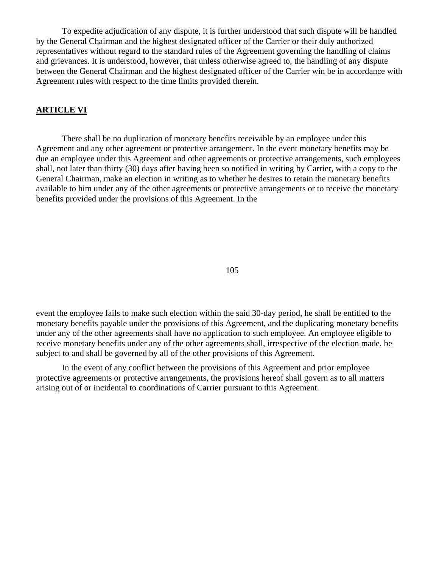To expedite adjudication of any dispute, it is further understood that such dispute will be handled by the General Chairman and the highest designated officer of the Carrier or their duly authorized representatives without regard to the standard rules of the Agreement governing the handling of claims and grievances. It is understood, however, that unless otherwise agreed to, the handling of any dispute between the General Chairman and the highest designated officer of the Carrier win be in accordance with Agreement rules with respect to the time limits provided therein.

### **ARTICLE VI**

There shall be no duplication of monetary benefits receivable by an employee under this Agreement and any other agreement or protective arrangement. In the event monetary benefits may be due an employee under this Agreement and other agreements or protective arrangements, such employees shall, not later than thirty (30) days after having been so notified in writing by Carrier, with a copy to the General Chairman, make an election in writing as to whether he desires to retain the monetary benefits available to him under any of the other agreements or protective arrangements or to receive the monetary benefits provided under the provisions of this Agreement. In the

105

event the employee fails to make such election within the said 30-day period, he shall be entitled to the monetary benefits payable under the provisions of this Agreement, and the duplicating monetary benefits under any of the other agreements shall have no application to such employee. An employee eligible to receive monetary benefits under any of the other agreements shall, irrespective of the election made, be subject to and shall be governed by all of the other provisions of this Agreement.

In the event of any conflict between the provisions of this Agreement and prior employee protective agreements or protective arrangements, the provisions hereof shall govern as to all matters arising out of or incidental to coordinations of Carrier pursuant to this Agreement.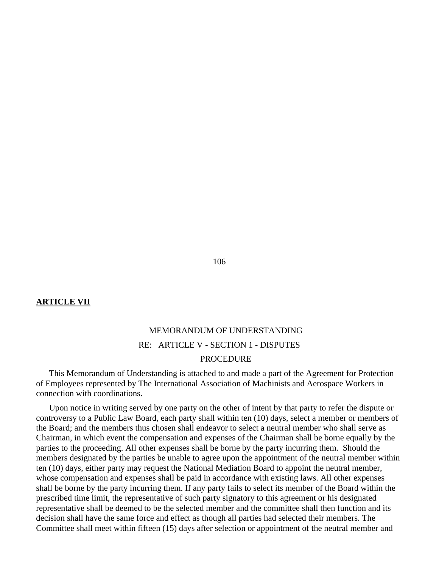### **ARTICLE VII**

# MEMORANDUM OF UNDERSTANDING RE: ARTICLE V - SECTION 1 - DISPUTES PROCEDURE

This Memorandum of Understanding is attached to and made a part of the Agreement for Protection of Employees represented by The International Association of Machinists and Aerospace Workers in connection with coordinations.

Upon notice in writing served by one party on the other of intent by that party to refer the dispute or controversy to a Public Law Board, each party shall within ten (10) days, select a member or members of the Board; and the members thus chosen shall endeavor to select a neutral member who shall serve as Chairman, in which event the compensation and expenses of the Chairman shall be borne equally by the parties to the proceeding. All other expenses shall be borne by the party incurring them. Should the members designated by the parties be unable to agree upon the appointment of the neutral member within ten (10) days, either party may request the National Mediation Board to appoint the neutral member, whose compensation and expenses shall be paid in accordance with existing laws. All other expenses shall be borne by the party incurring them. If any party fails to select its member of the Board within the prescribed time limit, the representative of such party signatory to this agreement or his designated representative shall be deemed to be the selected member and the committee shall then function and its decision shall have the same force and effect as though all parties had selected their members. The Committee shall meet within fifteen (15) days after selection or appointment of the neutral member and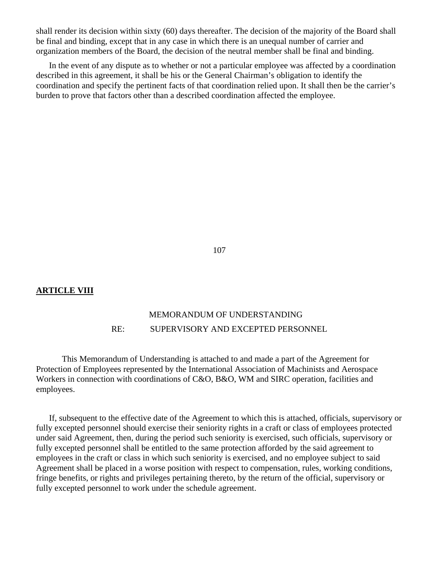shall render its decision within sixty (60) days thereafter. The decision of the majority of the Board shall be final and binding, except that in any case in which there is an unequal number of carrier and organization members of the Board, the decision of the neutral member shall be final and binding.

In the event of any dispute as to whether or not a particular employee was affected by a coordination described in this agreement, it shall be his or the General Chairman's obligation to identify the coordination and specify the pertinent facts of that coordination relied upon. It shall then be the carrier's burden to prove that factors other than a described coordination affected the employee.

107

### **ARTICLE VIII**

# MEMORANDUM OF UNDERSTANDING RE: SUPERVISORY AND EXCEPTED PERSONNEL

This Memorandum of Understanding is attached to and made a part of the Agreement for Protection of Employees represented by the International Association of Machinists and Aerospace Workers in connection with coordinations of C&O, B&O, WM and SIRC operation, facilities and employees.

If, subsequent to the effective date of the Agreement to which this is attached, officials, supervisory or fully excepted personnel should exercise their seniority rights in a craft or class of employees protected under said Agreement, then, during the period such seniority is exercised, such officials, supervisory or fully excepted personnel shall be entitled to the same protection afforded by the said agreement to employees in the craft or class in which such seniority is exercised, and no employee subject to said Agreement shall be placed in a worse position with respect to compensation, rules, working conditions, fringe benefits, or rights and privileges pertaining thereto, by the return of the official, supervisory or fully excepted personnel to work under the schedule agreement.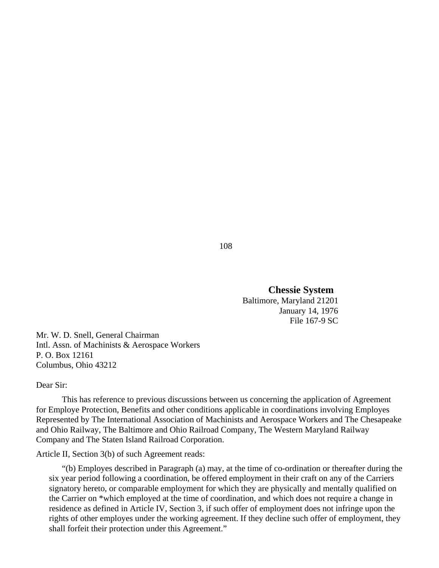**Chessie System**  Baltimore, Maryland 21201 January 14, 1976 File 167-9 SC

Mr. W. D. Snell, General Chairman Intl. Assn. of Machinists & Aerospace Workers P. O. Box 12161 Columbus, Ohio 43212

Dear Sir:

This has reference to previous discussions between us concerning the application of Agreement for Employe Protection, Benefits and other conditions applicable in coordinations involving Employes Represented by The International Association of Machinists and Aerospace Workers and The Chesapeake and Ohio Railway, The Baltimore and Ohio Railroad Company, The Western Maryland Railway Company and The Staten Island Railroad Corporation.

Article II, Section 3(b) of such Agreement reads:

"(b) Employes described in Paragraph (a) may, at the time of co-ordination or thereafter during the six year period following a coordination, be offered employment in their craft on any of the Carriers signatory hereto, or comparable employment for which they are physically and mentally qualified on the Carrier on \*which employed at the time of coordination, and which does not require a change in residence as defined in Article IV, Section 3, if such offer of employment does not infringe upon the rights of other employes under the working agreement. If they decline such offer of employment, they shall forfeit their protection under this Agreement."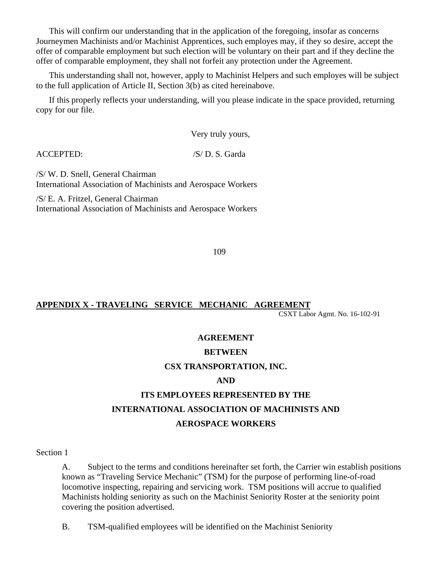This will confirm our understanding that in the application of the foregoing, insofar as concerns Journeymen Machinists and/or Machinist Apprentices, such employes may, if they so desire, accept the offer of comparable employment but such election will be voluntary on their part and if they decline the offer of comparable employment, they shall not forfeit any protection under the Agreement.

This understanding shall not, however, apply to Machinist Helpers and such employes will be subject to the full application of Article II, Section 3(b) as cited hereinabove.

If this properly reflects your understanding, will you please indicate in the space provided, returning copy for our file.

Very truly yours,

ACCEPTED: /S/ D. S. Garda

/S/ W. D. Snell, General Chairman International Association of Machinists and Aerospace Workers

/S/ E. A. Fritzel, General Chairman International Association of Machinists and Aerospace Workers

109

## **APPENDIX X - TRAVELING SERVICE MECHANIC AGREEMENT** CSXT Labor Agmt. No. 16-102-91

# **AGREEMENT**

## **BETWEEN**

## **CSX TRANSPORTATION, INC.**

## **AND**

# **ITS EMPLOYEES REPRESENTED BY THE INTERNATIONAL ASSOCIATION OF MACHINISTS AND AEROSPACE WORKERS**

Section 1

A. Subject to the terms and conditions hereinafter set forth, the Carrier win establish positions known as "Traveling Service Mechanic" (TSM) for the purpose of performing line-of-road locomotive inspecting, repairing and servicing work. TSM positions will accrue to qualified Machinists holding seniority as such on the Machinist Seniority Roster at the seniority point covering the position advertised.

B. TSM-qualified employees will be identified on the Machinist Seniority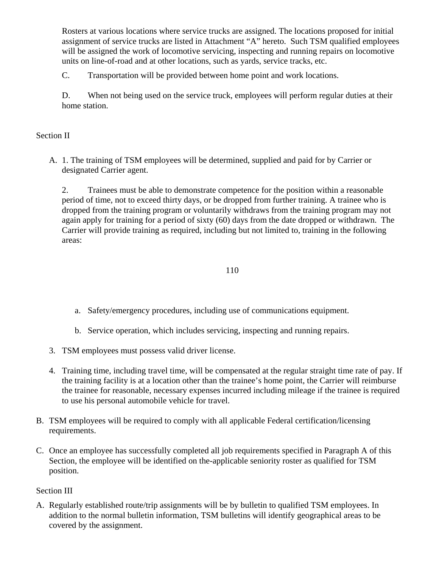Rosters at various locations where service trucks are assigned. The locations proposed for initial assignment of service trucks are listed in Attachment "A" hereto. Such TSM qualified employees will be assigned the work of locomotive servicing, inspecting and running repairs on locomotive units on line-of-road and at other locations, such as yards, service tracks, etc.

C. Transportation will be provided between home point and work locations.

D. When not being used on the service truck, employees will perform regular duties at their home station.

### Section II

A. 1. The training of TSM employees will be determined, supplied and paid for by Carrier or designated Carrier agent.

2. Trainees must be able to demonstrate competence for the position within a reasonable period of time, not to exceed thirty days, or be dropped from further training. A trainee who is dropped from the training program or voluntarily withdraws from the training program may not again apply for training for a period of sixty (60) days from the date dropped or withdrawn. The Carrier will provide training as required, including but not limited to, training in the following areas:

### 110

- a. Safety/emergency procedures, including use of communications equipment.
- b. Service operation, which includes servicing, inspecting and running repairs.
- 3. TSM employees must possess valid driver license.
- 4. Training time, including travel time, will be compensated at the regular straight time rate of pay. If the training facility is at a location other than the trainee's home point, the Carrier will reimburse the trainee for reasonable, necessary expenses incurred including mileage if the trainee is required to use his personal automobile vehicle for travel.
- B. TSM employees will be required to comply with all applicable Federal certification/licensing requirements.
- C. Once an employee has successfully completed all job requirements specified in Paragraph A of this Section, the employee will be identified on the-applicable seniority roster as qualified for TSM position.

## Section III

A. Regularly established route/trip assignments will be by bulletin to qualified TSM employees. In addition to the normal bulletin information, TSM bulletins will identify geographical areas to be covered by the assignment.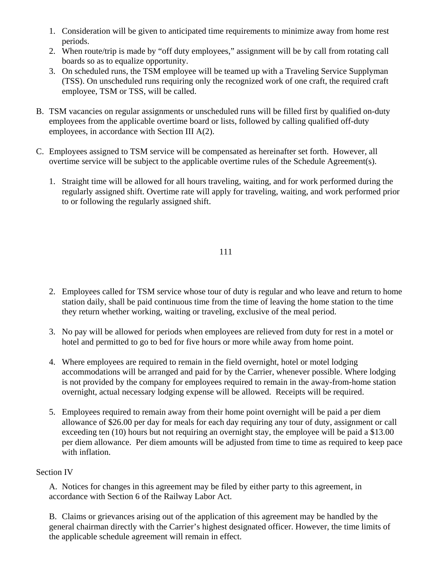- 1. Consideration will be given to anticipated time requirements to minimize away from home rest periods.
- 2. When route/trip is made by "off duty employees," assignment will be by call from rotating call boards so as to equalize opportunity.
- 3. On scheduled runs, the TSM employee will be teamed up with a Traveling Service Supplyman (TSS). On unscheduled runs requiring only the recognized work of one craft, the required craft employee, TSM or TSS, will be called.
- B. TSM vacancies on regular assignments or unscheduled runs will be filled first by qualified on-duty employees from the applicable overtime board or lists, followed by calling qualified off-duty employees, in accordance with Section III A(2).
- C. Employees assigned to TSM service will be compensated as hereinafter set forth. However, all overtime service will be subject to the applicable overtime rules of the Schedule Agreement(s).
	- 1. Straight time will be allowed for all hours traveling, waiting, and for work performed during the regularly assigned shift. Overtime rate will apply for traveling, waiting, and work performed prior to or following the regularly assigned shift.

- 2. Employees called for TSM service whose tour of duty is regular and who leave and return to home station daily, shall be paid continuous time from the time of leaving the home station to the time they return whether working, waiting or traveling, exclusive of the meal period.
- 3. No pay will be allowed for periods when employees are relieved from duty for rest in a motel or hotel and permitted to go to bed for five hours or more while away from home point.
- 4. Where employees are required to remain in the field overnight, hotel or motel lodging accommodations will be arranged and paid for by the Carrier, whenever possible. Where lodging is not provided by the company for employees required to remain in the away-from-home station overnight, actual necessary lodging expense will be allowed. Receipts will be required.
- 5. Employees required to remain away from their home point overnight will be paid a per diem allowance of \$26.00 per day for meals for each day requiring any tour of duty, assignment or call exceeding ten (10) hours but not requiring an overnight stay, the employee will be paid a \$13.00 per diem allowance. Per diem amounts will be adjusted from time to time as required to keep pace with inflation.

## Section IV

A. Notices for changes in this agreement may be filed by either party to this agreement, in accordance with Section 6 of the Railway Labor Act.

B. Claims or grievances arising out of the application of this agreement may be handled by the general chairman directly with the Carrier's highest designated officer. However, the time limits of the applicable schedule agreement will remain in effect.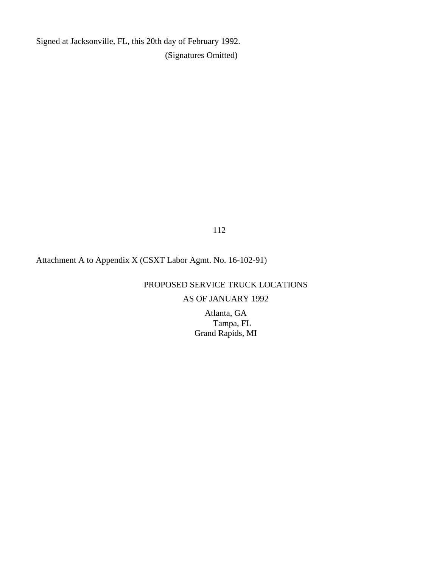Signed at Jacksonville, FL, this 20th day of February 1992. (Signatures Omitted)

112

# Attachment A to Appendix X (CSXT Labor Agmt. No. 16-102-91)

# PROPOSED SERVICE TRUCK LOCATIONS

# AS OF JANUARY 1992

Atlanta, GA Tampa, FL Grand Rapids, MI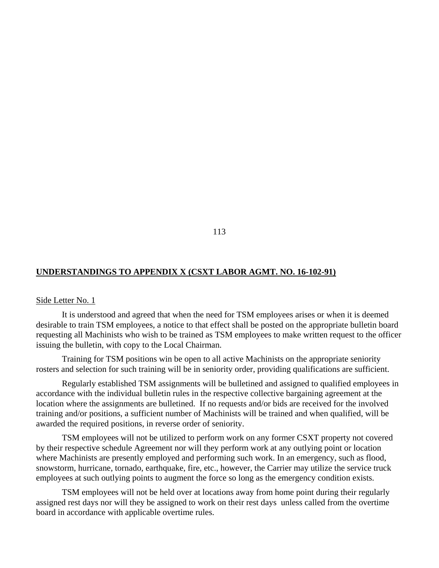### **UNDERSTANDINGS TO APPENDIX X (CSXT LABOR AGMT. NO. 16-102-91)**

#### Side Letter No. 1

It is understood and agreed that when the need for TSM employees arises or when it is deemed desirable to train TSM employees, a notice to that effect shall be posted on the appropriate bulletin board requesting all Machinists who wish to be trained as TSM employees to make written request to the officer issuing the bulletin, with copy to the Local Chairman.

Training for TSM positions win be open to all active Machinists on the appropriate seniority rosters and selection for such training will be in seniority order, providing qualifications are sufficient.

Regularly established TSM assignments will be bulletined and assigned to qualified employees in accordance with the individual bulletin rules in the respective collective bargaining agreement at the location where the assignments are bulletined. If no requests and/or bids are received for the involved training and/or positions, a sufficient number of Machinists will be trained and when qualified, will be awarded the required positions, in reverse order of seniority.

TSM employees will not be utilized to perform work on any former CSXT property not covered by their respective schedule Agreement nor will they perform work at any outlying point or location where Machinists are presently employed and performing such work. In an emergency, such as flood, snowstorm, hurricane, tornado, earthquake, fire, etc., however, the Carrier may utilize the service truck employees at such outlying points to augment the force so long as the emergency condition exists.

TSM employees will not be held over at locations away from home point during their regularly assigned rest days nor will they be assigned to work on their rest days unless called from the overtime board in accordance with applicable overtime rules.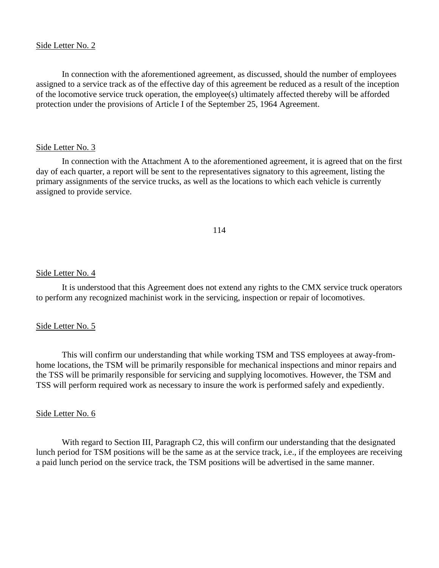### Side Letter No. 2

In connection with the aforementioned agreement, as discussed, should the number of employees assigned to a service track as of the effective day of this agreement be reduced as a result of the inception of the locomotive service truck operation, the employee(s) ultimately affected thereby will be afforded protection under the provisions of Article I of the September 25, 1964 Agreement.

### Side Letter No. 3

In connection with the Attachment A to the aforementioned agreement, it is agreed that on the first day of each quarter, a report will be sent to the representatives signatory to this agreement, listing the primary assignments of the service trucks, as well as the locations to which each vehicle is currently assigned to provide service.

### 114

### Side Letter No. 4

It is understood that this Agreement does not extend any rights to the CMX service truck operators to perform any recognized machinist work in the servicing, inspection or repair of locomotives.

### Side Letter No. 5

This will confirm our understanding that while working TSM and TSS employees at away-fromhome locations, the TSM will be primarily responsible for mechanical inspections and minor repairs and the TSS will be primarily responsible for servicing and supplying locomotives. However, the TSM and TSS will perform required work as necessary to insure the work is performed safely and expediently.

### Side Letter No. 6

With regard to Section III, Paragraph C2, this will confirm our understanding that the designated lunch period for TSM positions will be the same as at the service track, i.e., if the employees are receiving a paid lunch period on the service track, the TSM positions will be advertised in the same manner.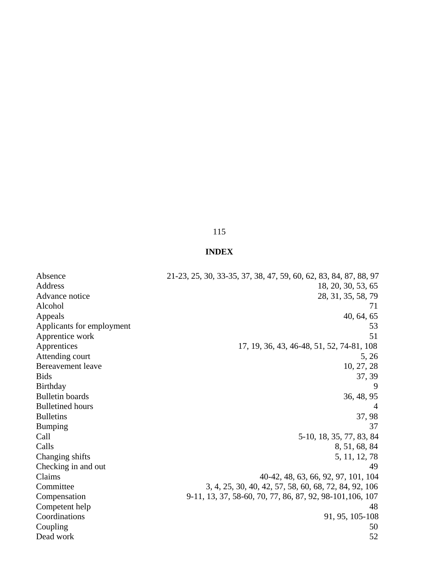# **INDEX**

| Absence                   | 21-23, 25, 30, 33-35, 37, 38, 47, 59, 60, 62, 83, 84, 87, 88, 97 |
|---------------------------|------------------------------------------------------------------|
| Address                   | 18, 20, 30, 53, 65                                               |
| Advance notice            | 28, 31, 35, 58, 79                                               |
| Alcohol                   | 71                                                               |
| Appeals                   | 40, 64, 65                                                       |
| Applicants for employment | 53                                                               |
| Apprentice work           | 51                                                               |
| Apprentices               | 17, 19, 36, 43, 46-48, 51, 52, 74-81, 108                        |
| Attending court           | 5, 26                                                            |
| Bereavement leave         | 10, 27, 28                                                       |
| <b>Bids</b>               | 37, 39                                                           |
| <b>Birthday</b>           | 9                                                                |
| <b>Bulletin</b> boards    | 36, 48, 95                                                       |
| <b>Bulletined</b> hours   |                                                                  |
| <b>Bulletins</b>          | 37, 98                                                           |
| Bumping                   | 37                                                               |
| Call                      | 5-10, 18, 35, 77, 83, 84                                         |
| Calls                     | 8, 51, 68, 84                                                    |
| Changing shifts           | 5, 11, 12, 78                                                    |
| Checking in and out       | 49                                                               |
| Claims                    | 40-42, 48, 63, 66, 92, 97, 101, 104                              |
| Committee                 | 3, 4, 25, 30, 40, 42, 57, 58, 60, 68, 72, 84, 92, 106            |
| Compensation              | 9-11, 13, 37, 58-60, 70, 77, 86, 87, 92, 98-101, 106, 107        |
| Competent help            | 48                                                               |
| Coordinations             | 91, 95, 105-108                                                  |
| Coupling                  | 50                                                               |
| Dead work                 | 52                                                               |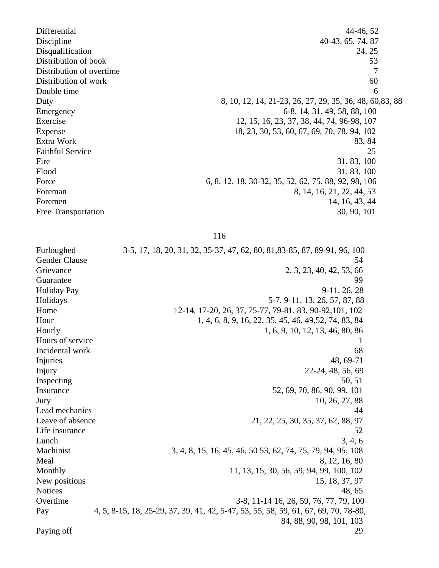Differential 44-46, 52 Discipline 40-43, 65, 74, 87 Disqualification 24, 25 Distribution of book 53 Distribution of overtime 7 Distribution of work 60 Double time  $\qquad \qquad 6$ Duty 8, 10, 12, 14, 21-23, 26, 27, 29, 35, 36, 48, 60,83, 88 Emergency 6-8, 14, 31, 49, 58, 88, 100 Exercise 12, 15, 16, 23, 37, 38, 44, 74, 96-98, 107 Expense 18, 23, 30, 53, 60, 67, 69, 70, 78, 94, 102 Extra Work 83, 84 Faithful Service 25 Fire 31, 83, 100 Flood 31, 83, 100 Force 6, 8, 12, 18, 30-32, 35, 52, 62, 75, 88, 92, 98, 106 Foreman 8, 14, 16, 21, 22, 44, 53 Foremen 14, 16, 43, 44 Free Transportation 30, 90, 101

116

Furloughed 3-5, 17, 18, 20, 31, 32, 35-37, 47, 62, 80, 81,83-85, 87, 89-91, 96, 100 Gender Clause 54 Grievance 2, 3, 23, 40, 42, 53, 66 Guarantee 99 Holiday Pay 9-11, 26, 28 Holidays 5-7, 9-11, 13, 26, 57, 87, 88 Home 12-14, 17-20, 26, 37, 75-77, 79-81, 83, 90-92, 101, 102 Hour 1, 4, 6, 8, 9, 16, 22, 35, 45, 46, 49, 52, 74, 83, 84 Hourly 1, 6, 9, 10, 12, 13, 46, 80, 86 Hours of service 1 and 1 and 1 and 1 and 1 and 1 and 1 and 1 and 1 and 1 and 1 and 1 and 1 and 1 and 1 and 1 and 1 and 1 and 1 and 1 and 1 and 1 and 1 and 1 and 1 and 1 and 1 and 1 and 1 and 1 and 1 and 1 and 1 and 1 and 1 Incidental work 68 Injuries 48, 69-71 Injury 22-24, 48, 56, 69 Inspecting 50, 51 Insurance 52, 69, 70, 86, 90, 99, 101 Jury 10, 26, 27, 88 Lead mechanics 44 Leave of absence 21, 22, 25, 30, 35, 37, 62, 88, 97 Life insurance 52  $Lunch$   $3, 4, 6$ Machinist 3, 4, 8, 15, 16, 45, 46, 50 53, 62, 74, 75, 79, 94, 95, 108 Meal 8, 12, 16, 80 Monthly 11, 13, 15, 30, 56, 59, 94, 99, 100, 102 New positions 15, 18, 37, 97 Notices 48, 65 Overtime 3-8, 11-14 16, 26, 59, 76, 77, 79, 100 Pay 4, 5, 8-15, 18, 25-29, 37, 39, 41, 42, 5-47, 53, 55, 58, 59, 61, 67, 69, 70, 78-80, 84, 88, 90, 98, 101, 103 Paying off 29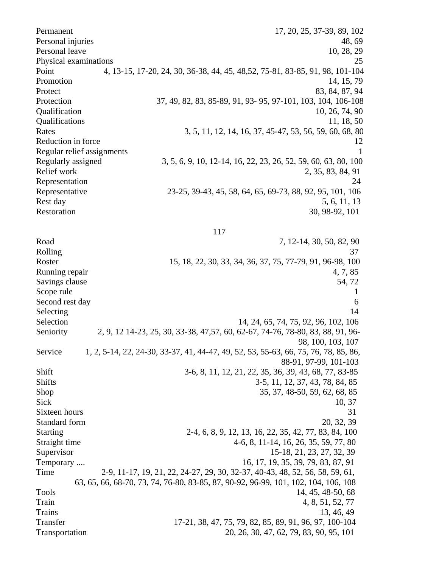Permanent 17, 20, 25, 37-39, 89, 102 Personal injuries 48, 69 Personal leave 10, 28, 29 Physical examinations 25 Point 4, 13-15, 17-20, 24, 30, 36-38, 44, 45, 48,52, 75-81, 83-85, 91, 98, 101-104 Promotion 14, 15, 79 Protect 83, 84, 87, 94 Protection 37, 49, 82, 83, 85-89, 91, 93- 95, 97-101, 103, 104, 106-108 Qualification 10, 26, 74, 90 Qualifications 11, 18, 50 Rates 3, 5, 11, 12, 14, 16, 37, 45-47, 53, 56, 59, 60, 68, 80 Reduction in force 12 Regular relief assignments 1 Regularly assigned 3, 5, 6, 9, 10, 12-14, 16, 22, 23, 26, 52, 59, 60, 63, 80, 100 Relief work 2, 35, 83, 84, 91 Representation 24 Representative 23-25, 39-43, 45, 58, 64, 65, 69-73, 88, 92, 95, 101, 106 Rest day 5, 6, 11, 13 Restoration 30, 98-92, 101

117

Road 7, 12-14, 30, 50, 82, 90 Rolling 37 Roster 15, 18, 22, 30, 33, 34, 36, 37, 75, 77-79, 91, 96-98, 100 Running repair 4, 7, 85 Savings clause 54, 72 Scope rule 1 Second rest day 6 Selecting 14 Selection 14, 24, 65, 74, 75, 92, 96, 102, 106 Seniority 2, 9, 12 14-23, 25, 30, 33-38, 47, 57, 60, 62-67, 74-76, 78-80, 83, 88, 91, 96- 98, 100, 103, 107 Service 1, 2, 5-14, 22, 24-30, 33-37, 41, 44-47, 49, 52, 53, 55-63, 66, 75, 76, 78, 85, 86, 88-91, 97-99, 101-103 Shift 3-6, 8, 11, 12, 21, 22, 35, 36, 39, 43, 68, 77, 83-85 Shifts 3-5, 11, 12, 37, 43, 78, 84, 85 Shop 35, 37, 48-50, 59, 62, 68, 85  $Sick$  10, 37 Sixteen hours 31 Standard form 20, 32, 39 Starting 2-4, 6, 8, 9, 12, 13, 16, 22, 35, 42, 77, 83, 84, 100 Straight time 4-6, 8, 11-14, 16, 26, 35, 59, 77, 80 Supervisor 15-18, 21, 23, 27, 32, 39 Temporary .... 16, 17, 19, 35, 39, 79, 83, 87, 91 Time 2-9, 11-17, 19, 21, 22, 24-27, 29, 30, 32-37, 40-43, 48, 52, 56, 58, 59, 61, 63, 65, 66, 68-70, 73, 74, 76-80, 83-85, 87, 90-92, 96-99, 101, 102, 104, 106, 108 Tools 14, 45, 48-50, 68 Train 4, 8, 51, 52, 77 Trains 13, 46, 49 Transfer 17-21, 38, 47, 75, 79, 82, 85, 89, 91, 96, 97, 100-104 Transportation 20, 26, 30, 47, 62, 79, 83, 90, 95, 101